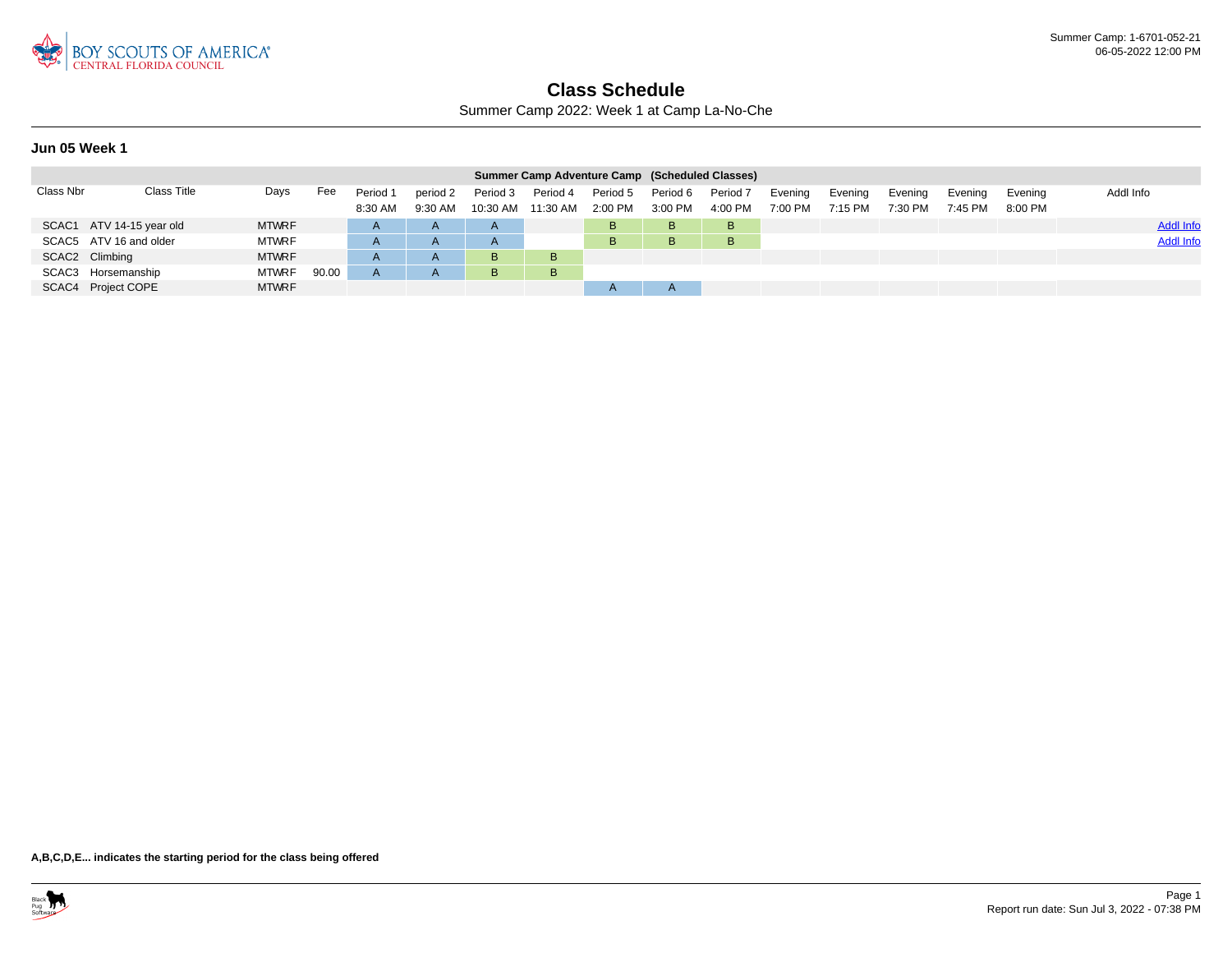

Summer Camp 2022: Week 1 at Camp La-No-Che

### **Jun 05 Week 1**

|           |                          |              |       |                     |                       |                        | Summer Camp Adventure Camp (Scheduled Classes) |                       |                       |                       |                      |                      |                    |                    |                    |                  |
|-----------|--------------------------|--------------|-------|---------------------|-----------------------|------------------------|------------------------------------------------|-----------------------|-----------------------|-----------------------|----------------------|----------------------|--------------------|--------------------|--------------------|------------------|
| Class Nbr | Class Title              | Days         | Fee   | Period 1<br>8:30 AM | period 2<br>$9:30$ AM | Period 3<br>$10:30$ AM | Period 4<br>11:30 AM                           | Period 5<br>$2:00$ PM | Period 6<br>$3:00$ PM | Period 7<br>$4:00$ PM | Evening<br>$7:00$ PM | Evening<br>$7:15$ PM | Evening<br>7:30 PM | Evening<br>7:45 PM | Evening<br>8:00 PM | Addl Info        |
|           | SCAC1 ATV 14-15 year old | <b>MTWRF</b> |       | $\mathsf{A}$        | $\mathsf{A}$          | A                      |                                                | в                     | B.                    | B                     |                      |                      |                    |                    |                    | <b>Addl Info</b> |
|           | SCAC5 ATV 16 and older   | <b>MTWRF</b> |       | A                   | $\mathsf{A}$          | A                      |                                                | в                     | B.                    | B                     |                      |                      |                    |                    |                    | <b>Addl Info</b> |
|           | SCAC2 Climbing           | <b>MTWRF</b> |       | A                   | $\overline{A}$        | B                      | B                                              |                       |                       |                       |                      |                      |                    |                    |                    |                  |
|           | SCAC3 Horsemanship       | <b>MTWRF</b> | 90.00 |                     |                       | B                      | B                                              |                       |                       |                       |                      |                      |                    |                    |                    |                  |
|           | SCAC4 Project COPE       | <b>MTWRF</b> |       |                     |                       |                        |                                                |                       |                       |                       |                      |                      |                    |                    |                    |                  |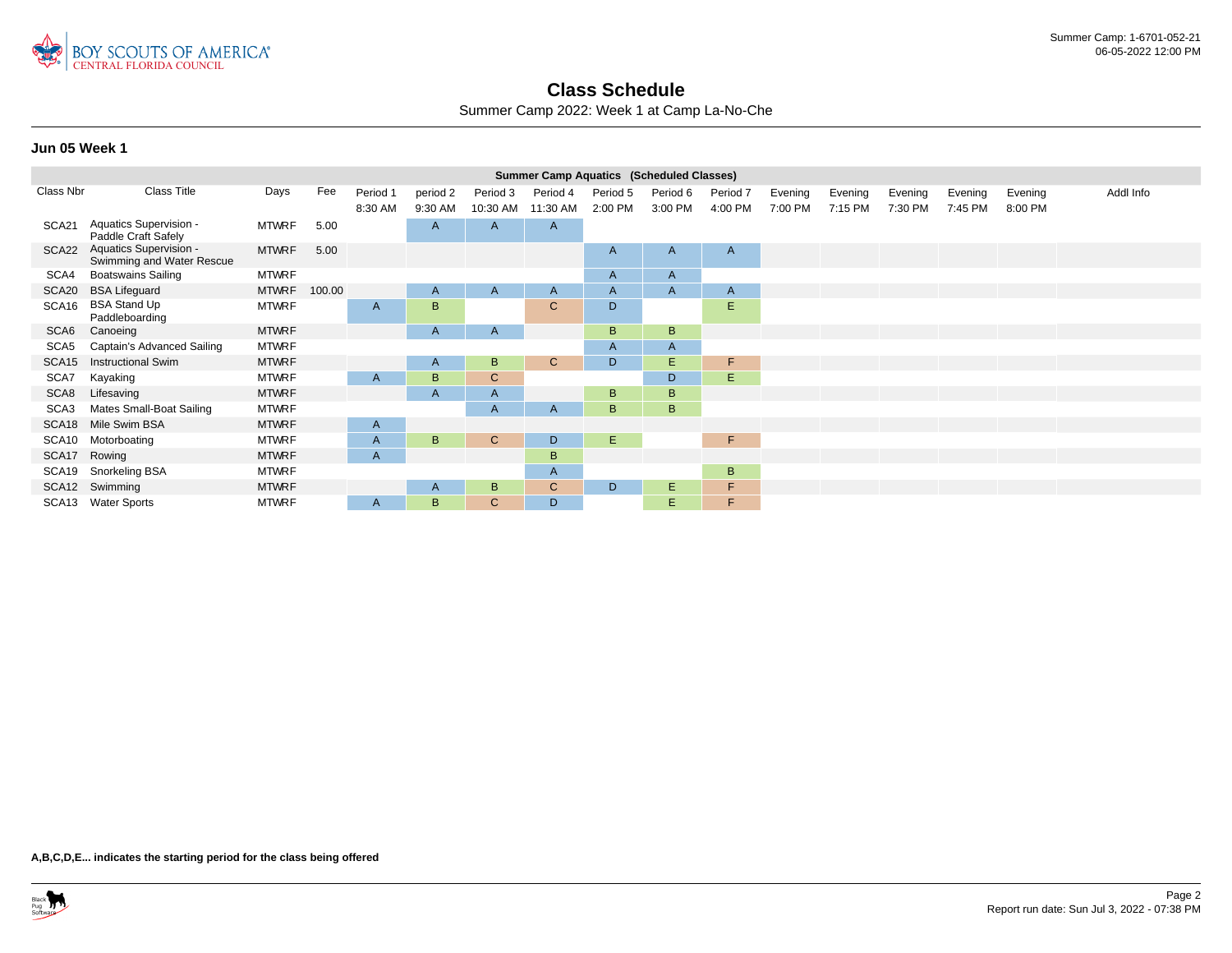

Summer Camp 2022: Week 1 at Camp La-No-Che

### **Jun 05 Week 1**

|                  |                                                     |              |        |          |                |              | <b>Summer Camp Aquatics (Scheduled Classes)</b> |          |              |              |         |         |         |         |         |           |
|------------------|-----------------------------------------------------|--------------|--------|----------|----------------|--------------|-------------------------------------------------|----------|--------------|--------------|---------|---------|---------|---------|---------|-----------|
| Class Nbr        | <b>Class Title</b>                                  | Days         | Fee    | Period 1 | period 2       | Period 3     | Period 4                                        | Period 5 | Period 6     | Period 7     | Evening | Evening | Evening | Evening | Evening | Addl Info |
|                  |                                                     |              |        | 8:30 AM  | 9:30 AM        | 10:30 AM     | 11:30 AM                                        | 2:00 PM  | 3:00 PM      | 4:00 PM      | 7:00 PM | 7:15 PM | 7:30 PM | 7:45 PM | 8:00 PM |           |
| SCA21            | Aquatics Supervision -<br>Paddle Craft Safely       | MTWRF        | 5.00   |          | $\overline{A}$ | A            | $\mathsf{A}$                                    |          |              |              |         |         |         |         |         |           |
| SCA22            | Aquatics Supervision -<br>Swimming and Water Rescue | <b>MTWRF</b> | 5.00   |          |                |              |                                                 | A        | A            | $\mathsf{A}$ |         |         |         |         |         |           |
| SCA4             | <b>Boatswains Sailing</b>                           | <b>MTWRF</b> |        |          |                |              |                                                 | A        | $\mathsf{A}$ |              |         |         |         |         |         |           |
| SCA20            | <b>BSA Lifeguard</b>                                | <b>MTWRF</b> | 100.00 |          | $\mathsf{A}$   | A            | $\mathsf{A}$                                    | A        | A            | $\mathsf{A}$ |         |         |         |         |         |           |
| SCA16            | <b>BSA Stand Up</b><br>Paddleboarding               | <b>MTWRF</b> |        | A        | B              |              | $\mathsf{C}$                                    | D        |              | E            |         |         |         |         |         |           |
| SCA <sub>6</sub> | Canoeing                                            | <b>MTWRF</b> |        |          | A              | $\mathsf{A}$ |                                                 | B        | B            |              |         |         |         |         |         |           |
| SCA5             | Captain's Advanced Sailing                          | <b>MTWRF</b> |        |          |                |              |                                                 | A        | $\mathsf{A}$ |              |         |         |         |         |         |           |
| SCA15            | <b>Instructional Swim</b>                           | <b>MTWRF</b> |        |          | $\mathsf{A}$   | B            | $\mathbf{C}$                                    | D        | E.           | F            |         |         |         |         |         |           |
| SCA7             | Kayaking                                            | <b>MTWRF</b> |        | A        | B              | C            |                                                 |          | D            | Ε            |         |         |         |         |         |           |
| SCA8             | Lifesaving                                          | <b>MTWRF</b> |        |          | $\overline{A}$ | A            |                                                 | B        | B            |              |         |         |         |         |         |           |
| SCA <sub>3</sub> | Mates Small-Boat Sailing                            | <b>MTWRF</b> |        |          |                | A            | A                                               | B        | B            |              |         |         |         |         |         |           |
| SCA18            | Mile Swim BSA                                       | <b>MTWRF</b> |        | A        |                |              |                                                 |          |              |              |         |         |         |         |         |           |
| SCA10            | Motorboating                                        | <b>MTWRF</b> |        | A        | B              | $\mathbf{C}$ | D                                               | E.       |              | F.           |         |         |         |         |         |           |
| SCA17            | Rowing                                              | <b>MTWRF</b> |        | A        |                |              | B                                               |          |              |              |         |         |         |         |         |           |
| SCA19            | Snorkeling BSA                                      | <b>MTWRF</b> |        |          |                |              | $\mathsf{A}$                                    |          |              | B            |         |         |         |         |         |           |
|                  | SCA12 Swimming                                      | <b>MTWRF</b> |        |          | A              | B            | $\mathsf{C}$                                    | D        | E.           | F            |         |         |         |         |         |           |
|                  | SCA13 Water Sports                                  | <b>MTWRF</b> |        | A        | B              | C            | D                                               |          | E.           | F.           |         |         |         |         |         |           |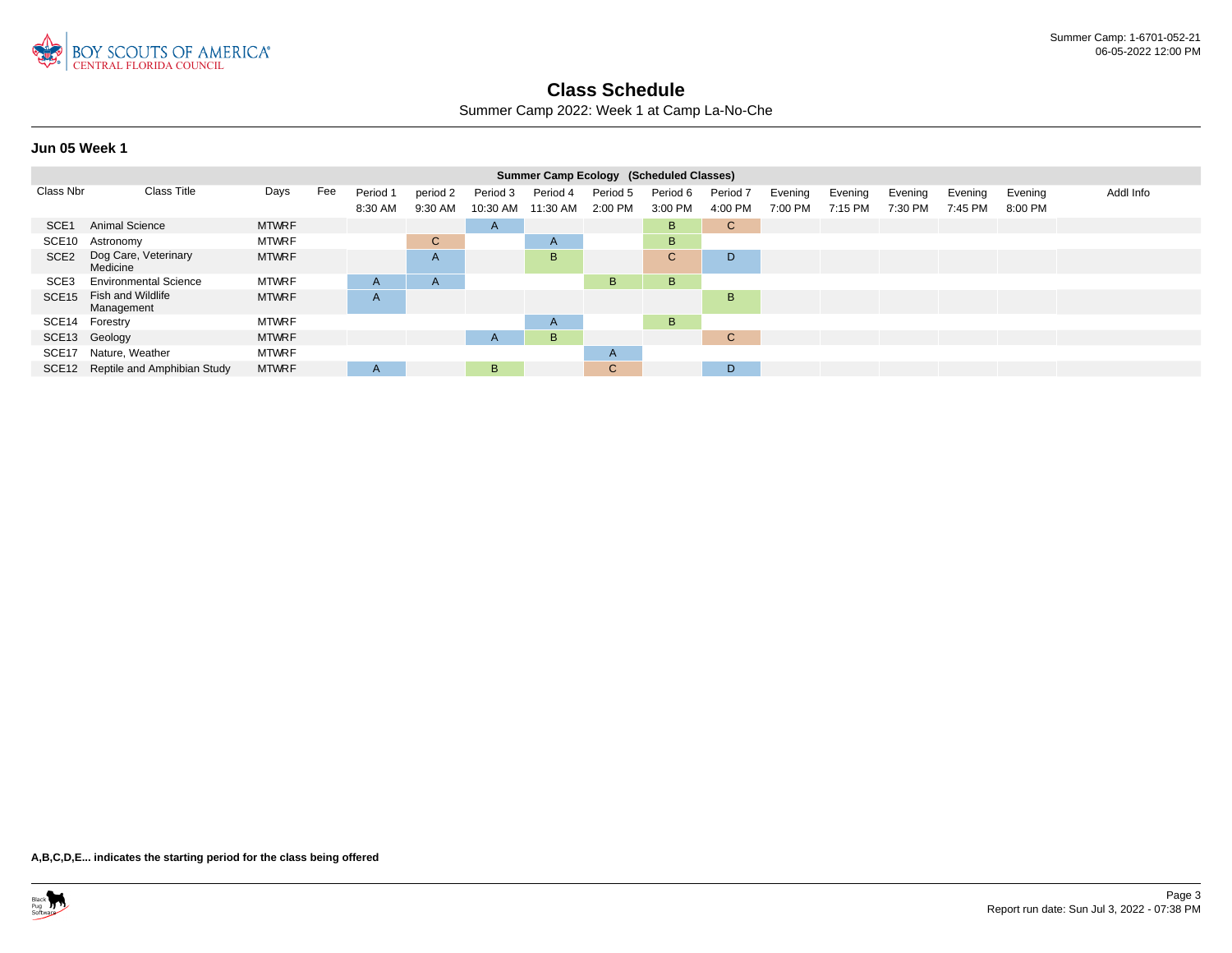

Summer Camp 2022: Week 1 at Camp La-No-Che

### **Jun 05 Week 1**

|                   |                                   |              |     |              |              |          | Summer Camp Ecology (Scheduled Classes) |              |              |              |         |         |         |         |         |           |
|-------------------|-----------------------------------|--------------|-----|--------------|--------------|----------|-----------------------------------------|--------------|--------------|--------------|---------|---------|---------|---------|---------|-----------|
| Class Nbr         | <b>Class Title</b>                | Days         | Fee | Period 1     | period 2     | Period 3 | Period 4                                | Period 5     | Period 6     | Period 7     | Evening | Evening | Evening | Evening | Evening | Addl Info |
|                   |                                   |              |     | 8:30 AM      | 9:30 AM      | 10:30 AM | 11:30 AM                                | 2:00 PM      | 3:00 PM      | 4:00 PM      | 7:00 PM | 7:15 PM | 7:30 PM | 7:45 PM | 8:00 PM |           |
| SCE <sub>1</sub>  | Animal Science                    | <b>MTWRF</b> |     |              |              | A        |                                         |              | B            | $\mathsf{C}$ |         |         |         |         |         |           |
| SCE10             | Astronomy                         | <b>MTWRF</b> |     |              | $\mathbf{C}$ |          | A                                       |              | B            |              |         |         |         |         |         |           |
| SCE <sub>2</sub>  | Dog Care, Veterinary<br>Medicine  | <b>MTWRF</b> |     |              | $\mathsf{A}$ |          | B                                       |              | $\mathsf{C}$ | D            |         |         |         |         |         |           |
| SCE3              | <b>Environmental Science</b>      | <b>MTWRF</b> |     | A            | $\mathsf{A}$ |          |                                         | B            | B            |              |         |         |         |         |         |           |
| SCE <sub>15</sub> | Fish and Wildlife<br>Management   | <b>MTWRF</b> |     | A            |              |          |                                         |              |              | B            |         |         |         |         |         |           |
| SCE14             | Forestry                          | <b>MTWRF</b> |     |              |              |          | A                                       |              | B            |              |         |         |         |         |         |           |
|                   | SCE13 Geology                     | <b>MTWRF</b> |     |              |              | A        | B                                       |              |              | $\mathsf{C}$ |         |         |         |         |         |           |
| SCE17             | Nature, Weather                   | <b>MTWRF</b> |     |              |              |          |                                         | A            |              |              |         |         |         |         |         |           |
|                   | SCE12 Reptile and Amphibian Study | <b>MTWRF</b> |     | $\mathsf{A}$ |              | B.       |                                         | $\mathsf{C}$ |              | D            |         |         |         |         |         |           |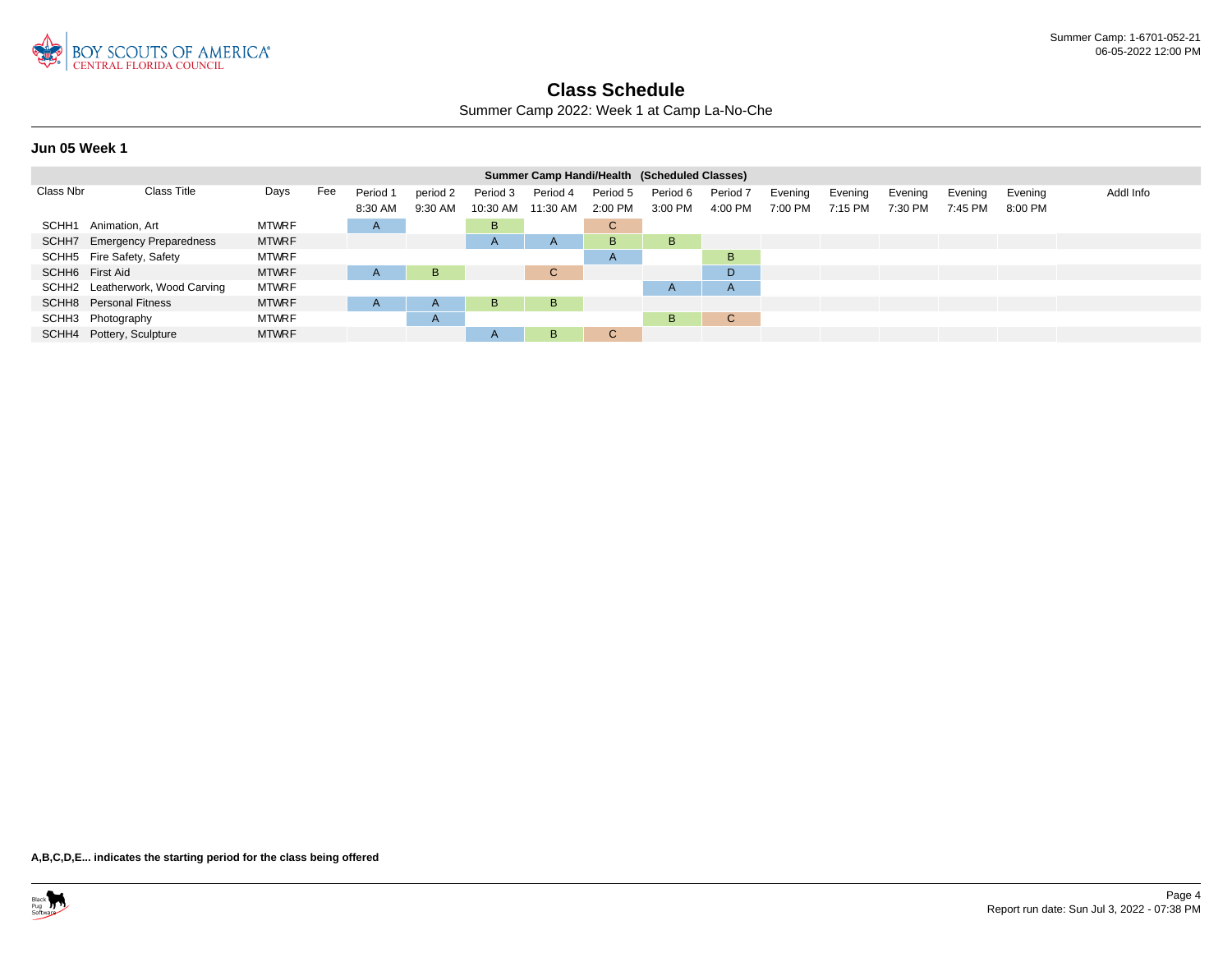

Summer Camp 2022: Week 1 at Camp La-No-Che

### **Jun 05 Week 1**

|                 |                                 |              |     |          |              |                | Summer Camp Handi/Health (Scheduled Classes) |              |              |                     |         |         |         |         |         |           |
|-----------------|---------------------------------|--------------|-----|----------|--------------|----------------|----------------------------------------------|--------------|--------------|---------------------|---------|---------|---------|---------|---------|-----------|
| Class Nbr       | <b>Class Title</b>              | Days         | Fee | Period 1 | period 2     | Period 3       | Period 4                                     | Period 5     | Period 6     | Period <sub>7</sub> | Evening | Evening | Evening | Evening | Evening | Addl Info |
|                 |                                 |              |     | 8:30 AM  | 9:30 AM      | 10:30 AM       | 11:30 AM                                     | 2:00 PM      | 3:00 PM      | 4:00 PM             | 7:00 PM | 7:15 PM | 7:30 PM | 7:45 PM | 8:00 PM |           |
|                 | SCHH1 Animation, Art            | <b>MTWRF</b> |     | A        |              | B              |                                              | C.           |              |                     |         |         |         |         |         |           |
|                 | SCHH7 Emergency Preparedness    | <b>MTWRF</b> |     |          |              | $\overline{A}$ | A                                            | B.           | B.           |                     |         |         |         |         |         |           |
|                 | SCHH5 Fire Safety, Safety       | <b>MTWRF</b> |     |          |              |                |                                              | $\mathsf{A}$ |              | B                   |         |         |         |         |         |           |
| SCHH6 First Aid |                                 | <b>MTWRF</b> |     | A        | B            |                | $\mathsf{C}$                                 |              |              | D                   |         |         |         |         |         |           |
|                 | SCHH2 Leatherwork, Wood Carving | <b>MTWRF</b> |     |          |              |                |                                              |              | $\mathsf{H}$ | $\overline{A}$      |         |         |         |         |         |           |
|                 | <b>SCHH8</b> Personal Fitness   | <b>MTWRF</b> |     | A        | $\mathsf{A}$ | B              | B                                            |              |              |                     |         |         |         |         |         |           |
|                 | SCHH3 Photography               | <b>MTWRF</b> |     |          | $\mathsf{A}$ |                |                                              |              | B.           | C                   |         |         |         |         |         |           |
|                 | SCHH4 Pottery, Sculpture        | <b>MTWRF</b> |     |          |              | $\mathsf{A}$   | B                                            | C.           |              |                     |         |         |         |         |         |           |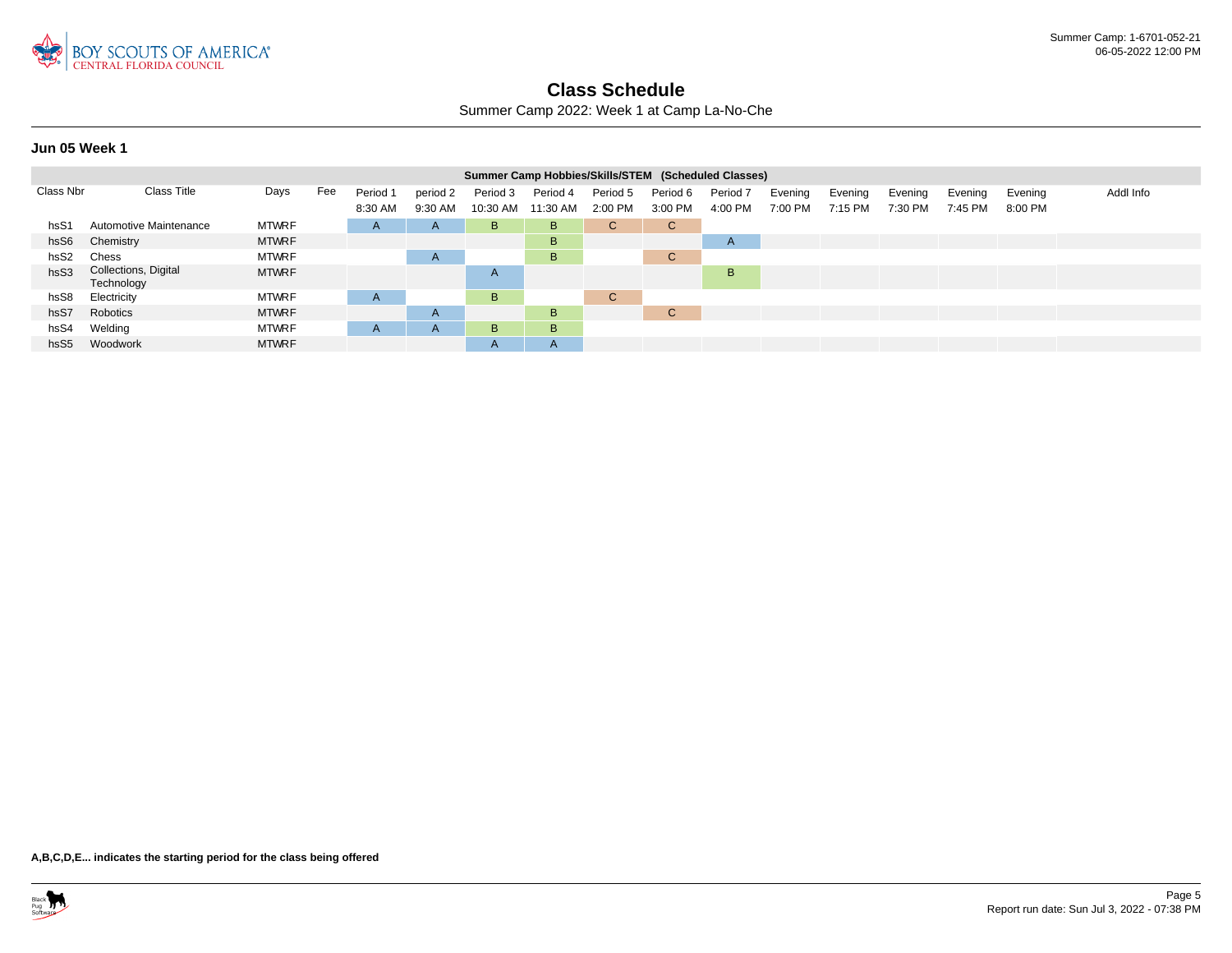

Summer Camp 2022: Week 1 at Camp La-No-Che

**Jun 05 Week 1**

|                  |                                    |              |     |              |              |              | Summer Camp Hobbies/Skills/STEM (Scheduled Classes) |              |              |                     |         |         |         |         |         |           |
|------------------|------------------------------------|--------------|-----|--------------|--------------|--------------|-----------------------------------------------------|--------------|--------------|---------------------|---------|---------|---------|---------|---------|-----------|
| Class Nbr        | <b>Class Title</b>                 | Days         | Fee | Period 1     | period 2     | Period 3     | Period 4                                            | Period 5     | Period 6     | Period <sub>7</sub> | Evening | Evening | Evening | Evening | Evening | Addl Info |
|                  |                                    |              |     | 8:30 AM      | 9:30 AM      | 10:30 AM     | 11:30 AM                                            | 2:00 PM      | 3:00 PM      | 4:00 PM             | 7:00 PM | 7:15 PM | 7:30 PM | 7:45 PM | 8:00 PM |           |
| hsS1             | Automotive Maintenance             | <b>MTWRF</b> |     | $\mathsf{H}$ | $\mathsf{A}$ | B            | B                                                   | $\mathsf{C}$ | $\mathsf{C}$ |                     |         |         |         |         |         |           |
| hsS6             | Chemistry                          | <b>MTWRF</b> |     |              |              |              | B                                                   |              |              | $\mathsf{A}$        |         |         |         |         |         |           |
| hsS2             | Chess                              | <b>MTWRF</b> |     |              | $\mathsf{A}$ |              | B                                                   |              | С            |                     |         |         |         |         |         |           |
| hsS3             | Collections, Digital<br>Technology | <b>MTWRF</b> |     |              |              | $\mathsf{A}$ |                                                     |              |              | B                   |         |         |         |         |         |           |
| hsS8             | Electricity                        | <b>MTWRF</b> |     | A            |              | B            |                                                     | $\mathsf{C}$ |              |                     |         |         |         |         |         |           |
| hsS7             | Robotics                           | <b>MTWRF</b> |     |              | $\mathsf{A}$ |              | B                                                   |              | $\sim$<br>U  |                     |         |         |         |         |         |           |
| hsS4             | Welding                            | <b>MTWRF</b> |     | $\mathsf{H}$ | $\mathsf{A}$ | B            | B.                                                  |              |              |                     |         |         |         |         |         |           |
| hsS <sub>5</sub> | Woodwork                           | <b>MTWRF</b> |     |              |              | $\mathsf{A}$ | A                                                   |              |              |                     |         |         |         |         |         |           |

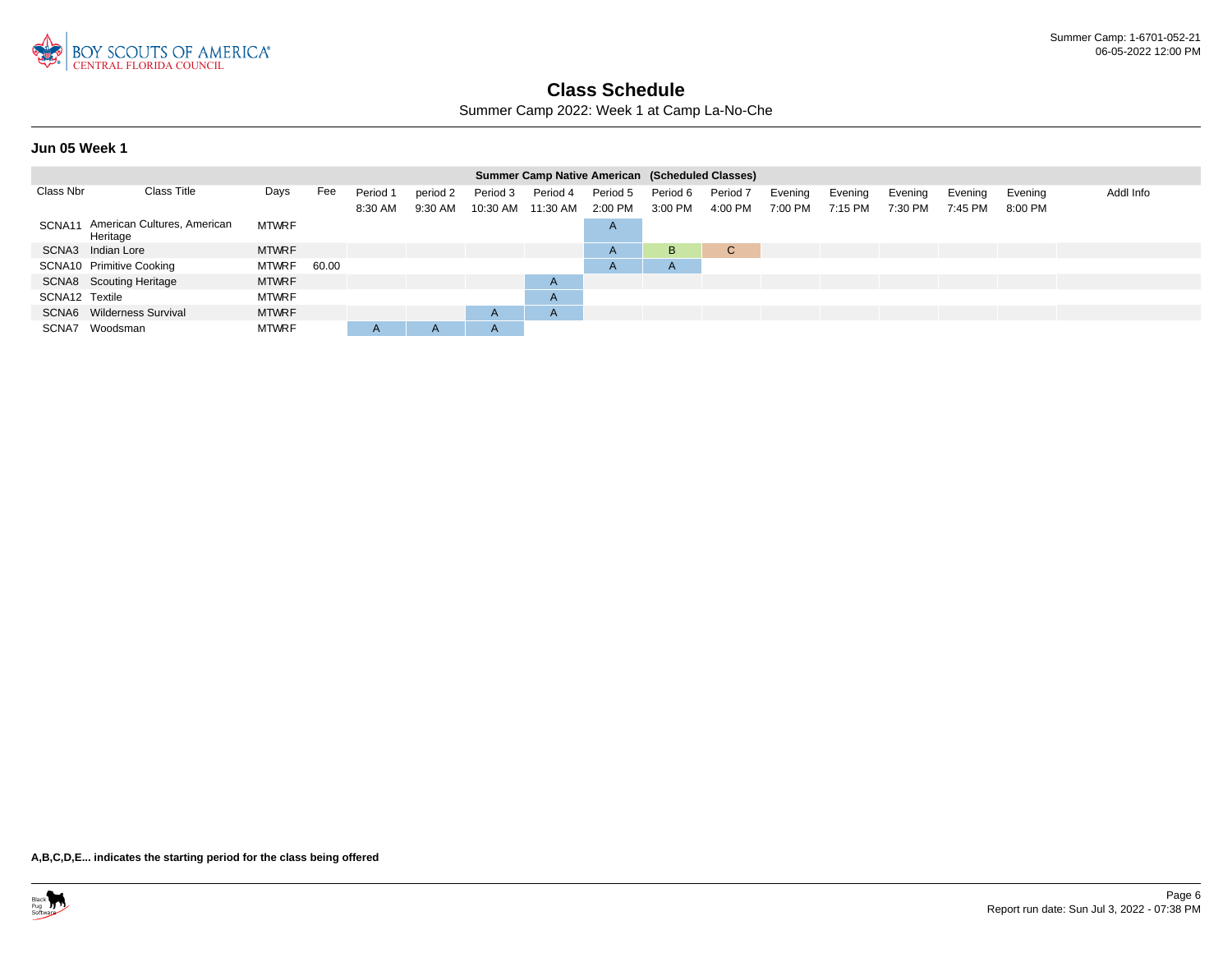

Summer Camp 2022: Week 1 at Camp La-No-Che

### **Jun 05 Week 1**

|                |                                                |              |       |          |              |              | Summer Camp Native American (Scheduled Classes) |              |              |                     |         |         |         |         |           |           |
|----------------|------------------------------------------------|--------------|-------|----------|--------------|--------------|-------------------------------------------------|--------------|--------------|---------------------|---------|---------|---------|---------|-----------|-----------|
| Class Nbr      | <b>Class Title</b>                             | Days         | Fee   | Period 1 | period 2     | Period 3     | Period 4                                        | Period 5     | Period 6     | Period <sub>7</sub> | Evening | Evening | Evening | Evening | Evening   | Addl Info |
|                |                                                |              |       | 8:30 AM  | 9:30 AM      | 10:30 AM     | 11:30 AM                                        | 2:00 PM      | 3:00 PM      | 4:00 PM             | 7:00 PM | 7:15 PM | 7:30 PM | 7:45 PM | $8:00$ PM |           |
|                | SCNA11 American Cultures, American<br>Heritage | <b>MTWRF</b> |       |          |              |              |                                                 | A'           |              |                     |         |         |         |         |           |           |
|                | SCNA3 Indian Lore                              | <b>MTWRF</b> |       |          |              |              |                                                 | $\mathsf{A}$ | В            | C.                  |         |         |         |         |           |           |
|                | SCNA10 Primitive Cooking                       | <b>MTWRF</b> | 60.00 |          |              |              |                                                 | $\mathsf{A}$ | $\mathsf{m}$ |                     |         |         |         |         |           |           |
|                | SCNA8 Scouting Heritage                        | <b>MTWRF</b> |       |          |              |              | A                                               |              |              |                     |         |         |         |         |           |           |
| SCNA12 Textile |                                                | <b>MTWRF</b> |       |          |              |              | $\mathsf{A}$                                    |              |              |                     |         |         |         |         |           |           |
|                | SCNA6 Wilderness Survival                      | <b>MTWRF</b> |       |          |              | $\mathsf{A}$ | A                                               |              |              |                     |         |         |         |         |           |           |
|                | SCNA7 Woodsman                                 | <b>MTWRF</b> |       | A        | $\mathsf{A}$ | $\mathsf{A}$ |                                                 |              |              |                     |         |         |         |         |           |           |

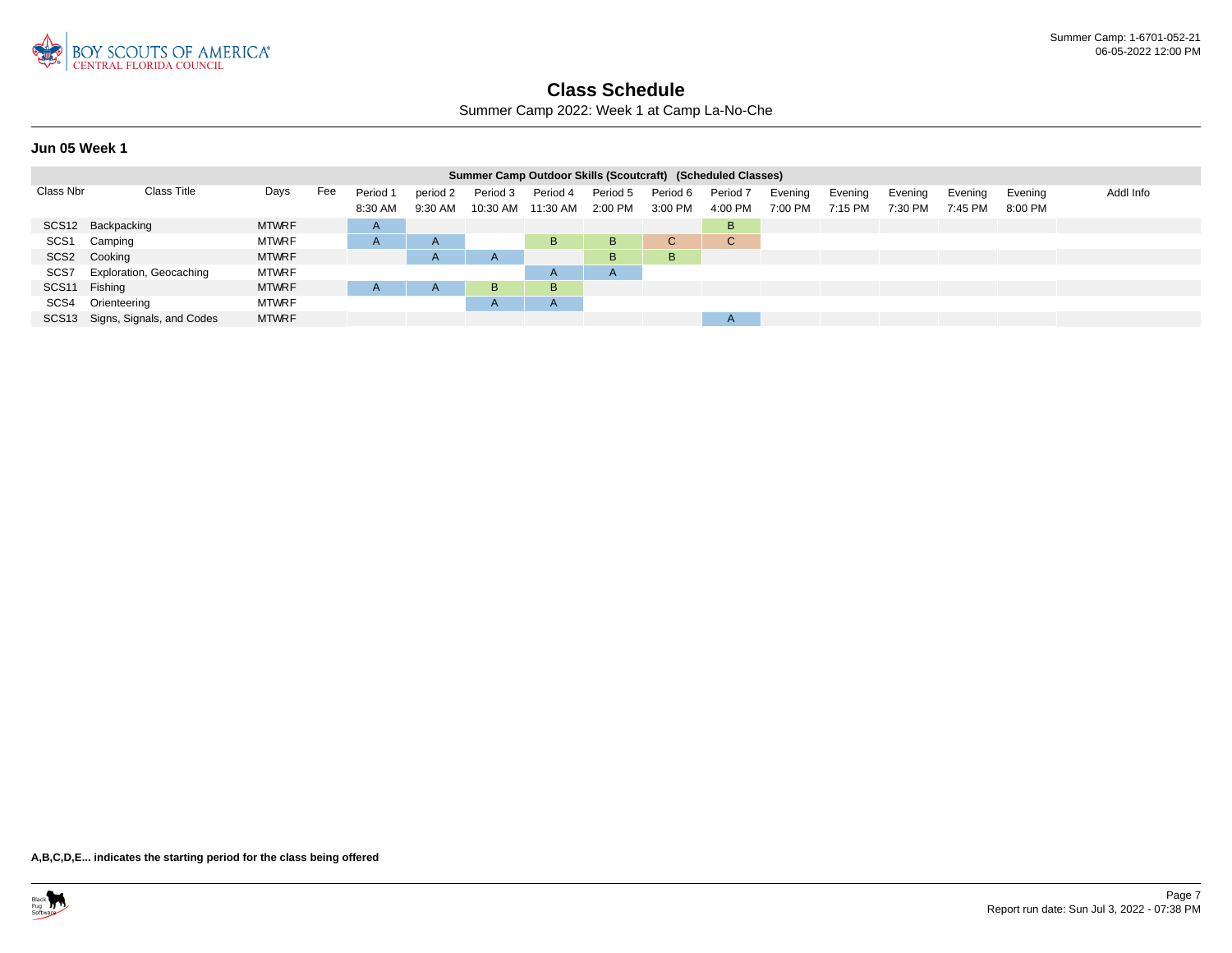

Summer Camp 2022: Week 1 at Camp La-No-Che

### **Jun 05 Week 1**

|                  |                                 |              |     |          |              |              |          |              |          | Summer Camp Outdoor Skills (Scoutcraft) (Scheduled Classes) |         |         |         |         |         |           |
|------------------|---------------------------------|--------------|-----|----------|--------------|--------------|----------|--------------|----------|-------------------------------------------------------------|---------|---------|---------|---------|---------|-----------|
| Class Nbr        | Class Title                     | Days         | Fee | Period 1 | period 2     | Period 3     | Period 4 | Period 5     | Period 6 | Period <sub>7</sub>                                         | Evening | Evening | Evening | Evening | Evening | Addl Info |
|                  |                                 |              |     | 8:30 AM  | 9:30 AM      | 10:30 AM     | 11:30 AM | 2:00 PM      | 3:00 PM  | 4:00 PM                                                     | 7:00 PM | 7:15 PM | 7:30 PM | 7:45 PM | 8:00 PM |           |
|                  | SCS12 Backpacking               | <b>MTWRF</b> |     | A        |              |              |          |              |          | B                                                           |         |         |         |         |         |           |
| SCS <sub>1</sub> | Camping                         | <b>MTWRF</b> |     | A        | $\mathsf{A}$ |              | B.       | B            | C.       | $\mathbf{C}$                                                |         |         |         |         |         |           |
|                  | SCS2 Cooking                    | <b>MTWRF</b> |     |          | $\mathsf{A}$ | $\mathsf{A}$ |          | B            | B.       |                                                             |         |         |         |         |         |           |
|                  | SCS7 Exploration, Geocaching    | <b>MTWRF</b> |     |          |              |              | A        | $\mathsf{A}$ |          |                                                             |         |         |         |         |         |           |
| SCS11 Fishing    |                                 | <b>MTWRF</b> |     |          | $\mathsf{A}$ | B            | B.       |              |          |                                                             |         |         |         |         |         |           |
|                  | SCS4 Orienteering               | <b>MTWRF</b> |     |          |              | $\mathsf{A}$ | A        |              |          |                                                             |         |         |         |         |         |           |
|                  | SCS13 Signs, Signals, and Codes | <b>MTWRF</b> |     |          |              |              |          |              |          | $\mathsf{A}$                                                |         |         |         |         |         |           |

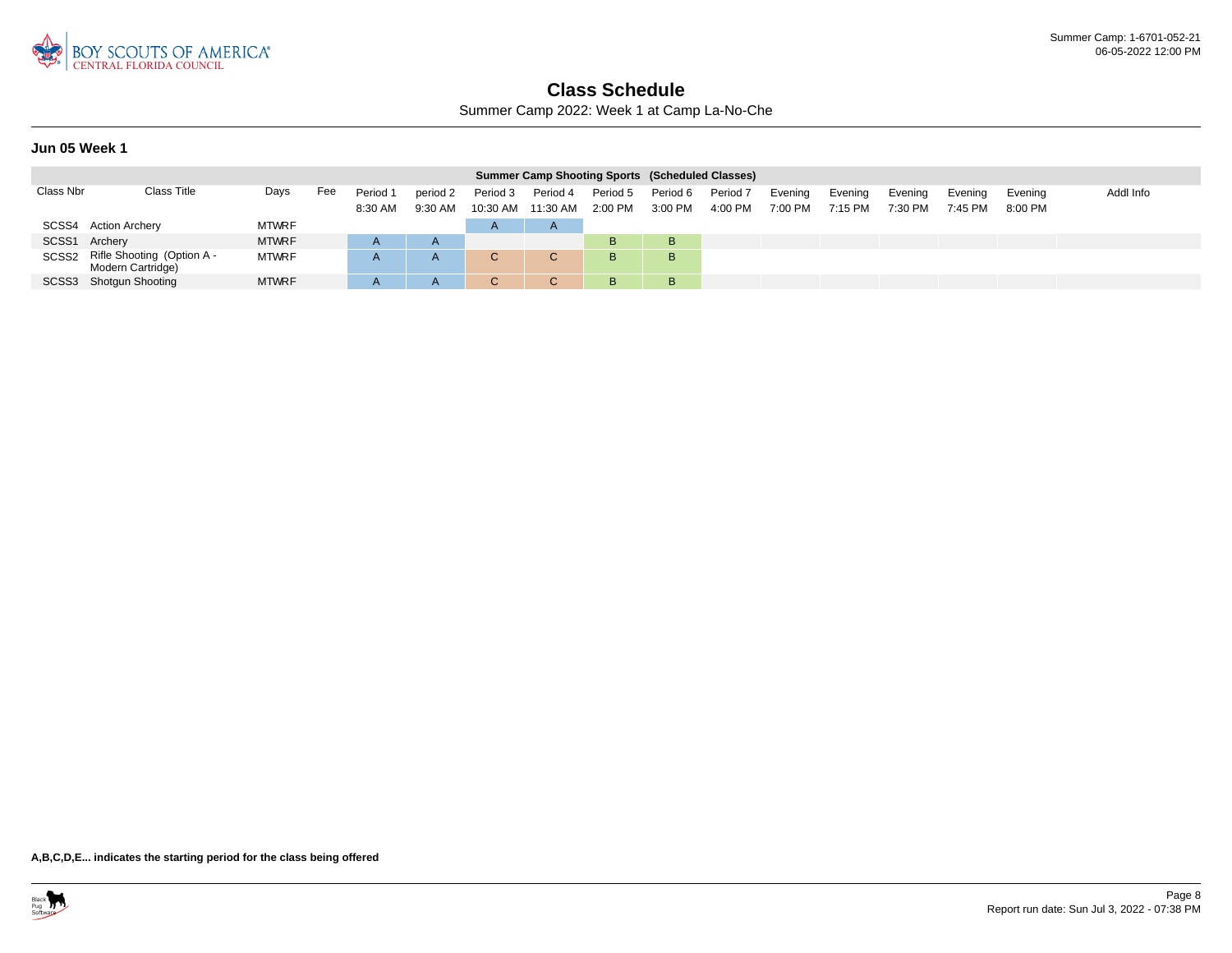

Summer Camp 2022: Week 1 at Camp La-No-Che

### **Jun 05 Week 1**

|               |                                                       |              |     |                     |                     |                                |          |                       | <b>Summer Camp Shooting Sports (Scheduled Classes)</b> |                                |                    |                    |                    |                    |                      |           |
|---------------|-------------------------------------------------------|--------------|-----|---------------------|---------------------|--------------------------------|----------|-----------------------|--------------------------------------------------------|--------------------------------|--------------------|--------------------|--------------------|--------------------|----------------------|-----------|
| Class Nbr     | <b>Class Title</b>                                    | Days         | Fee | Period 1<br>8:30 AM | period 2<br>9:30 AM | Period 3<br>10:30 AM  11:30 AM | Period 4 | Period 5<br>$2:00$ PM | Period 6<br>3:00 PM                                    | Period <sub>7</sub><br>4:00 PM | Evening<br>7:00 PM | Evening<br>7:15 PM | Evening<br>7:30 PM | Evening<br>7:45 PM | Evening<br>$8:00$ PM | Addl Info |
|               | SCSS4 Action Archery                                  | <b>MTWRF</b> |     |                     |                     | $\mathsf{A}$                   | H        |                       |                                                        |                                |                    |                    |                    |                    |                      |           |
| SCSS1 Archery |                                                       | <b>MTWRF</b> |     |                     |                     |                                |          | B                     | в                                                      |                                |                    |                    |                    |                    |                      |           |
|               | SCSS2 Rifle Shooting (Option A -<br>Modern Cartridge) | <b>MTWRF</b> |     |                     | A                   | v                              | C.       | B.                    | в                                                      |                                |                    |                    |                    |                    |                      |           |
|               | SCSS3 Shotgun Shooting                                | <b>MTWRF</b> |     |                     | A                   |                                |          | B                     | B                                                      |                                |                    |                    |                    |                    |                      |           |

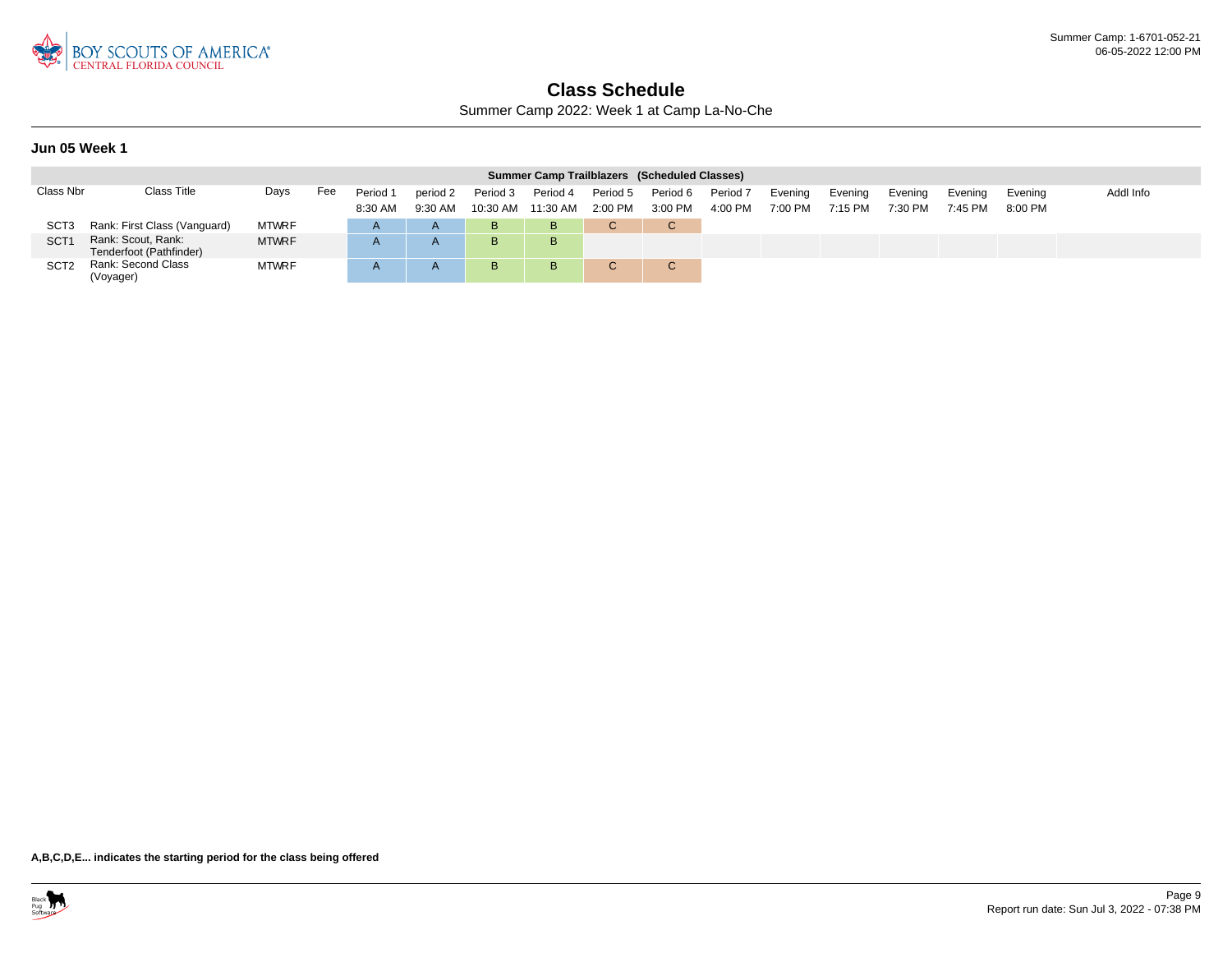

Summer Camp 2022: Week 1 at Camp La-No-Che

### **Jun 05 Week 1**

|                  |                                               |              |     |                     |                     |                      | Summer Camp Trailblazers (Scheduled Classes) |                     |                     |                     |                    |                    |                    |                    |                      |           |
|------------------|-----------------------------------------------|--------------|-----|---------------------|---------------------|----------------------|----------------------------------------------|---------------------|---------------------|---------------------|--------------------|--------------------|--------------------|--------------------|----------------------|-----------|
| Class Nbr        | <b>Class Title</b>                            | Days         | Fee | Period 1<br>8:30 AM | period 2<br>9:30 AM | Period 3<br>10:30 AM | Period 4<br>11:30 AM                         | Period 5<br>2:00 PM | Period 6<br>3:00 PM | Period 7<br>4:00 PM | Evening<br>7:00 PM | Evening<br>7:15 PM | Evening<br>7:30 PM | Evening<br>7:45 PM | Evening<br>$8:00$ PM | Addl Info |
| SCT <sub>3</sub> | Rank: First Class (Vanguard)                  | <b>MTWRF</b> |     |                     | $\overline{A}$      | в                    | B                                            |                     | C.                  |                     |                    |                    |                    |                    |                      |           |
| <b>SCT</b>       | Rank: Scout, Rank:<br>Tenderfoot (Pathfinder) | <b>MTWRF</b> |     |                     | $\mathsf{A}$        | B                    | B.                                           |                     |                     |                     |                    |                    |                    |                    |                      |           |
| SCT <sub>2</sub> | Rank: Second Class<br>(Voyager)               | <b>MTWRF</b> |     |                     |                     | B                    | B                                            | C.                  | $\sim$ $\sim$       |                     |                    |                    |                    |                    |                      |           |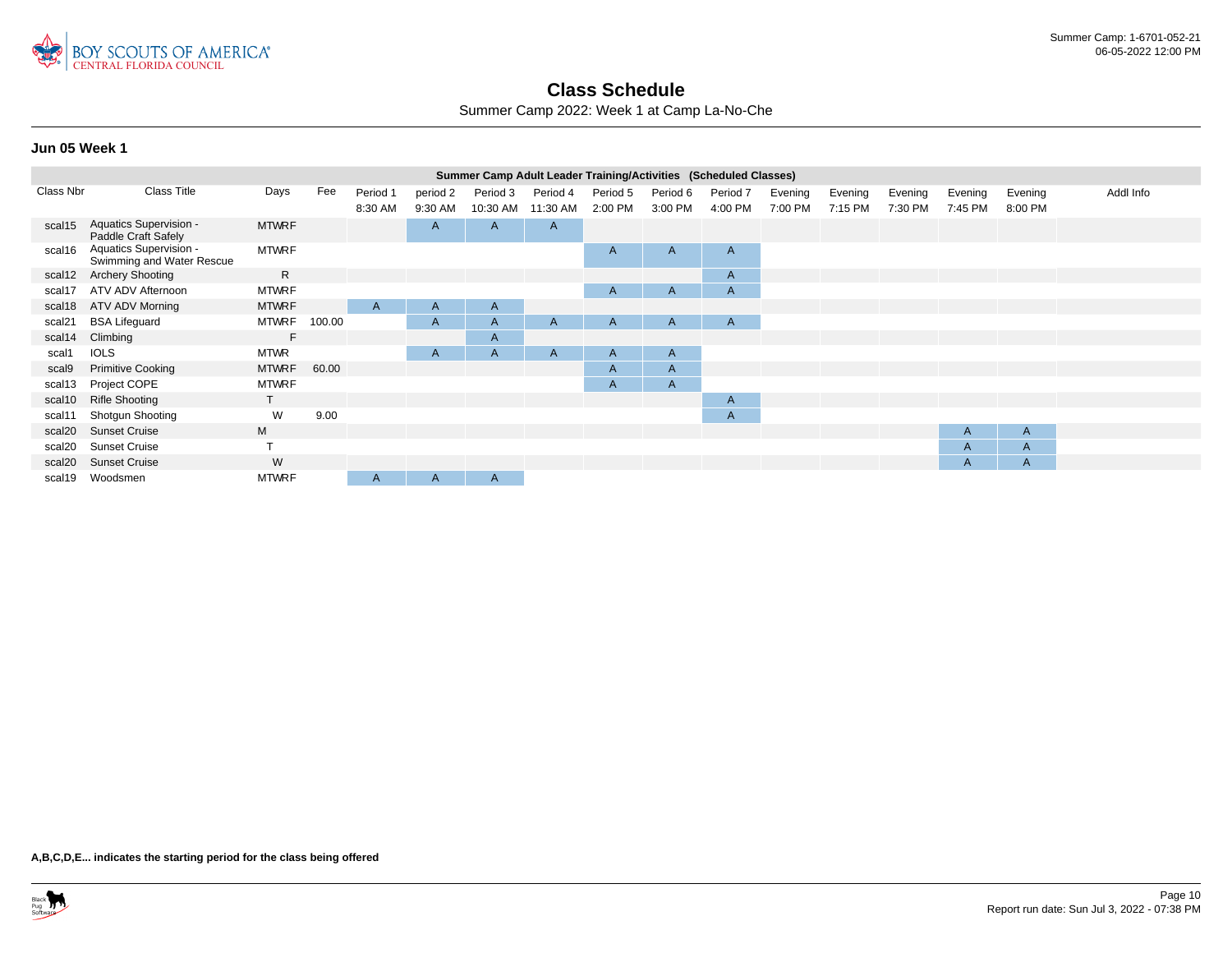

Summer Camp 2022: Week 1 at Camp La-No-Che

#### **Jun 05 Week 1**

|           |                                                      |              |        |                     |                     | Summer Camp Adult Leader Training/Activities (Scheduled Classes) |                      |                     |                     |                     |                    |                    |                    |                    |                    |           |
|-----------|------------------------------------------------------|--------------|--------|---------------------|---------------------|------------------------------------------------------------------|----------------------|---------------------|---------------------|---------------------|--------------------|--------------------|--------------------|--------------------|--------------------|-----------|
| Class Nbr | <b>Class Title</b>                                   | Days         | Fee    | Period 1<br>8:30 AM | period 2<br>9:30 AM | Period 3<br>10:30 AM                                             | Period 4<br>11:30 AM | Period 5<br>2:00 PM | Period 6<br>3:00 PM | Period 7<br>4:00 PM | Evening<br>7:00 PM | Evening<br>7:15 PM | Evening<br>7:30 PM | Evening<br>7:45 PM | Evening<br>8:00 PM | Addl Info |
| scal15    | <b>Aquatics Supervision -</b><br>Paddle Craft Safely | <b>MTWRF</b> |        |                     | $\mathsf{A}$        | A                                                                | $\mathsf{A}$         |                     |                     |                     |                    |                    |                    |                    |                    |           |
| scal16    | Aquatics Supervision -<br>Swimming and Water Rescue  | <b>MTWRF</b> |        |                     |                     |                                                                  |                      | A                   | $\mathsf{A}$        | $\mathsf{A}$        |                    |                    |                    |                    |                    |           |
| scal12    | <b>Archery Shooting</b>                              | R.           |        |                     |                     |                                                                  |                      |                     |                     | $\mathsf{A}$        |                    |                    |                    |                    |                    |           |
| scal17    | ATV ADV Afternoon                                    | <b>MTWRF</b> |        |                     |                     |                                                                  |                      | A                   | A                   | $\mathsf{A}$        |                    |                    |                    |                    |                    |           |
| scal18    | ATV ADV Morning                                      | <b>MTWRF</b> |        | A                   | $\mathsf{A}$        | $\mathsf{A}$                                                     |                      |                     |                     |                     |                    |                    |                    |                    |                    |           |
| scal21    | <b>BSA Lifeguard</b>                                 | <b>MTWRF</b> | 100.00 |                     | $\mathsf{A}$        | $\mathsf{A}$                                                     | A                    | A                   | $\mathsf{A}$        | $\mathsf{A}$        |                    |                    |                    |                    |                    |           |
| scal14    | Climbing                                             | F            |        |                     |                     | A                                                                |                      |                     |                     |                     |                    |                    |                    |                    |                    |           |
| scal1     | <b>IOLS</b>                                          | <b>MTWR</b>  |        |                     | A                   | $\overline{A}$                                                   | $\mathsf{A}$         | A                   | $\mathsf{A}$        |                     |                    |                    |                    |                    |                    |           |
| scal9     | <b>Primitive Cooking</b>                             | <b>MTWRF</b> | 60.00  |                     |                     |                                                                  |                      | A                   | A                   |                     |                    |                    |                    |                    |                    |           |
| scal13    | Project COPE                                         | <b>MTWRF</b> |        |                     |                     |                                                                  |                      | A                   | $\mathsf{A}$        |                     |                    |                    |                    |                    |                    |           |
| scal10    | <b>Rifle Shooting</b>                                | T.           |        |                     |                     |                                                                  |                      |                     |                     | $\mathsf{A}$        |                    |                    |                    |                    |                    |           |
| scal11    | <b>Shotgun Shooting</b>                              | W            | 9.00   |                     |                     |                                                                  |                      |                     |                     | $\mathsf{A}$        |                    |                    |                    |                    |                    |           |
| scal20    | <b>Sunset Cruise</b>                                 | M            |        |                     |                     |                                                                  |                      |                     |                     |                     |                    |                    |                    | A                  | A                  |           |
| scal20    | <b>Sunset Cruise</b>                                 |              |        |                     |                     |                                                                  |                      |                     |                     |                     |                    |                    |                    | A                  | A                  |           |
| scal20    | <b>Sunset Cruise</b>                                 | W            |        |                     |                     |                                                                  |                      |                     |                     |                     |                    |                    |                    | $\mathsf{A}$       | A                  |           |
| scal19    | Woodsmen                                             | <b>MTWRF</b> |        | A                   | A                   | $\mathsf{A}$                                                     |                      |                     |                     |                     |                    |                    |                    |                    |                    |           |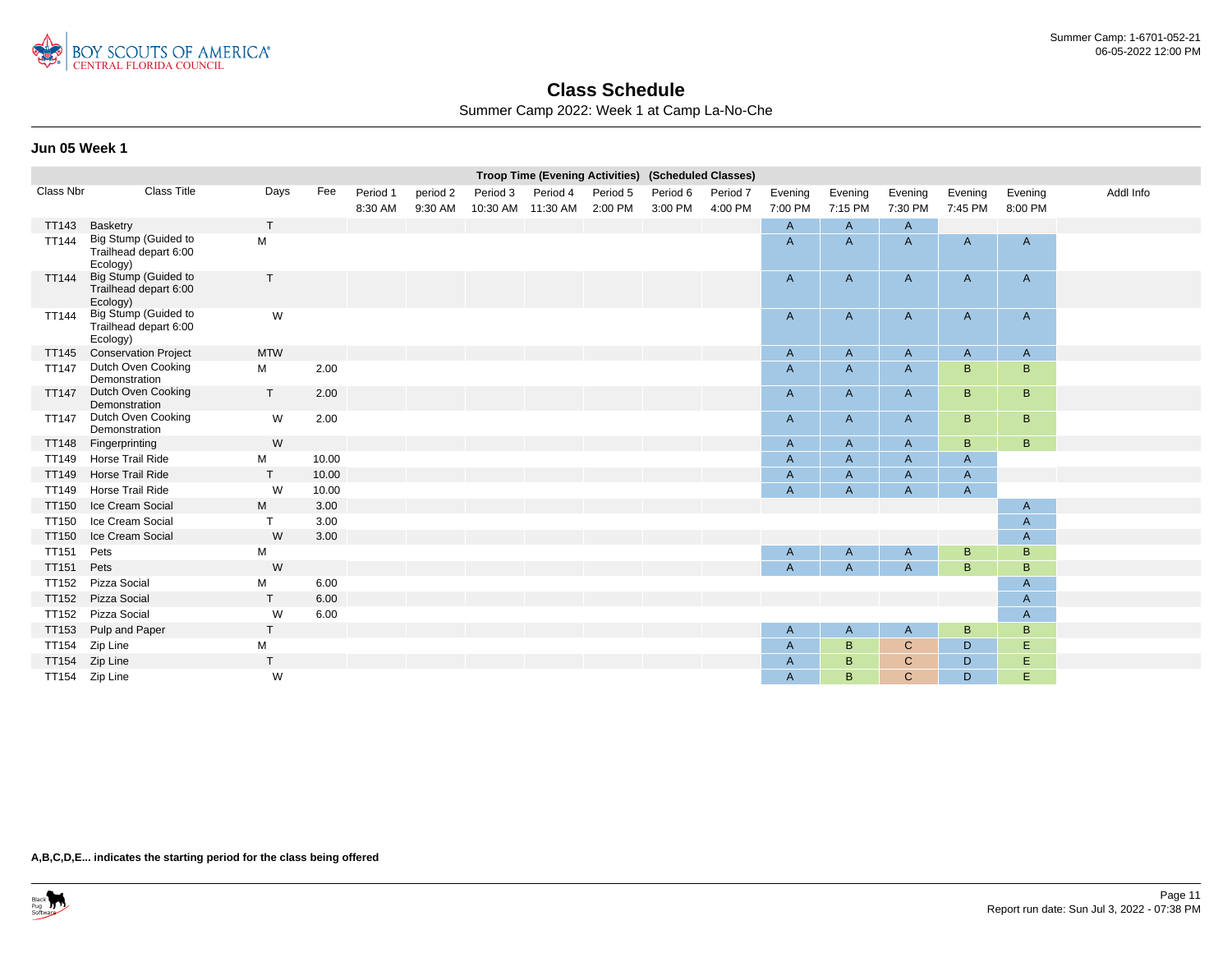

Summer Camp 2022: Week 1 at Camp La-No-Che

### **Jun 05 Week 1**

|              |                                                           |              |       |          |          |                   | Troop Time (Evening Activities) (Scheduled Classes) |          |          |          |                |                           |                |         |              |           |
|--------------|-----------------------------------------------------------|--------------|-------|----------|----------|-------------------|-----------------------------------------------------|----------|----------|----------|----------------|---------------------------|----------------|---------|--------------|-----------|
| Class Nbr    | <b>Class Title</b>                                        | Days         | Fee   | Period 1 | period 2 | Period 3          | Period 4                                            | Period 5 | Period 6 | Period 7 | Evening        | Evening                   | Evening        | Evening | Evening      | Addl Info |
|              |                                                           |              |       | 8:30 AM  | 9:30 AM  | 10:30 AM 11:30 AM |                                                     | 2:00 PM  | 3:00 PM  | 4:00 PM  | 7:00 PM        | 7:15 PM                   | 7:30 PM        | 7:45 PM | 8:00 PM      |           |
| TT143        | Basketry                                                  | $\mathsf{T}$ |       |          |          |                   |                                                     |          |          |          | $\overline{A}$ | $\mathsf{A}$              | $\mathsf{A}$   |         |              |           |
| <b>TT144</b> | Big Stump (Guided to<br>Trailhead depart 6:00<br>Ecology) | M            |       |          |          |                   |                                                     |          |          |          | $\overline{A}$ | $\mathsf{A}$              | $\mathsf{A}$   | A       | A            |           |
| <b>TT144</b> | Big Stump (Guided to<br>Trailhead depart 6:00<br>Ecology) | T            |       |          |          |                   |                                                     |          |          |          | A              | $\mathsf{A}$              | $\mathsf{A}$   | A       | $\mathsf{A}$ |           |
| <b>TT144</b> | Big Stump (Guided to<br>Trailhead depart 6:00<br>Ecology) | W            |       |          |          |                   |                                                     |          |          |          | A              | $\mathsf{A}$              | $\mathsf{A}$   | A       | $\mathsf{A}$ |           |
| <b>TT145</b> | <b>Conservation Project</b>                               | <b>MTW</b>   |       |          |          |                   |                                                     |          |          |          | $\mathsf{A}$   | $\mathsf{A}$              | $\mathsf{A}$   | A       | $\mathsf{A}$ |           |
| <b>TT147</b> | Dutch Oven Cooking<br>Demonstration                       | М            | 2.00  |          |          |                   |                                                     |          |          |          | $\mathsf{A}$   | $\mathsf{A}$              | $\mathsf{A}$   | B       | B            |           |
| <b>TT147</b> | Dutch Oven Cooking<br>Demonstration                       | $\mathsf{T}$ | 2.00  |          |          |                   |                                                     |          |          |          | A              | $\mathsf{A}$              | $\mathsf{A}$   | B       | B            |           |
| <b>TT147</b> | Dutch Oven Cooking<br>Demonstration                       | W            | 2.00  |          |          |                   |                                                     |          |          |          | A              | A                         | $\mathsf{A}$   | B       | B            |           |
| <b>TT148</b> | Fingerprinting                                            | W            |       |          |          |                   |                                                     |          |          |          | $\mathsf{A}$   | A                         | $\overline{A}$ | B       | B            |           |
| TT149        | Horse Trail Ride                                          | М            | 10.00 |          |          |                   |                                                     |          |          |          | $\mathsf{A}$   | $\mathsf A$               | $\mathsf{A}$   | A       |              |           |
| <b>TT149</b> | Horse Trail Ride                                          | $\mathsf{T}$ | 10.00 |          |          |                   |                                                     |          |          |          | $\overline{A}$ | $\mathsf{A}$              | $\mathsf{A}$   | A       |              |           |
| TT149        | Horse Trail Ride                                          | W            | 10.00 |          |          |                   |                                                     |          |          |          | $\mathsf{A}$   | $\boldsymbol{\mathsf{A}}$ | $\mathsf{A}$   | A       |              |           |
| <b>TT150</b> | Ice Cream Social                                          | M            | 3.00  |          |          |                   |                                                     |          |          |          |                |                           |                |         | A            |           |
| <b>TT150</b> | Ice Cream Social                                          | $\mathsf{T}$ | 3.00  |          |          |                   |                                                     |          |          |          |                |                           |                |         | A            |           |
| <b>TT150</b> | Ice Cream Social                                          | W            | 3.00  |          |          |                   |                                                     |          |          |          |                |                           |                |         | A            |           |
| <b>TT151</b> | Pets                                                      | М            |       |          |          |                   |                                                     |          |          |          | $\mathsf{A}$   | $\mathsf{A}$              | $\mathsf{A}$   | B       | B            |           |
| <b>TT151</b> | Pets                                                      | W            |       |          |          |                   |                                                     |          |          |          | $\overline{A}$ | $\overline{A}$            | $\overline{A}$ | B       | B            |           |
| <b>TT152</b> | Pizza Social                                              | М            | 6.00  |          |          |                   |                                                     |          |          |          |                |                           |                |         | A            |           |
| <b>TT152</b> | Pizza Social                                              | T.           | 6.00  |          |          |                   |                                                     |          |          |          |                |                           |                |         | $\mathsf{A}$ |           |
| <b>TT152</b> | Pizza Social                                              | W            | 6.00  |          |          |                   |                                                     |          |          |          |                |                           |                |         | A            |           |
| TT153        | Pulp and Paper                                            | T.           |       |          |          |                   |                                                     |          |          |          | A              | $\mathsf{A}$              | $\mathsf{A}$   | B       | B            |           |
| <b>TT154</b> | Zip Line                                                  | М            |       |          |          |                   |                                                     |          |          |          | $\mathsf{A}$   | B                         | $\mathbf C$    | D       | E            |           |
| <b>TT154</b> | Zip Line                                                  | $\mathsf{T}$ |       |          |          |                   |                                                     |          |          |          | $\mathsf{A}$   | $\sf B$                   | $\mathsf{C}$   | D       | Ε            |           |
|              | TT154 Zip Line                                            | W            |       |          |          |                   |                                                     |          |          |          | $\overline{A}$ | B                         | $\mathsf{C}$   | D       | Ε            |           |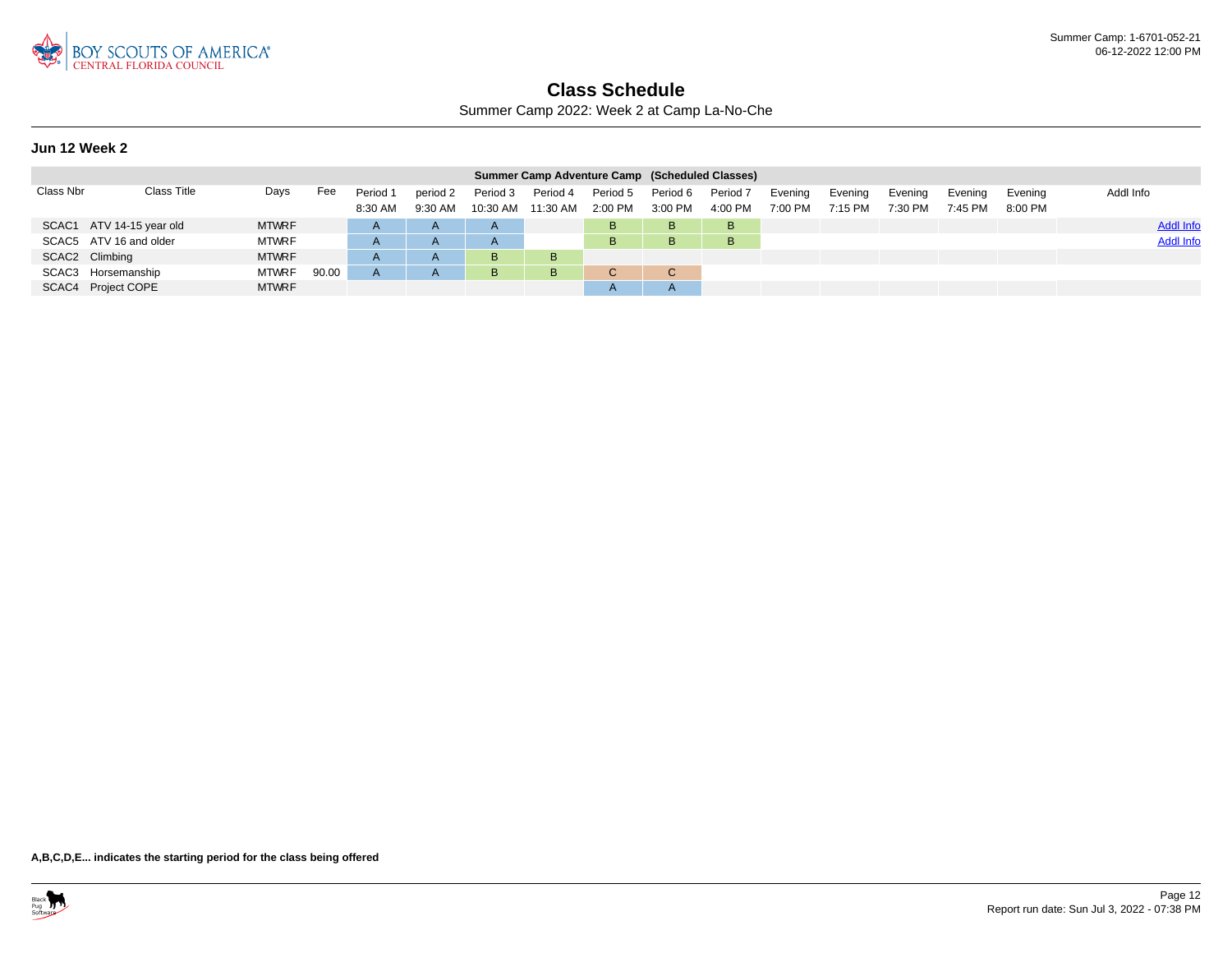

Summer Camp 2022: Week 2 at Camp La-No-Che

#### **Jun 12 Week 2**

|           |                          |              |       |                     |                     |                      | Summer Camp Adventure Camp (Scheduled Classes) |                       |                     |                     |                    |                    |                    |                    |                    |                  |
|-----------|--------------------------|--------------|-------|---------------------|---------------------|----------------------|------------------------------------------------|-----------------------|---------------------|---------------------|--------------------|--------------------|--------------------|--------------------|--------------------|------------------|
| Class Nbr | Class Title              | Days         | Fee   | Period 1<br>8:30 AM | period 2<br>9:30 AM | Period 3<br>10:30 AM | Period 4<br>11:30 AM                           | Period 5<br>$2:00$ PM | Period 6<br>3:00 PM | Period 7<br>4:00 PM | Evening<br>7:00 PM | Evening<br>7:15 PM | Evening<br>7:30 PM | Evening<br>7:45 PM | Evening<br>8:00 PM | Addl Info        |
|           | SCAC1 ATV 14-15 year old | <b>MTWRF</b> |       | $\mathsf{A}$        | $\overline{A}$      | $\mathsf{A}$         |                                                | B.                    | <b>B</b>            | B                   |                    |                    |                    |                    |                    | <b>Addl Info</b> |
|           | SCAC5 ATV 16 and older   | <b>MTWRF</b> |       | $\mathsf{A}$        | $\overline{A}$      | $\mathsf{A}$         |                                                | в                     | B.                  | B                   |                    |                    |                    |                    |                    | <b>Addl Info</b> |
|           | SCAC2 Climbing           | <b>MTWRF</b> |       | $\mathsf{A}$        | $\mathsf{A}$        | B                    | B                                              |                       |                     |                     |                    |                    |                    |                    |                    |                  |
|           | SCAC3 Horsemanship       | <b>MTWRF</b> | 90.00 | A                   | $\mathsf{A}$        | B                    | B                                              |                       | C                   |                     |                    |                    |                    |                    |                    |                  |
|           | SCAC4 Project COPE       | <b>MTWRF</b> |       |                     |                     |                      |                                                |                       |                     |                     |                    |                    |                    |                    |                    |                  |

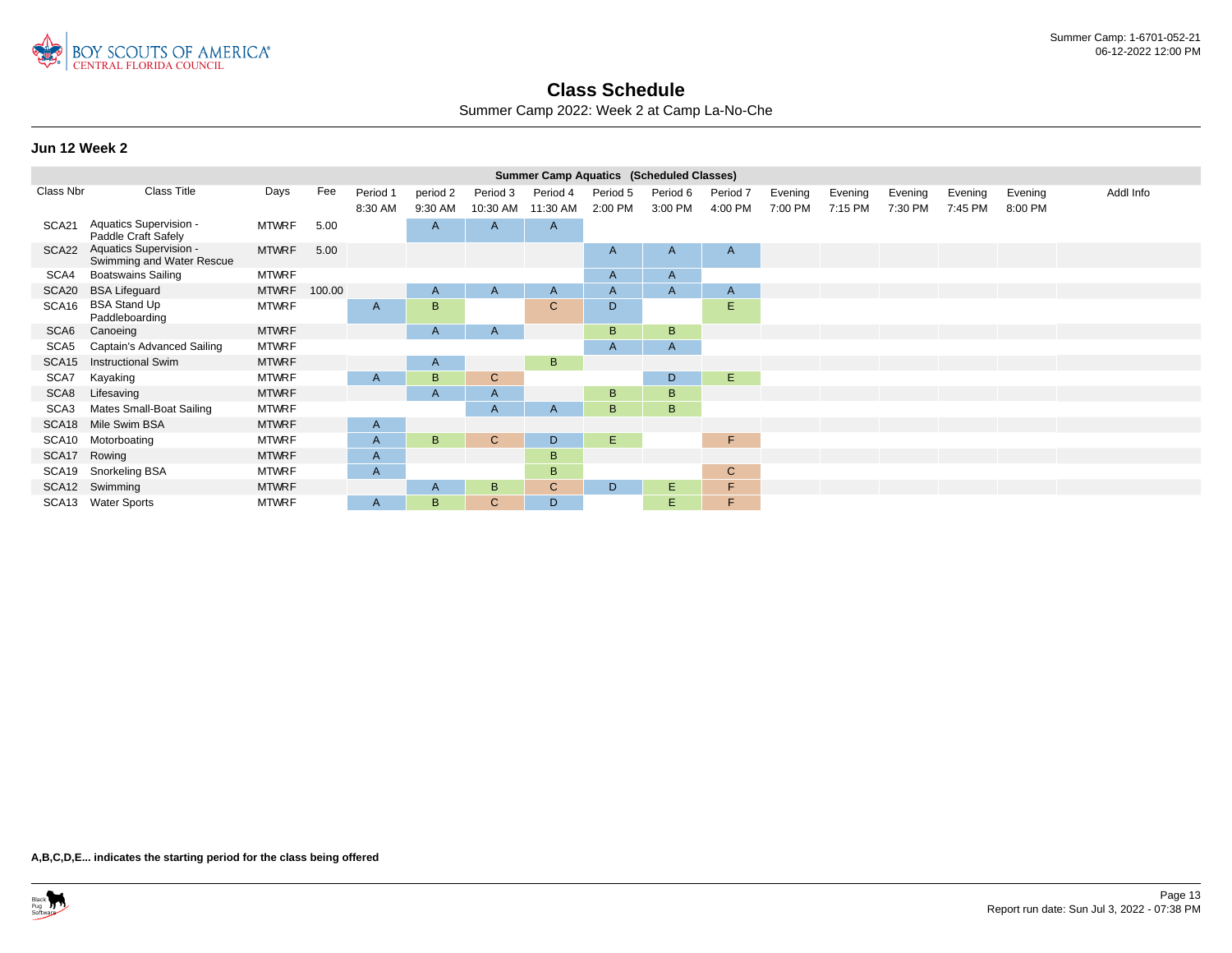

Summer Camp 2022: Week 2 at Camp La-No-Che

#### **Jun 12 Week 2**

|                   |                                                     |              |        |              |              |              | <b>Summer Camp Aquatics (Scheduled Classes)</b> |          |              |              |         |         |         |         |         |           |
|-------------------|-----------------------------------------------------|--------------|--------|--------------|--------------|--------------|-------------------------------------------------|----------|--------------|--------------|---------|---------|---------|---------|---------|-----------|
| Class Nbr         | Class Title                                         | Days         | Fee    | Period 1     | period 2     | Period 3     | Period 4                                        | Period 5 | Period 6     | Period 7     | Evening | Evening | Evening | Evening | Evening | Addl Info |
|                   |                                                     |              |        | 8:30 AM      | 9:30 AM      | 10:30 AM     | 11:30 AM                                        | 2:00 PM  | 3:00 PM      | 4:00 PM      | 7:00 PM | 7:15 PM | 7:30 PM | 7:45 PM | 8:00 PM |           |
| SCA21             | Aquatics Supervision -<br>Paddle Craft Safely       | <b>MTWRF</b> | 5.00   |              | A            | A            | $\mathsf{A}$                                    |          |              |              |         |         |         |         |         |           |
| SCA22             | Aquatics Supervision -<br>Swimming and Water Rescue | <b>MTWRF</b> | 5.00   |              |              |              |                                                 | A        | A            | $\mathsf{A}$ |         |         |         |         |         |           |
| SCA4              | <b>Boatswains Sailing</b>                           | <b>MTWRF</b> |        |              |              |              |                                                 | A        | $\mathsf{A}$ |              |         |         |         |         |         |           |
| SCA20             | <b>BSA Lifeguard</b>                                | <b>MTWRF</b> | 100.00 |              | $\mathsf{A}$ | $\mathsf{A}$ | $\mathsf{A}$                                    | A        | $\mathsf{A}$ | $\mathsf{A}$ |         |         |         |         |         |           |
| SCA16             | <b>BSA Stand Up</b><br>Paddleboarding               | <b>MTWRF</b> |        | A            | B            |              | $\mathsf{C}$                                    | D        |              | E            |         |         |         |         |         |           |
| SCA6              | Canoeing                                            | <b>MTWRF</b> |        |              | A            | A            |                                                 | B        | B            |              |         |         |         |         |         |           |
| SCA5              | Captain's Advanced Sailing                          | <b>MTWRF</b> |        |              |              |              |                                                 | A        | $\mathsf{A}$ |              |         |         |         |         |         |           |
| SCA <sub>15</sub> | <b>Instructional Swim</b>                           | <b>MTWRF</b> |        |              | A            |              | B                                               |          |              |              |         |         |         |         |         |           |
| SCA7              | Kayaking                                            | <b>MTWRF</b> |        | A            | B            | $\mathsf{C}$ |                                                 |          | D            | E            |         |         |         |         |         |           |
| SCA8              | Lifesaving                                          | <b>MTWRF</b> |        |              | A            | A            |                                                 | B        | B            |              |         |         |         |         |         |           |
| SCA3              | Mates Small-Boat Sailing                            | <b>MTWRF</b> |        |              |              | A            | A                                               | B        | B.           |              |         |         |         |         |         |           |
| SCA <sub>18</sub> | Mile Swim BSA                                       | <b>MTWRF</b> |        | A            |              |              |                                                 |          |              |              |         |         |         |         |         |           |
| SCA10             | Motorboating                                        | <b>MTWRF</b> |        | A            | B            | $\mathsf{C}$ | D                                               | E.       |              | F.           |         |         |         |         |         |           |
| SCA17             | Rowing                                              | <b>MTWRF</b> |        | A            |              |              | B                                               |          |              |              |         |         |         |         |         |           |
| SCA19             | Snorkeling BSA                                      | <b>MTWRF</b> |        | $\mathsf{A}$ |              |              | B.                                              |          |              | $\mathbf C$  |         |         |         |         |         |           |
|                   | SCA12 Swimming                                      | <b>MTWRF</b> |        |              | $\mathsf{A}$ | B            | $\mathsf{C}$                                    | D        | E.           | F            |         |         |         |         |         |           |
|                   | SCA13 Water Sports                                  | <b>MTWRF</b> |        | A            | B            | $\mathsf{C}$ | D                                               |          | E.           | F            |         |         |         |         |         |           |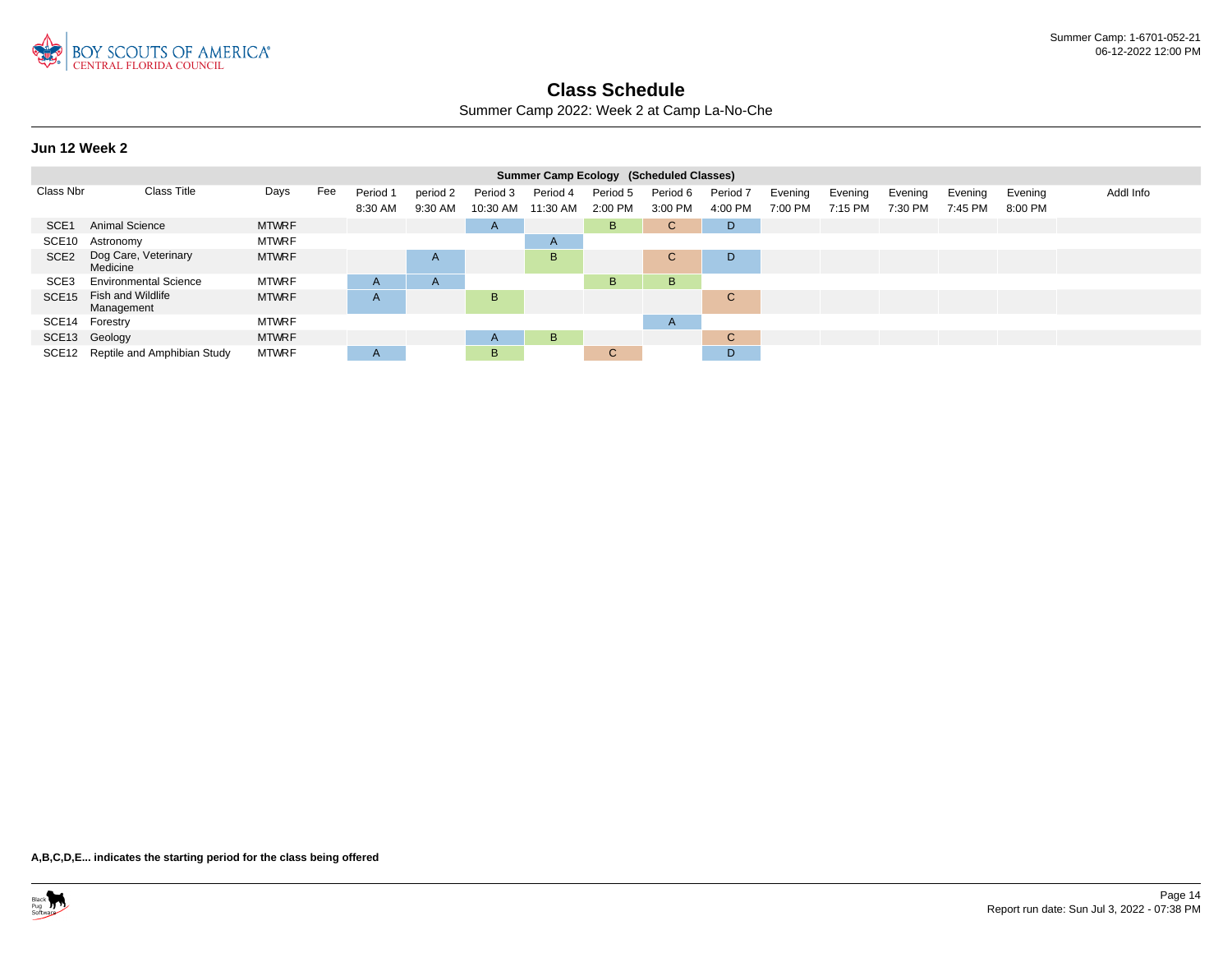

Summer Camp 2022: Week 2 at Camp La-No-Che

#### **Jun 12 Week 2**

|                   |                                   |              |     |          |              |                   | Summer Camp Ecology (Scheduled Classes) |              |              |              |         |         |         |         |         |           |
|-------------------|-----------------------------------|--------------|-----|----------|--------------|-------------------|-----------------------------------------|--------------|--------------|--------------|---------|---------|---------|---------|---------|-----------|
| Class Nbr         | Class Title                       | Days         | Fee | Period 1 | period 2     | Period 3          | Period 4                                | Period 5     | Period 6     | Period 7     | Evening | Evening | Evening | Evening | Evening | Addl Info |
|                   |                                   |              |     | 8:30 AM  | 9:30 AM      | 10:30 AM 11:30 AM |                                         | 2:00 PM      | 3:00 PM      | 4:00 PM      | 7:00 PM | 7:15 PM | 7:30 PM | 7:45 PM | 8:00 PM |           |
| SCE <sub>1</sub>  | Animal Science                    | <b>MTWRF</b> |     |          |              | $\mathsf{A}$      |                                         | B            | C.           | D            |         |         |         |         |         |           |
| SCE <sub>10</sub> | Astronomy                         | <b>MTWRF</b> |     |          |              |                   | A                                       |              |              |              |         |         |         |         |         |           |
| SCE <sub>2</sub>  | Dog Care, Veterinary<br>Medicine  | <b>MTWRF</b> |     |          | $\mathsf{A}$ |                   | B                                       |              | $\sim$<br>U  | D            |         |         |         |         |         |           |
| SCE <sub>3</sub>  | <b>Environmental Science</b>      | <b>MTWRF</b> |     | A        | $\mathsf{A}$ |                   |                                         | B            | B            |              |         |         |         |         |         |           |
| SCE <sub>15</sub> | Fish and Wildlife<br>Management   | <b>MTWRF</b> |     | A        |              | B                 |                                         |              |              | $\mathbf{C}$ |         |         |         |         |         |           |
| SCE14             | Forestry                          | <b>MTWRF</b> |     |          |              |                   |                                         |              | $\mathsf{A}$ |              |         |         |         |         |         |           |
|                   | SCE13 Geology                     | <b>MTWRF</b> |     |          |              | $\mathsf{A}$      | B                                       |              |              | C.           |         |         |         |         |         |           |
|                   | SCE12 Reptile and Amphibian Study | <b>MTWRF</b> |     | A        |              | B                 |                                         | $\mathsf{C}$ |              | D            |         |         |         |         |         |           |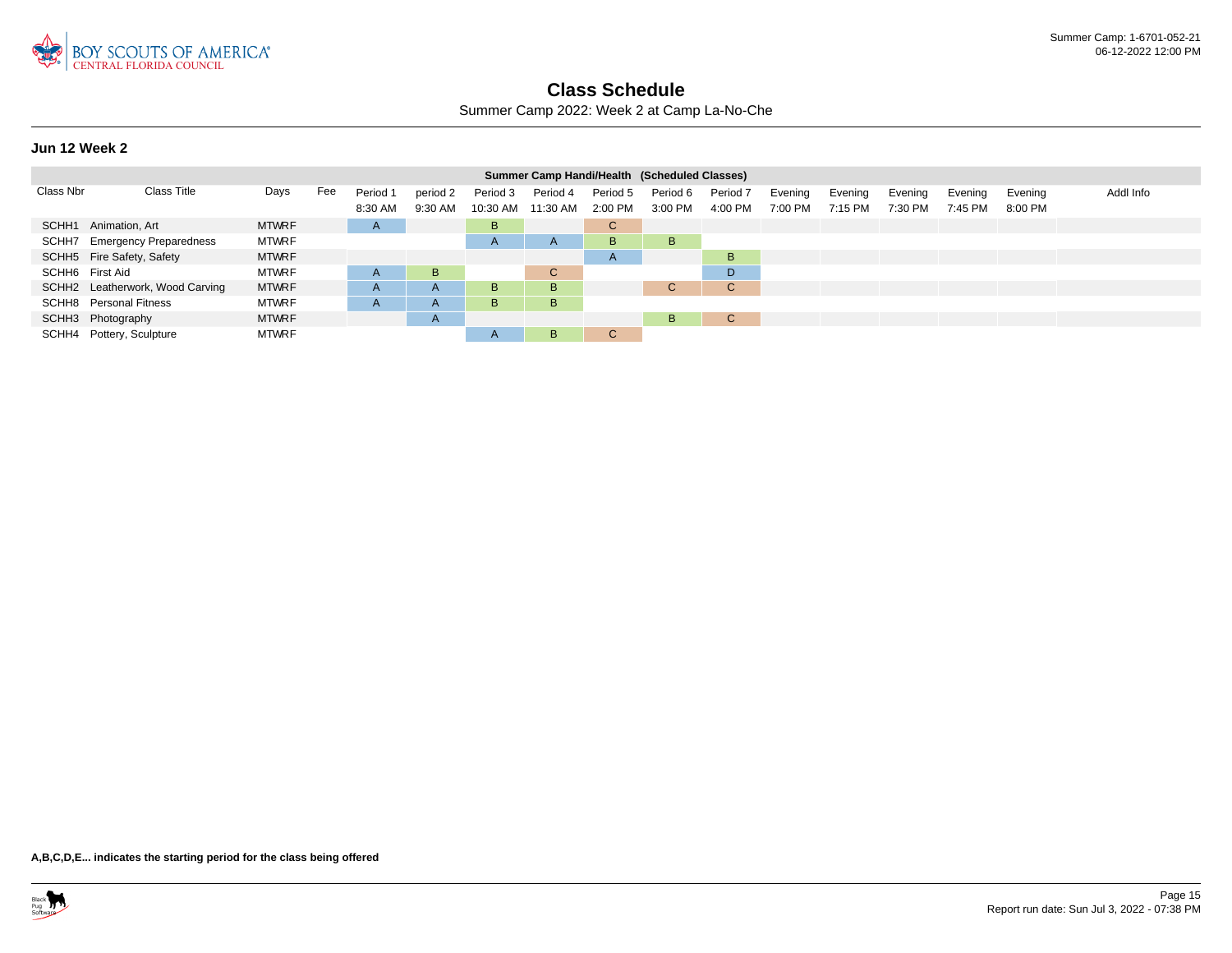

Summer Camp 2022: Week 2 at Camp La-No-Che

### **Jun 12 Week 2**

|                 |                                 |              |     |              |                |              | Summer Camp Handi/Health (Scheduled Classes) |              |          |                     |         |         |         |         |         |           |
|-----------------|---------------------------------|--------------|-----|--------------|----------------|--------------|----------------------------------------------|--------------|----------|---------------------|---------|---------|---------|---------|---------|-----------|
| Class Nbr       | <b>Class Title</b>              | Days         | Fee | Period 1     | period 2       | Period 3     | Period 4                                     | Period 5     | Period 6 | Period <sub>7</sub> | Evening | Evening | Evening | Evening | Evening | Addl Info |
|                 |                                 |              |     | 8:30 AM      | 9:30 AM        | 10:30 AM     | 11:30 AM                                     | 2:00 PM      | 3:00 PM  | 4:00 PM             | 7:00 PM | 7:15 PM | 7:30 PM | 7:45 PM | 8:00 PM |           |
|                 | SCHH1 Animation, Art            | <b>MTWRF</b> |     | $\mathsf{H}$ |                | B            |                                              | C.           |          |                     |         |         |         |         |         |           |
|                 | SCHH7 Emergency Preparedness    | <b>MTWRF</b> |     |              |                | $\mathsf{A}$ | $\mathsf{A}$                                 | B.           | B.       |                     |         |         |         |         |         |           |
|                 | SCHH5 Fire Safety, Safety       | <b>MTWRF</b> |     |              |                |              |                                              | $\mathsf{A}$ |          | B.                  |         |         |         |         |         |           |
| SCHH6 First Aid |                                 | <b>MTWRF</b> |     | A            | B.             |              | $\mathsf{C}$                                 |              |          | D.                  |         |         |         |         |         |           |
|                 | SCHH2 Leatherwork, Wood Carving | <b>MTWRF</b> |     | A            | $\overline{A}$ | B            | B                                            |              | C.       | C.                  |         |         |         |         |         |           |
|                 | <b>SCHH8</b> Personal Fitness   | <b>MTWRF</b> |     | $\mathsf{H}$ | $\mathsf{A}$   | B            | B.                                           |              |          |                     |         |         |         |         |         |           |
|                 | SCHH3 Photography               | <b>MTWRF</b> |     |              | $\mathsf{A}$   |              |                                              |              | B.       | $\mathbf{C}$        |         |         |         |         |         |           |
|                 | SCHH4 Pottery, Sculpture        | <b>MTWRF</b> |     |              |                | $\mathsf{A}$ | B                                            | $\mathbf{C}$ |          |                     |         |         |         |         |         |           |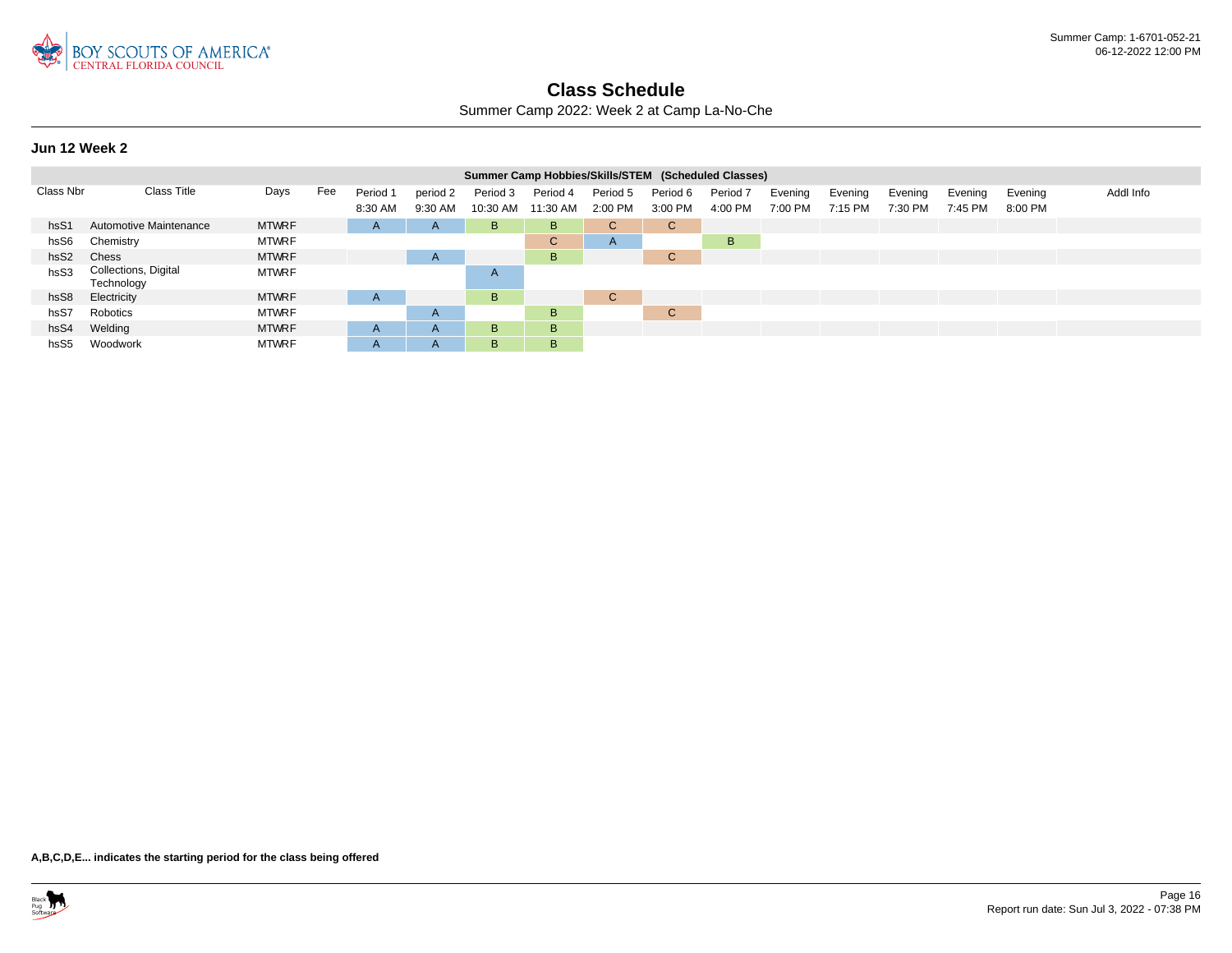

Summer Camp 2022: Week 2 at Camp La-No-Che

**Jun 12 Week 2**

|                  |                                    |              |     |              |                |          | Summer Camp Hobbies/Skills/STEM (Scheduled Classes) |              |          |          |         |         |         |         |         |           |
|------------------|------------------------------------|--------------|-----|--------------|----------------|----------|-----------------------------------------------------|--------------|----------|----------|---------|---------|---------|---------|---------|-----------|
| Class Nbr        | <b>Class Title</b>                 | Days         | Fee | Period 1     | period 2       | Period 3 | Period 4                                            | Period 5     | Period 6 | Period 7 | Evening | Evening | Evening | Evening | Evening | Addl Info |
|                  |                                    |              |     | 8:30 AM      | 9:30 AM        | 10:30 AM | 11:30 AM                                            | 2:00 PM      | 3:00 PM  | 4:00 PM  | 7:00 PM | 7:15 PM | 7:30 PM | 7:45 PM | 8:00 PM |           |
| hsS1             | Automotive Maintenance             | <b>MTWRF</b> |     | $\mathsf{A}$ | $\mathsf{A}$   | B        | B                                                   | $\mathsf{C}$ | C.       |          |         |         |         |         |         |           |
| hsS6             | Chemistry                          | <b>MTWRF</b> |     |              |                |          | $\mathsf{C}$                                        | A            |          | B        |         |         |         |         |         |           |
| hsS <sub>2</sub> | Chess                              | <b>MTWRF</b> |     |              | $\overline{A}$ |          | B                                                   |              | С        |          |         |         |         |         |         |           |
| hsS3             | Collections, Digital<br>Technology | <b>MTWRF</b> |     |              |                | A        |                                                     |              |          |          |         |         |         |         |         |           |
| hsS8             | Electricity                        | <b>MTWRF</b> |     | A            |                | B        |                                                     | $\mathsf{C}$ |          |          |         |         |         |         |         |           |
| hsS7             | Robotics                           | <b>MTWRF</b> |     |              | $\mathsf{A}$   |          | B                                                   |              | С        |          |         |         |         |         |         |           |
| hsS4             | Welding                            | <b>MTWRF</b> |     | $\mathsf{A}$ | A              | B.       | B                                                   |              |          |          |         |         |         |         |         |           |
| hsS <sub>5</sub> | Woodwork                           | <b>MTWRF</b> |     | $\mathsf{A}$ | A              | B        | B                                                   |              |          |          |         |         |         |         |         |           |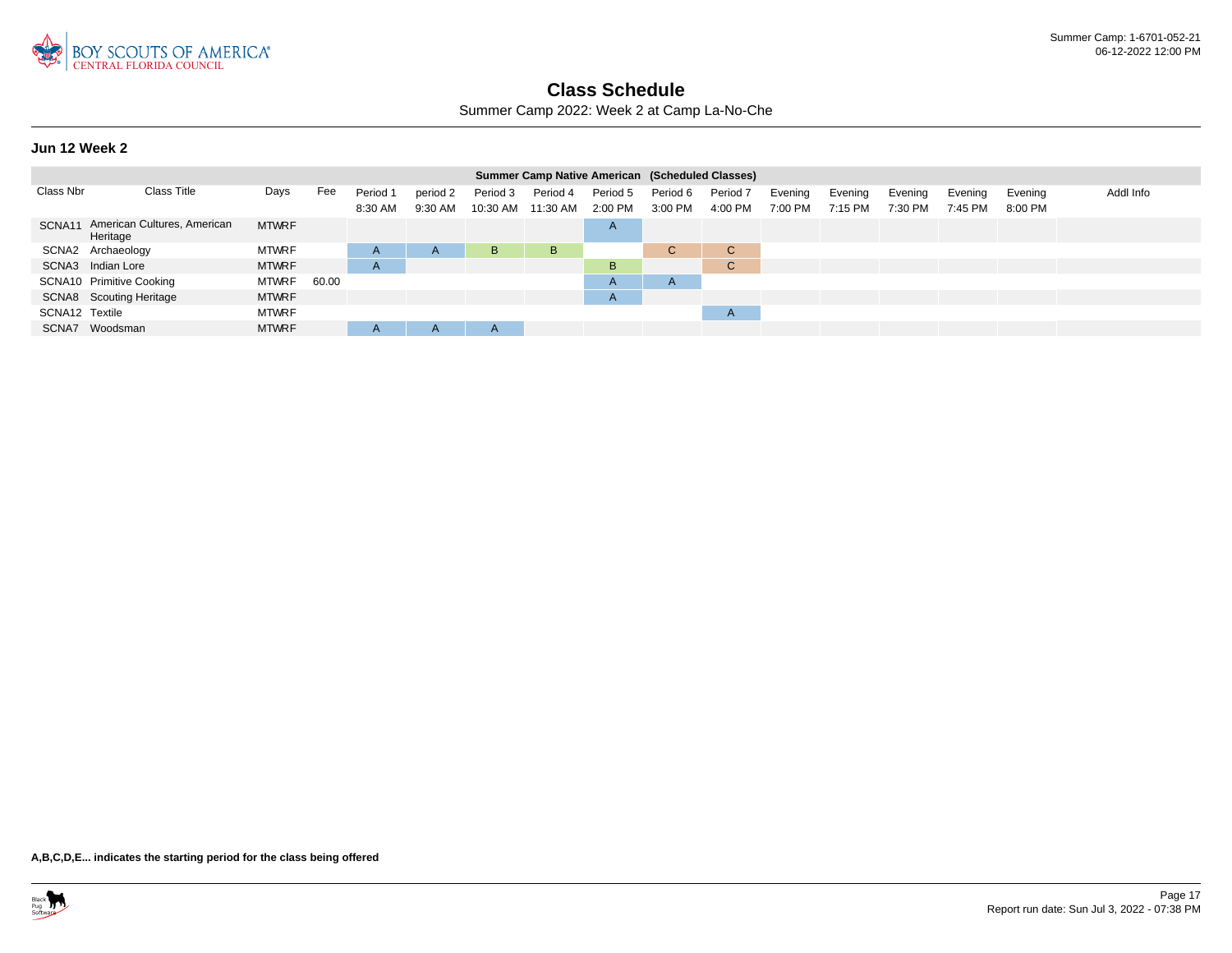

Summer Camp 2022: Week 2 at Camp La-No-Che

#### **Jun 12 Week 2**

|                |                                         |              |       |          |              |              | Summer Camp Native American (Scheduled Classes) |              |              |                     |         |         |         |         |         |           |
|----------------|-----------------------------------------|--------------|-------|----------|--------------|--------------|-------------------------------------------------|--------------|--------------|---------------------|---------|---------|---------|---------|---------|-----------|
| Class Nbr      | Class Title                             | Days         | Fee   | Period 1 | period 2     | Period 3     | Period 4                                        | Period 5     | Period 6     | Period <sub>7</sub> | Evening | Evening | Evening | Evening | Evening | Addl Info |
|                |                                         |              |       | 8:30 AM  | 9:30 AM      | $10:30$ AM   | 11:30 AM                                        | $2:00$ PM    | 3:00 PM      | 4:00 PM             | 7:00 PM | 7:15 PM | 7:30 PM | 7:45 PM | 8:00 PM |           |
| SCNA11         | American Cultures, American<br>Heritage | <b>MTWRF</b> |       |          |              |              |                                                 | $\mathsf{A}$ |              |                     |         |         |         |         |         |           |
|                | SCNA2 Archaeology                       | <b>MTWRF</b> |       | A        | $\mathsf{A}$ | B            | B                                               |              | C.           | $\mathbf{C}$        |         |         |         |         |         |           |
|                | SCNA3 Indian Lore                       | <b>MTWRF</b> |       | A        |              |              |                                                 | B.           |              | $\mathbf{C}$        |         |         |         |         |         |           |
|                | SCNA10 Primitive Cooking                | <b>MTWRF</b> | 60.00 |          |              |              |                                                 | A            | $\mathsf{H}$ |                     |         |         |         |         |         |           |
|                | SCNA8 Scouting Heritage                 | <b>MTWRF</b> |       |          |              |              |                                                 | $\mathsf{A}$ |              |                     |         |         |         |         |         |           |
| SCNA12 Textile |                                         | <b>MTWRF</b> |       |          |              |              |                                                 |              |              | $\mathsf{A}$        |         |         |         |         |         |           |
| SCNA7          | Woodsman                                | <b>MTWRF</b> |       | A        | $\mathsf{A}$ | $\mathsf{A}$ |                                                 |              |              |                     |         |         |         |         |         |           |

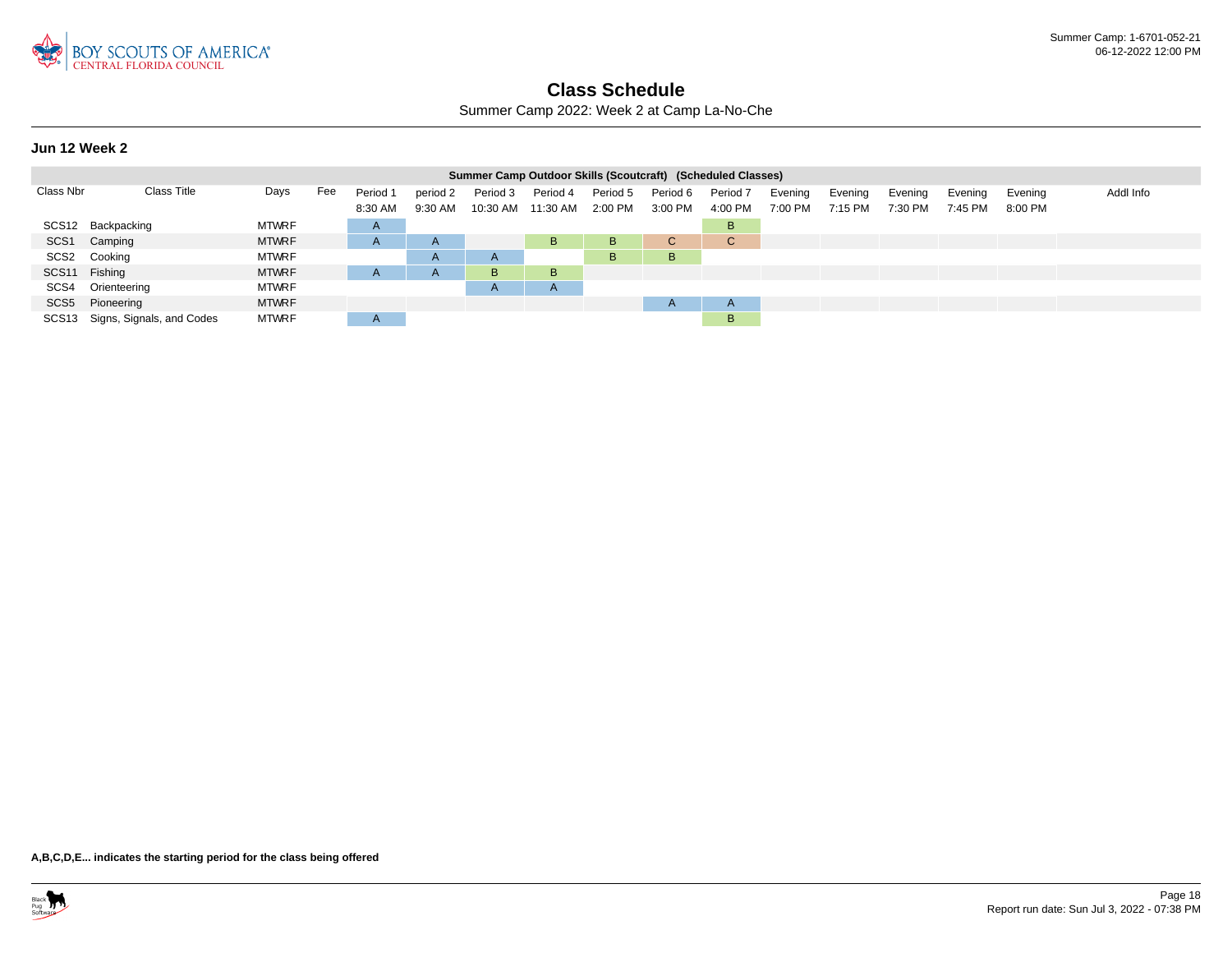

Summer Camp 2022: Week 2 at Camp La-No-Che

#### **Jun 12 Week 2**

|                  |                                 |              |     |              |              |              | Summer Camp Outdoor Skills (Scoutcraft) (Scheduled Classes) |          |              |          |         |         |         |         |         |           |
|------------------|---------------------------------|--------------|-----|--------------|--------------|--------------|-------------------------------------------------------------|----------|--------------|----------|---------|---------|---------|---------|---------|-----------|
| Class Nbr        | Class Title                     | Days         | Fee | Period 1     | period 2     | Period 3     | Period 4                                                    | Period 5 | Period 6     | Period 7 | Evening | Evening | Evening | Evenina | Evening | Addl Info |
|                  |                                 |              |     | 8:30 AM      | 9:30 AM      |              | 10:30 AM  11:30 AM                                          | 2:00 PM  | 3:00 PM      | 4:00 PM  | 7:00 PM | 7:15 PM | 7:30 PM | 7:45 PM | 8:00 PM |           |
|                  | SCS12 Backpacking               | <b>MTWRF</b> |     | $\mathsf{A}$ |              |              |                                                             |          |              | B        |         |         |         |         |         |           |
| SCS <sub>1</sub> | Camping                         | <b>MTWRF</b> |     | A            | $\mathsf{A}$ |              | B.                                                          | B        | C.           | C.       |         |         |         |         |         |           |
|                  | SCS2 Cooking                    | <b>MTWRF</b> |     |              | $\mathsf{A}$ | $\mathsf{A}$ |                                                             | B.       | в            |          |         |         |         |         |         |           |
| SCS11 Fishing    |                                 | <b>MTWRF</b> |     |              | $\mathsf{A}$ | B            | B.                                                          |          |              |          |         |         |         |         |         |           |
|                  | SCS4 Orienteering               | <b>MTWRF</b> |     |              |              | $\mathsf{A}$ | $\mathsf{A}$                                                |          |              |          |         |         |         |         |         |           |
|                  | SCS5 Pioneering                 | <b>MTWRF</b> |     |              |              |              |                                                             |          | $\mathsf{A}$ | A        |         |         |         |         |         |           |
|                  | SCS13 Signs, Signals, and Codes | <b>MTWRF</b> |     | $\mathsf{A}$ |              |              |                                                             |          |              | B        |         |         |         |         |         |           |

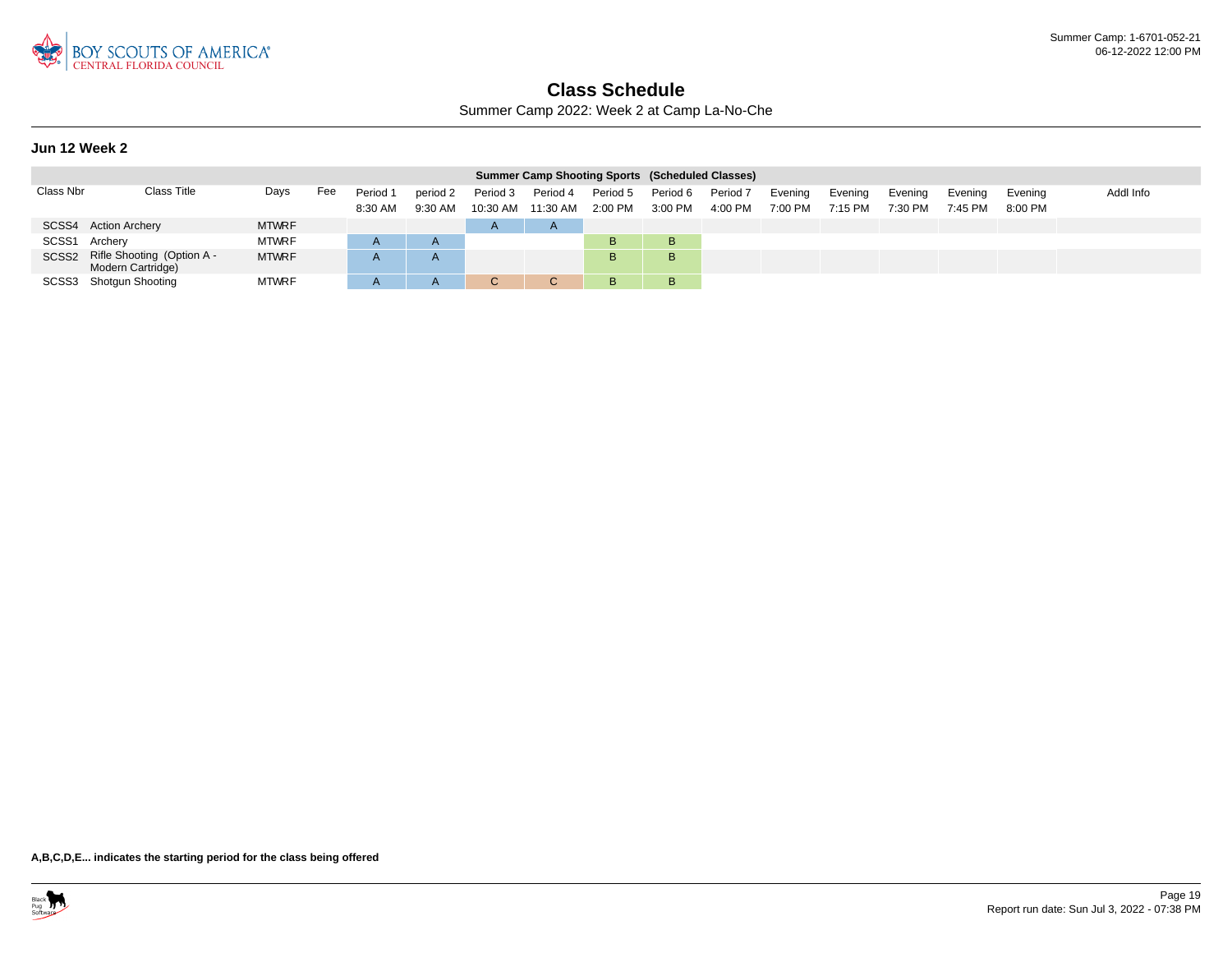

Summer Camp 2022: Week 2 at Camp La-No-Che

#### **Jun 12 Week 2**

|               |                                                       |              |     |                     |                     |                      | <b>Summer Camp Shooting Sports (Scheduled Classes)</b> |                       |                     |                     |                    |                    |                    |                    |                    |           |
|---------------|-------------------------------------------------------|--------------|-----|---------------------|---------------------|----------------------|--------------------------------------------------------|-----------------------|---------------------|---------------------|--------------------|--------------------|--------------------|--------------------|--------------------|-----------|
| Class Nbr     | Class Title                                           | Days         | Fee | Period 1<br>8:30 AM | period 2<br>9:30 AM | Period 3<br>10:30 AM | Period 4<br>11:30 AM                                   | Period 5<br>$2:00$ PM | Period 6<br>3:00 PM | Period 7<br>4:00 PM | Evening<br>7:00 PM | Evening<br>7:15 PM | Evening<br>7:30 PM | Evening<br>7:45 PM | Evening<br>8:00 PM | Addl Info |
|               | SCSS4 Action Archery                                  | <b>MTWRF</b> |     |                     |                     | $\overline{A}$       | $\mathsf{A}$                                           |                       |                     |                     |                    |                    |                    |                    |                    |           |
| SCSS1 Archery |                                                       | <b>MTWRF</b> |     |                     | $\mathsf{A}$        |                      |                                                        | B.                    | в                   |                     |                    |                    |                    |                    |                    |           |
|               | SCSS2 Rifle Shooting (Option A -<br>Modern Cartridge) | <b>MTWRF</b> |     |                     | $\mathsf{A}$        |                      |                                                        | B.                    | B                   |                     |                    |                    |                    |                    |                    |           |
|               | SCSS3 Shotgun Shooting                                | <b>MTWRF</b> |     |                     | A                   |                      |                                                        | B                     | В                   |                     |                    |                    |                    |                    |                    |           |

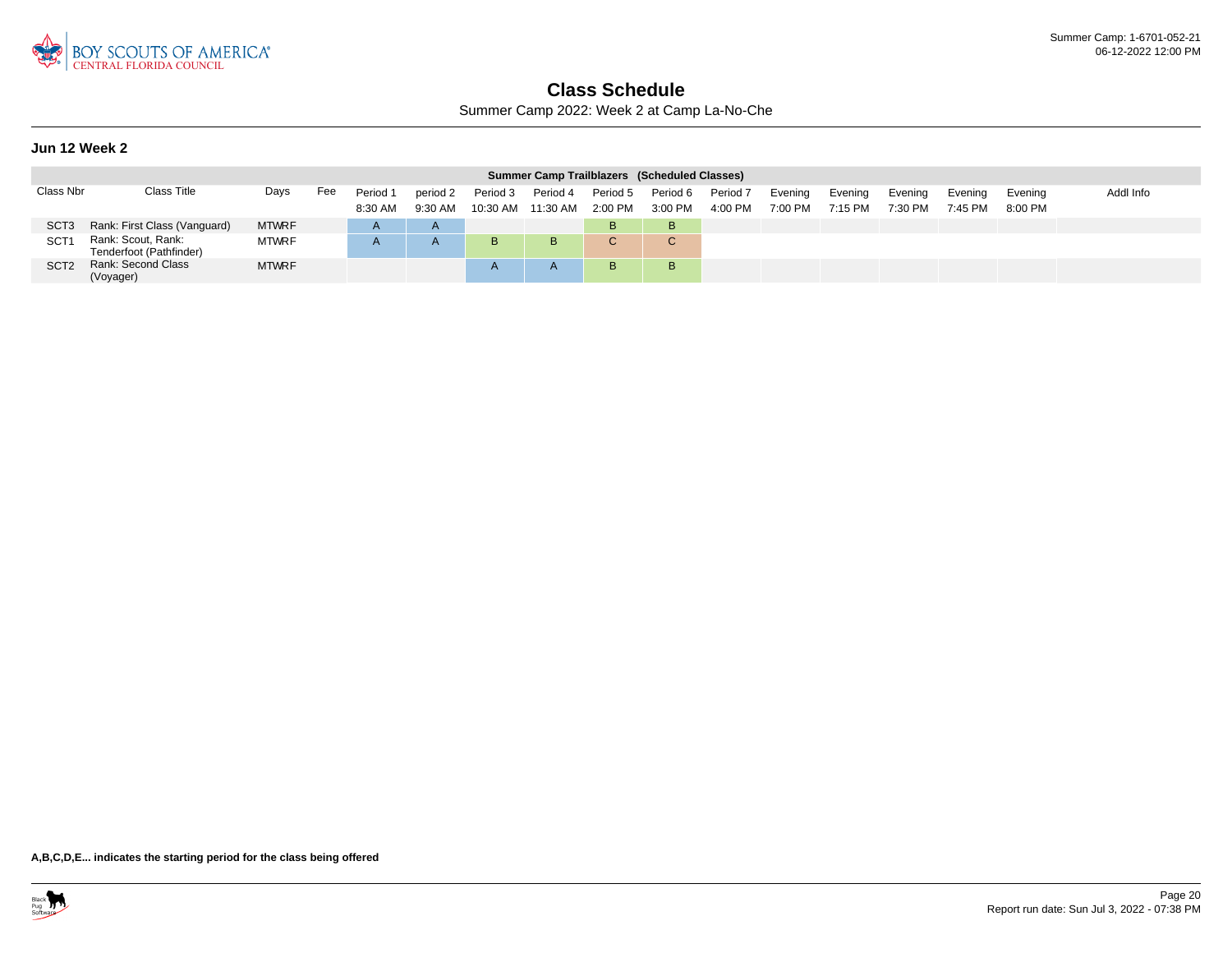

Summer Camp 2022: Week 2 at Camp La-No-Che

#### **Jun 12 Week 2**

|                  |                                               |              |     |          |              |            |                    |          | Summer Camp Trailblazers (Scheduled Classes) |          |         |         |         |         |           |           |
|------------------|-----------------------------------------------|--------------|-----|----------|--------------|------------|--------------------|----------|----------------------------------------------|----------|---------|---------|---------|---------|-----------|-----------|
| Class Nbr        | Class Title                                   | Days         | Fee | Period 1 | period 2     | Period 3   | Period 4           | Period 5 | Period 6                                     | Period 7 | Evening | Evening | Evening | Evening | Evening   | Addl Info |
|                  |                                               |              |     | 8:30 AM  | $9:30$ AM    |            | 10:30 AM  11:30 AM | 2:00 PM  | 3:00 PM                                      | 4:00 PM  | 7:00 PM | 7:15 PM | 7:30 PM | 7:45 PM | $8:00$ PM |           |
| SCT <sub>3</sub> | Rank: First Class (Vanguard)                  | <b>MTWRF</b> |     |          |              |            |                    | B        |                                              |          |         |         |         |         |           |           |
| SCT <sub>1</sub> | Rank: Scout, Rank:<br>Tenderfoot (Pathfinder) | <b>MTWRF</b> |     |          | $\mathsf{A}$ | B          | B                  | $\sim$   | $\sim$<br>$\bullet$                          |          |         |         |         |         |           |           |
| SCT <sub>2</sub> | Rank: Second Class<br>(Voyager)               | <b>MTWRF</b> |     |          |              | $\sqrt{ }$ |                    | B.       |                                              |          |         |         |         |         |           |           |

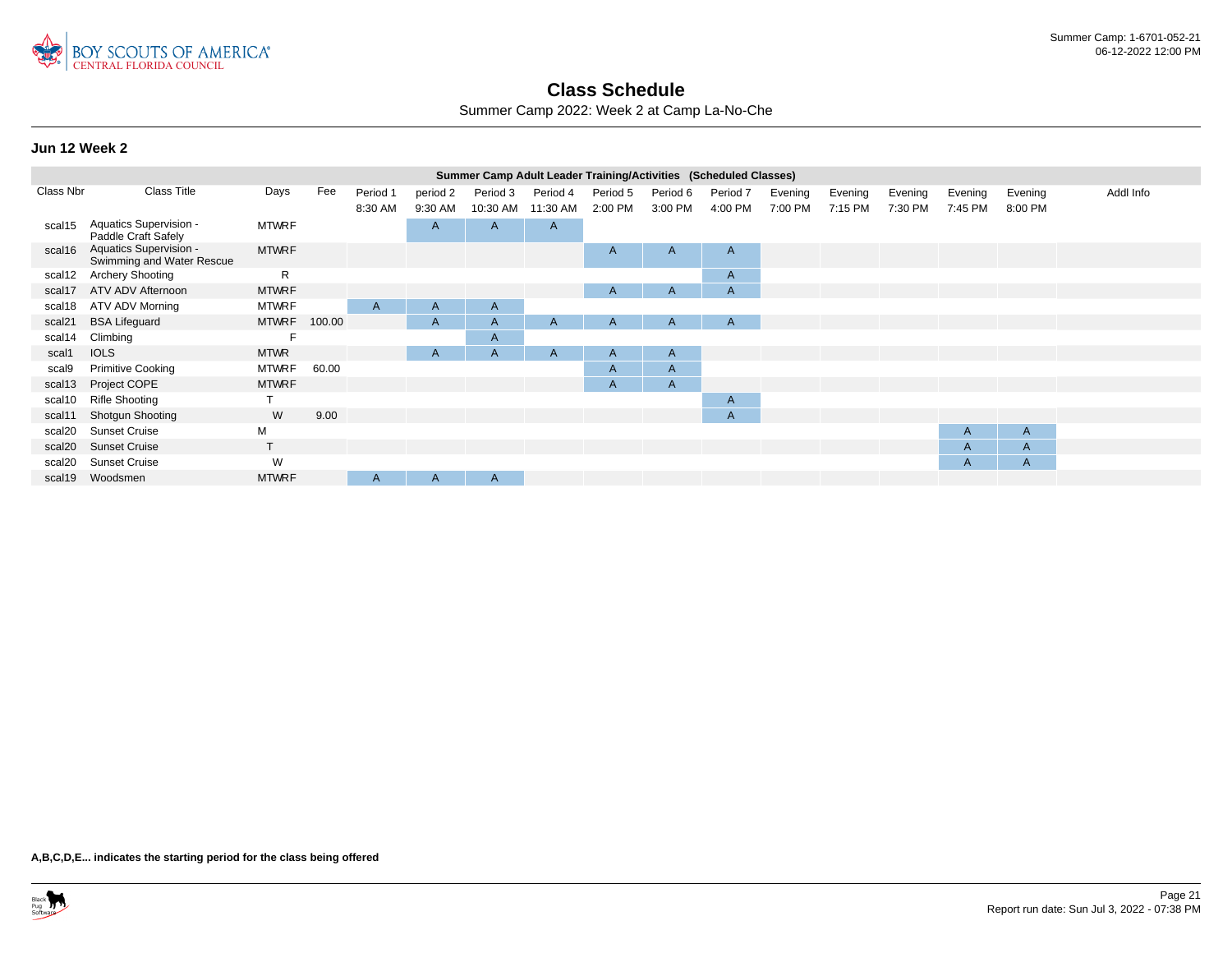

Summer Camp 2022: Week 2 at Camp La-No-Che

#### **Jun 12 Week 2**

|                    |                                                     |              |        |                     |                     | Summer Camp Adult Leader Training/Activities (Scheduled Classes) |                      |                     |                     |                     |                    |                    |                    |                    |                    |           |
|--------------------|-----------------------------------------------------|--------------|--------|---------------------|---------------------|------------------------------------------------------------------|----------------------|---------------------|---------------------|---------------------|--------------------|--------------------|--------------------|--------------------|--------------------|-----------|
| Class Nbr          | <b>Class Title</b>                                  | Days         | Fee    | Period 1<br>8:30 AM | period 2<br>9:30 AM | Period 3<br>10:30 AM                                             | Period 4<br>11:30 AM | Period 5<br>2:00 PM | Period 6<br>3:00 PM | Period 7<br>4:00 PM | Evening<br>7:00 PM | Evening<br>7:15 PM | Evening<br>7:30 PM | Evening<br>7:45 PM | Evening<br>8:00 PM | Addl Info |
| scal15             | Aquatics Supervision -<br>Paddle Craft Safely       | <b>MTWRF</b> |        |                     | A                   | $\mathsf{A}$                                                     | $\mathsf{A}$         |                     |                     |                     |                    |                    |                    |                    |                    |           |
| scal16             | Aquatics Supervision -<br>Swimming and Water Rescue | <b>MTWRF</b> |        |                     |                     |                                                                  |                      | A                   | A                   | $\mathsf{A}$        |                    |                    |                    |                    |                    |           |
| scal12             | <b>Archery Shooting</b>                             | R            |        |                     |                     |                                                                  |                      |                     |                     | $\mathsf{A}$        |                    |                    |                    |                    |                    |           |
| scal17             | ATV ADV Afternoon                                   | <b>MTWRF</b> |        |                     |                     |                                                                  |                      | A                   | A                   | $\mathsf{A}$        |                    |                    |                    |                    |                    |           |
| scal18             | ATV ADV Morning                                     | <b>MTWRF</b> |        | A                   | A                   | $\mathsf{A}$                                                     |                      |                     |                     |                     |                    |                    |                    |                    |                    |           |
| scal <sub>21</sub> | <b>BSA Lifeguard</b>                                | <b>MTWRF</b> | 100.00 |                     | A                   | $\mathsf{A}$                                                     | A                    | A                   | A                   | A                   |                    |                    |                    |                    |                    |           |
| scal14             | Climbing                                            | F            |        |                     |                     | A                                                                |                      |                     |                     |                     |                    |                    |                    |                    |                    |           |
| scal1              | <b>IOLS</b>                                         | <b>MTWR</b>  |        |                     | A                   | A                                                                | A                    | A                   | A                   |                     |                    |                    |                    |                    |                    |           |
| scal9              | <b>Primitive Cooking</b>                            | <b>MTWRF</b> | 60.00  |                     |                     |                                                                  |                      | A                   | $\mathsf{A}$        |                     |                    |                    |                    |                    |                    |           |
| scal13             | Project COPE                                        | <b>MTWRF</b> |        |                     |                     |                                                                  |                      | A                   | $\mathsf{A}$        |                     |                    |                    |                    |                    |                    |           |
| scal10             | <b>Rifle Shooting</b>                               |              |        |                     |                     |                                                                  |                      |                     |                     | $\mathsf{A}$        |                    |                    |                    |                    |                    |           |
| scal11             | <b>Shotgun Shooting</b>                             | W            | 9.00   |                     |                     |                                                                  |                      |                     |                     | $\mathsf{A}$        |                    |                    |                    |                    |                    |           |
| scal20             | <b>Sunset Cruise</b>                                | М            |        |                     |                     |                                                                  |                      |                     |                     |                     |                    |                    |                    | A                  | A                  |           |
| scal20             | <b>Sunset Cruise</b>                                | $\mathsf{T}$ |        |                     |                     |                                                                  |                      |                     |                     |                     |                    |                    |                    | A                  | A                  |           |
| scal20             | <b>Sunset Cruise</b>                                | W            |        |                     |                     |                                                                  |                      |                     |                     |                     |                    |                    |                    | $\mathsf{A}$       | A                  |           |
| scal19             | Woodsmen                                            | <b>MTWRF</b> |        | A                   | A                   | A                                                                |                      |                     |                     |                     |                    |                    |                    |                    |                    |           |
|                    |                                                     |              |        |                     |                     |                                                                  |                      |                     |                     |                     |                    |                    |                    |                    |                    |           |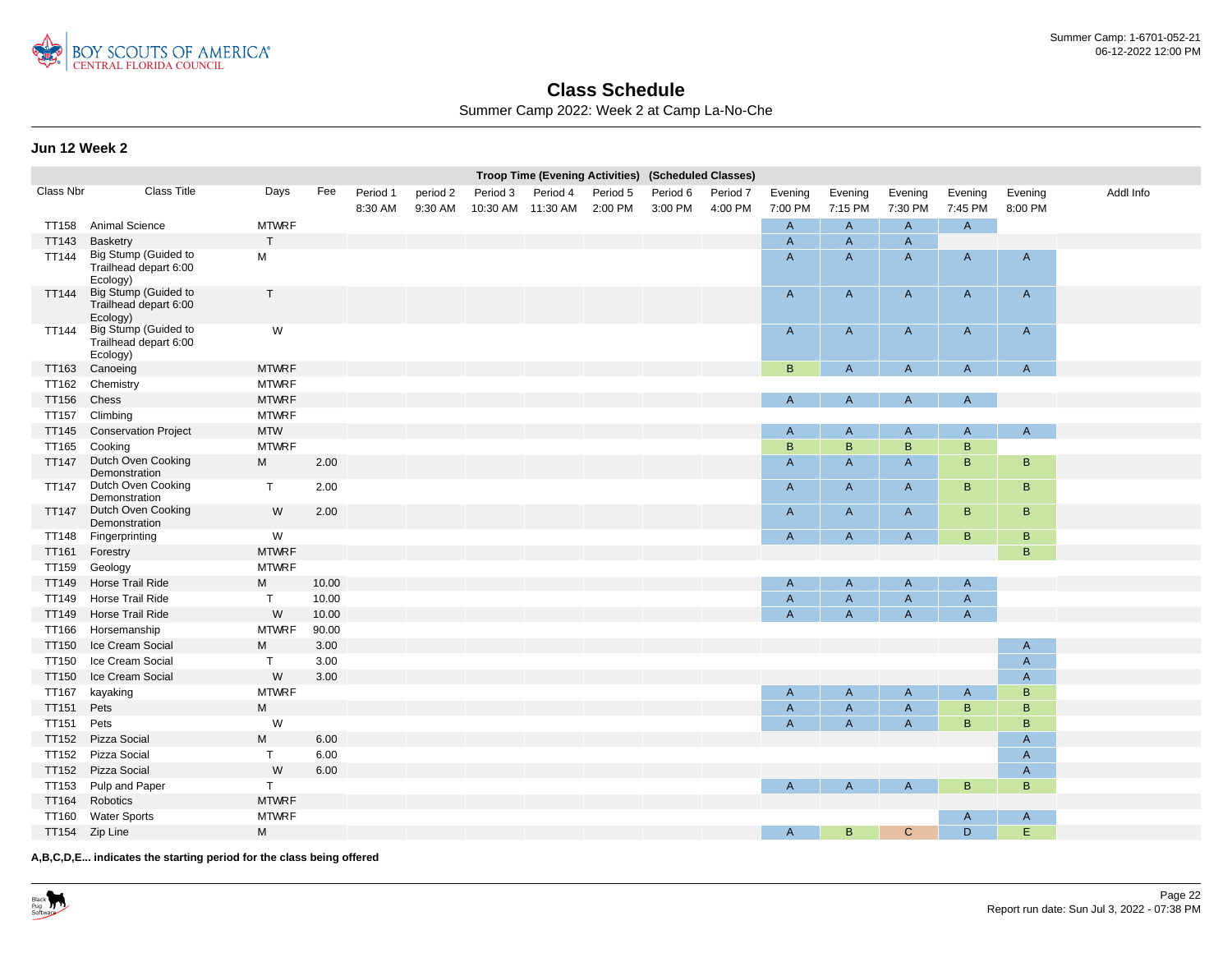

Summer Camp 2022: Week 2 at Camp La-No-Che

#### **Jun 12 Week 2**

|              |                                                           |              |       |          |          |                   | Troop Time (Evening Activities) (Scheduled Classes) |          |          |          |                |                           |                |              |              |           |
|--------------|-----------------------------------------------------------|--------------|-------|----------|----------|-------------------|-----------------------------------------------------|----------|----------|----------|----------------|---------------------------|----------------|--------------|--------------|-----------|
| Class Nbr    | <b>Class Title</b>                                        | Days         | Fee   | Period 1 | period 2 | Period 3          | Period 4                                            | Period 5 | Period 6 | Period 7 | Evening        | Evening                   | Evening        | Evening      | Evening      | Addl Info |
|              |                                                           |              |       | 8:30 AM  | 9:30 AM  | 10:30 AM 11:30 AM |                                                     | 2:00 PM  | 3:00 PM  | 4:00 PM  | 7:00 PM        | 7:15 PM                   | 7:30 PM        | 7:45 PM      | 8:00 PM      |           |
| TT158        | <b>Animal Science</b>                                     | <b>MTWRF</b> |       |          |          |                   |                                                     |          |          |          | A              | $\mathsf{A}$              | $\mathsf{A}$   | $\mathsf{A}$ |              |           |
| TT143        | Basketry                                                  | $\mathsf{T}$ |       |          |          |                   |                                                     |          |          |          | $\overline{A}$ | $\mathsf{A}$              | $\overline{A}$ |              |              |           |
| <b>TT144</b> | Big Stump (Guided to<br>Trailhead depart 6:00<br>Ecology) | M            |       |          |          |                   |                                                     |          |          |          | $\overline{A}$ | $\mathsf{A}$              | $\overline{A}$ | A            | $\mathsf{A}$ |           |
| <b>TT144</b> | Big Stump (Guided to<br>Trailhead depart 6:00<br>Ecology) | $\mathsf{T}$ |       |          |          |                   |                                                     |          |          |          | $\mathsf{A}$   | $\mathsf{A}$              | $\mathsf{A}$   | A            | $\mathsf{A}$ |           |
| TT144        | Big Stump (Guided to<br>Trailhead depart 6:00<br>Ecology) | W            |       |          |          |                   |                                                     |          |          |          | A              | $\mathsf{A}$              | $\mathsf{A}$   | A            | A            |           |
| TT163        | Canoeing                                                  | <b>MTWRF</b> |       |          |          |                   |                                                     |          |          |          | $\, {\bf B}$   | $\overline{A}$            | $\mathsf{A}$   | A            | A            |           |
| <b>TT162</b> | Chemistry                                                 | <b>MTWRF</b> |       |          |          |                   |                                                     |          |          |          |                |                           |                |              |              |           |
| TT156        | Chess                                                     | <b>MTWRF</b> |       |          |          |                   |                                                     |          |          |          | A              | $\overline{A}$            | $\mathsf{A}$   | A            |              |           |
| <b>TT157</b> | Climbing                                                  | <b>MTWRF</b> |       |          |          |                   |                                                     |          |          |          |                |                           |                |              |              |           |
| <b>TT145</b> | <b>Conservation Project</b>                               | <b>MTW</b>   |       |          |          |                   |                                                     |          |          |          | $\mathsf{A}$   | $\mathsf{A}$              | $\mathsf{A}$   | A            | $\mathsf{A}$ |           |
| TT165        | Cooking                                                   | <b>MTWRF</b> |       |          |          |                   |                                                     |          |          |          | B              | B                         | B              | B            |              |           |
| <b>TT147</b> | Dutch Oven Cooking<br>Demonstration                       | M            | 2.00  |          |          |                   |                                                     |          |          |          | $\overline{A}$ | $\mathsf{A}$              | $\mathsf{A}$   | B            | B            |           |
| <b>TT147</b> | Dutch Oven Cooking<br>Demonstration                       | $\mathsf{T}$ | 2.00  |          |          |                   |                                                     |          |          |          | $\mathsf{A}$   | $\mathsf{A}$              | $\mathsf{A}$   | B            | B            |           |
| <b>TT147</b> | Dutch Oven Cooking<br>Demonstration                       | W            | 2.00  |          |          |                   |                                                     |          |          |          | A              | $\mathsf{A}$              | $\mathsf{A}$   | B            | B            |           |
| TT148        | Fingerprinting                                            | W            |       |          |          |                   |                                                     |          |          |          | A              | $\mathsf{A}$              | $\mathsf{A}$   | B            | B            |           |
| TT161        | Forestry                                                  | <b>MTWRF</b> |       |          |          |                   |                                                     |          |          |          |                |                           |                |              | B            |           |
| <b>TT159</b> | Geology                                                   | <b>MTWRF</b> |       |          |          |                   |                                                     |          |          |          |                |                           |                |              |              |           |
| TT149        | Horse Trail Ride                                          | M            | 10.00 |          |          |                   |                                                     |          |          |          | $\mathsf{A}$   | A                         | $\mathsf{A}$   | A            |              |           |
| TT149        | Horse Trail Ride                                          | $\mathsf{T}$ | 10.00 |          |          |                   |                                                     |          |          |          | $\overline{A}$ | $\overline{A}$            | $\overline{A}$ | A            |              |           |
| TT149        | Horse Trail Ride                                          | W            | 10.00 |          |          |                   |                                                     |          |          |          | $\overline{A}$ | $\overline{A}$            | $\overline{A}$ | A            |              |           |
| TT166        | Horsemanship                                              | <b>MTWRF</b> | 90.00 |          |          |                   |                                                     |          |          |          |                |                           |                |              |              |           |
| <b>TT150</b> | Ice Cream Social                                          | M            | 3.00  |          |          |                   |                                                     |          |          |          |                |                           |                |              | A            |           |
| <b>TT150</b> | Ice Cream Social                                          | $\mathsf{T}$ | 3.00  |          |          |                   |                                                     |          |          |          |                |                           |                |              | A            |           |
| <b>TT150</b> | Ice Cream Social                                          | W            | 3.00  |          |          |                   |                                                     |          |          |          |                |                           |                |              | A            |           |
| TT167        | kayaking                                                  | <b>MTWRF</b> |       |          |          |                   |                                                     |          |          |          | $\mathsf{A}$   | A                         | $\mathsf{A}$   | A            | B            |           |
| <b>TT151</b> | Pets                                                      | M            |       |          |          |                   |                                                     |          |          |          | $\overline{A}$ | $\boldsymbol{\mathsf{A}}$ | $\overline{A}$ | B            | B            |           |
| <b>TT151</b> | Pets                                                      | W            |       |          |          |                   |                                                     |          |          |          | $\overline{A}$ | $\mathsf{A}$              | $\overline{A}$ | B            | B            |           |
| <b>TT152</b> | Pizza Social                                              | M            | 6.00  |          |          |                   |                                                     |          |          |          |                |                           |                |              | A            |           |
| <b>TT152</b> | Pizza Social                                              | T            | 6.00  |          |          |                   |                                                     |          |          |          |                |                           |                |              | A            |           |
|              | TT152 Pizza Social                                        | W            | 6.00  |          |          |                   |                                                     |          |          |          |                |                           |                |              | A            |           |
| TT153        | Pulp and Paper                                            | T.           |       |          |          |                   |                                                     |          |          |          | A              | $\mathsf{A}$              | $\mathsf{A}$   | B            | B            |           |
| TT164        | Robotics                                                  | <b>MTWRF</b> |       |          |          |                   |                                                     |          |          |          |                |                           |                |              |              |           |
| TT160        | <b>Water Sports</b>                                       | <b>MTWRF</b> |       |          |          |                   |                                                     |          |          |          |                |                           |                | A            | A            |           |
|              | TT154 Zip Line                                            | M            |       |          |          |                   |                                                     |          |          |          | A              | $\mathsf B$               | $\mathbf{C}$   | D.           | E            |           |
|              |                                                           |              |       |          |          |                   |                                                     |          |          |          |                |                           |                |              |              |           |

**A,B,C,D,E... indicates the starting period for the class being offered**

Black<br>Pug<br>Software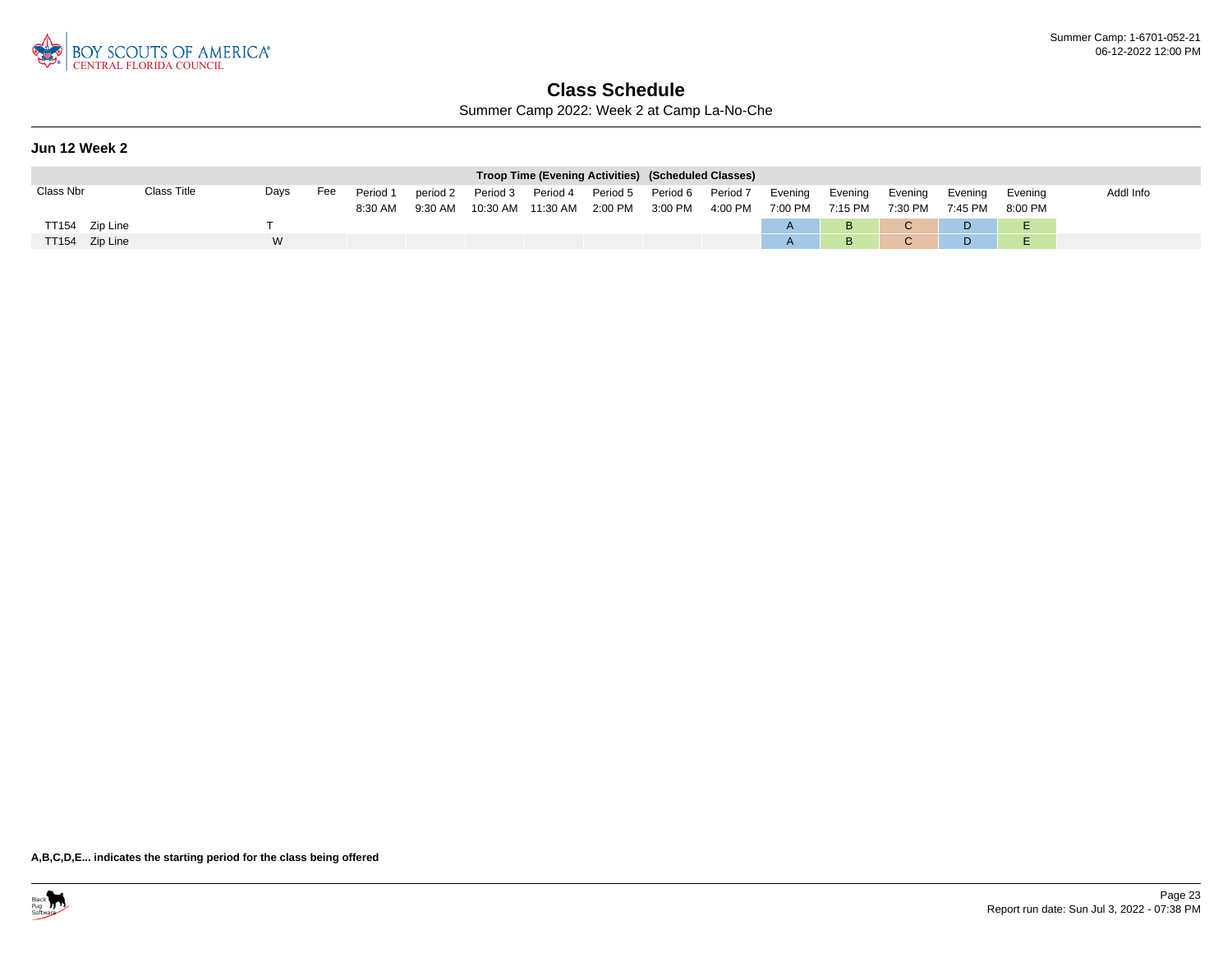

Summer Camp 2022: Week 2 at Camp La-No-Che

### **Jun 12 Week 2**

|                |             |      |     |          |           |                   | Troop Time (Evening Activities) (Scheduled Classes) |          |                   |                 |         |         |              |         |         |           |
|----------------|-------------|------|-----|----------|-----------|-------------------|-----------------------------------------------------|----------|-------------------|-----------------|---------|---------|--------------|---------|---------|-----------|
| Class Nbr      | Class Title | Days | Fee | Period 1 | period 2  | Period 3 Period 4 |                                                     | Period 5 | Period 6 Period 7 |                 | Evening | Evenina | Evenina      | Evenina | Evenina | Addl Info |
|                |             |      |     | 8:30 AM  | $9:30$ AM |                   |                                                     |          |                   | 4:00 PM 7:00 PM |         | 7:15 PM | 7:30 PM      | 7:45 PM | 8:00 PM |           |
| TT154 Zip Line |             |      |     |          |           |                   |                                                     |          |                   |                 |         | B       | $\mathbf{C}$ | D       |         |           |
| TT154 Zip Line |             | W    |     |          |           |                   |                                                     |          |                   |                 |         | B       | C.           | D.      |         |           |

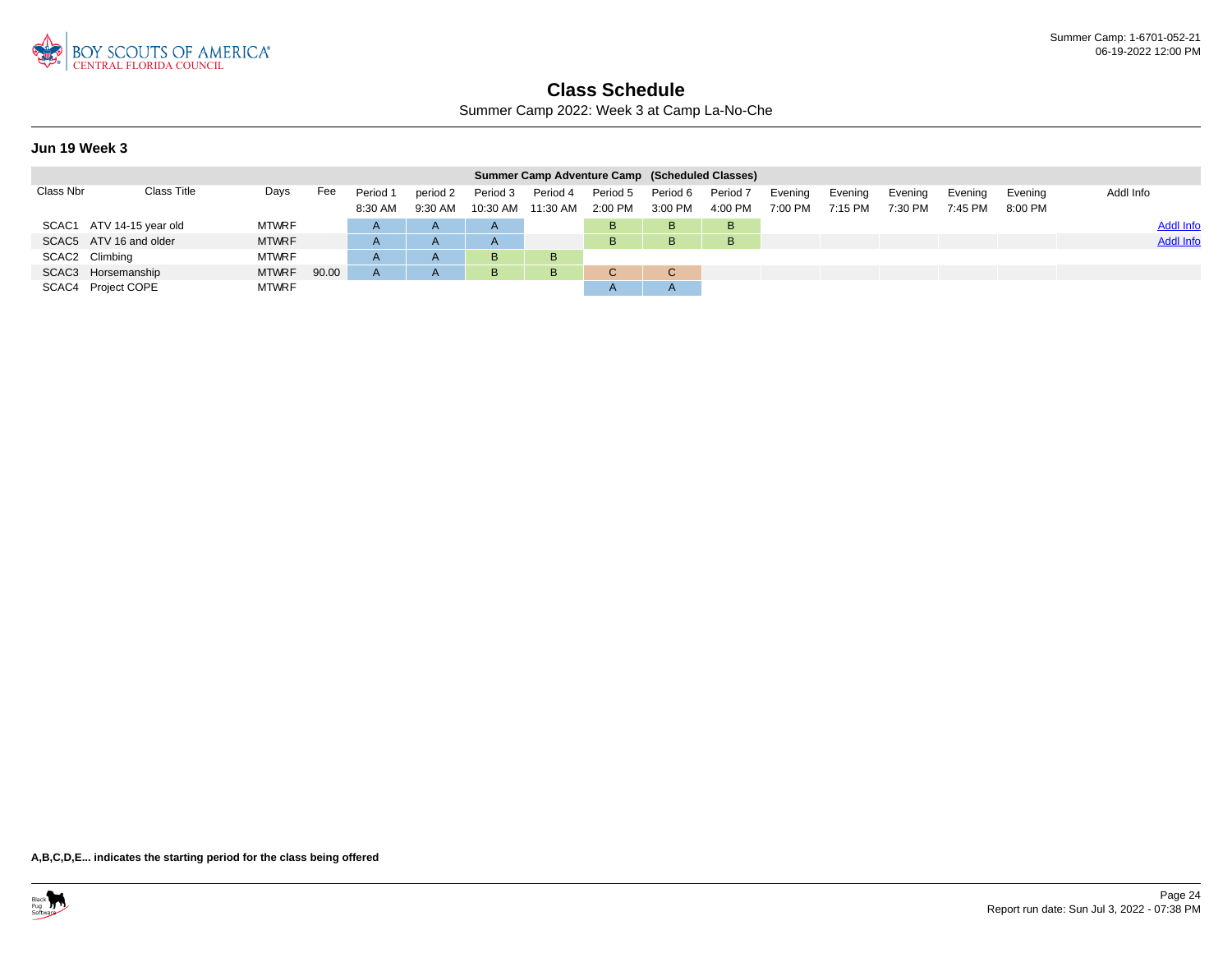

Summer Camp 2022: Week 3 at Camp La-No-Che

#### **Jun 19 Week 3**

|           |                          |              |       |                     |                       |                      | Summer Camp Adventure Camp (Scheduled Classes) |                       |                       |                       |                    |                    |                    |                    |                    |                  |
|-----------|--------------------------|--------------|-------|---------------------|-----------------------|----------------------|------------------------------------------------|-----------------------|-----------------------|-----------------------|--------------------|--------------------|--------------------|--------------------|--------------------|------------------|
| Class Nbr | Class Title              | Days         | Fee   | Period 1<br>8:30 AM | period 2<br>$9:30$ AM | Period 3<br>10:30 AM | Period 4<br>11:30 AM                           | Period 5<br>$2:00$ PM | Period 6<br>$3:00$ PM | Period 7<br>$4:00$ PM | Evening<br>7:00 PM | Evening<br>7:15 PM | Evening<br>7:30 PM | Evening<br>7:45 PM | Evenina<br>8:00 PM | Addl Info        |
|           | SCAC1 ATV 14-15 year old | <b>MTWRF</b> |       | $\mathsf{A}$        | $\mathsf{A}$          | $\mathsf{A}$         |                                                | в                     | B                     | B                     |                    |                    |                    |                    |                    | <b>Addl Info</b> |
|           | SCAC5 ATV 16 and older   | <b>MTWRF</b> |       |                     |                       | $\mathsf{A}$         |                                                | B.                    | B                     | B                     |                    |                    |                    |                    |                    | <b>Addl Info</b> |
|           | SCAC2 Climbing           | <b>MTWRF</b> |       |                     |                       | B                    | B                                              |                       |                       |                       |                    |                    |                    |                    |                    |                  |
|           | SCAC3 Horsemanship       | <b>MTWRF</b> | 90.00 |                     |                       | B                    | B                                              | $\sim$                | C                     |                       |                    |                    |                    |                    |                    |                  |
|           | SCAC4 Project COPE       | <b>MTWRF</b> |       |                     |                       |                      |                                                | ΓV.                   | $\mathsf{A}$          |                       |                    |                    |                    |                    |                    |                  |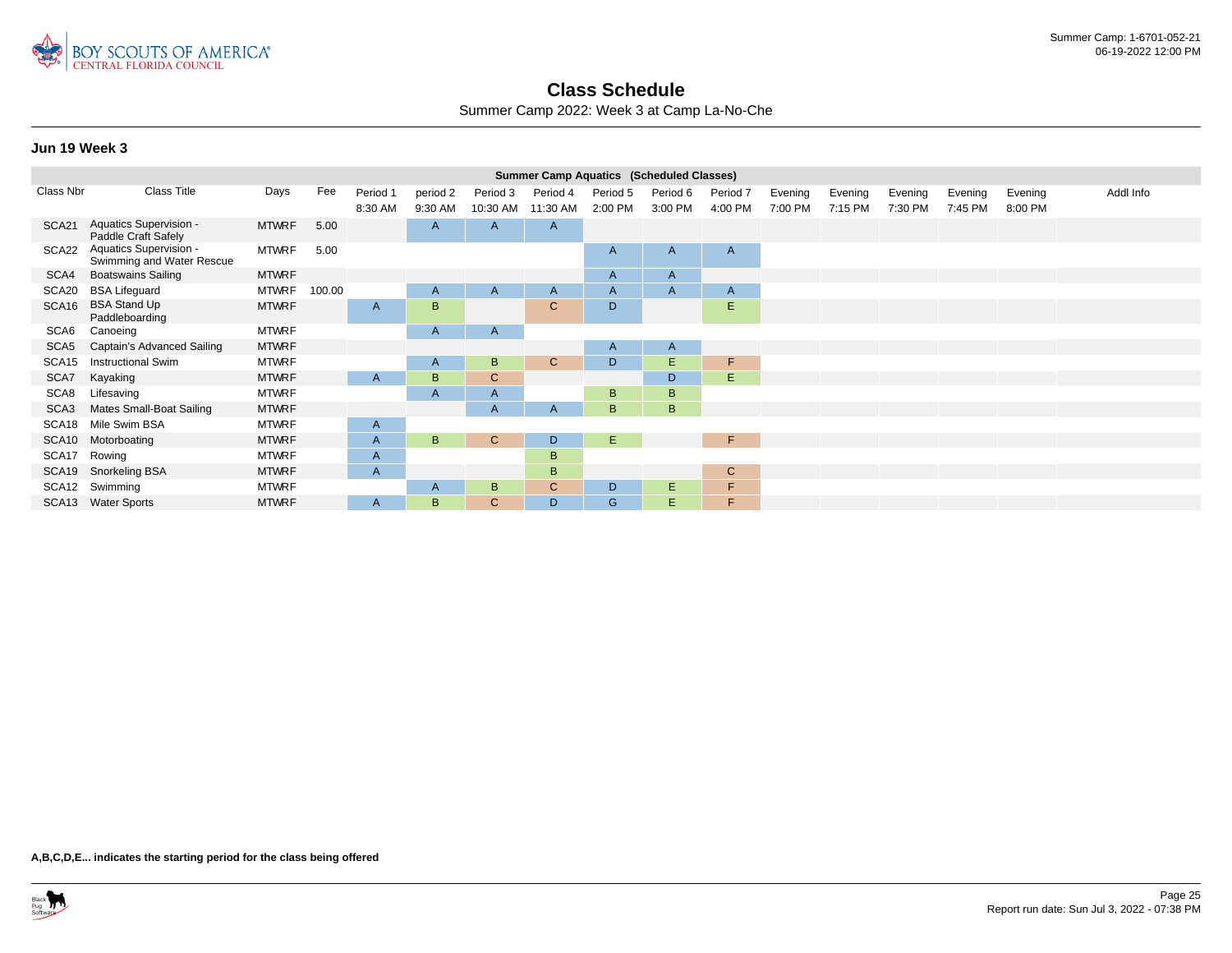

Summer Camp 2022: Week 3 at Camp La-No-Che

### **Jun 19 Week 3**

|                   |                                                     |              |        |              |              |              | <b>Summer Camp Aquatics (Scheduled Classes)</b> |              |              |                |         |         |         |         |         |           |
|-------------------|-----------------------------------------------------|--------------|--------|--------------|--------------|--------------|-------------------------------------------------|--------------|--------------|----------------|---------|---------|---------|---------|---------|-----------|
| Class Nbr         | Class Title                                         | Days         | Fee    | Period 1     | period 2     | Period 3     | Period 4                                        | Period 5     | Period 6     | Period 7       | Evening | Evening | Evening | Evening | Evening | Addl Info |
|                   |                                                     |              |        | 8:30 AM      | 9:30 AM      | 10:30 AM     | 11:30 AM                                        | 2:00 PM      | 3:00 PM      | 4:00 PM        | 7:00 PM | 7:15 PM | 7:30 PM | 7:45 PM | 8:00 PM |           |
| SCA <sub>21</sub> | Aquatics Supervision -<br>Paddle Craft Safely       | <b>MTWRF</b> | 5.00   |              | A            | A            | A                                               |              |              |                |         |         |         |         |         |           |
| SCA22             | Aquatics Supervision -<br>Swimming and Water Rescue | <b>MTWRF</b> | 5.00   |              |              |              |                                                 | $\mathsf{A}$ | A            | $\mathsf{A}$   |         |         |         |         |         |           |
| SCA4              | <b>Boatswains Sailing</b>                           | <b>MTWRF</b> |        |              |              |              |                                                 | A            | $\mathsf{A}$ |                |         |         |         |         |         |           |
| SCA20             | <b>BSA Lifeguard</b>                                | <b>MTWRF</b> | 100.00 |              | $\mathsf{A}$ | A            | $\mathsf{A}$                                    | A            | A            | $\overline{A}$ |         |         |         |         |         |           |
| SCA <sub>16</sub> | <b>BSA Stand Up</b><br>Paddleboarding               | <b>MTWRF</b> |        | A            | B            |              | $\mathsf{C}$                                    | D            |              | Е              |         |         |         |         |         |           |
| SCA6              | Canoeing                                            | <b>MTWRF</b> |        |              | A            | A            |                                                 |              |              |                |         |         |         |         |         |           |
| SCA <sub>5</sub>  | Captain's Advanced Sailing                          | <b>MTWRF</b> |        |              |              |              |                                                 | A            | A            |                |         |         |         |         |         |           |
| SCA <sub>15</sub> | <b>Instructional Swim</b>                           | <b>MTWRF</b> |        |              | A            | B            | $\mathsf{C}$                                    | D            | E.           | F              |         |         |         |         |         |           |
| SCA7              | Kayaking                                            | <b>MTWRF</b> |        | A            | B            | $\mathsf{C}$ |                                                 |              | D.           | E.             |         |         |         |         |         |           |
| SCA8              | Lifesaving                                          | <b>MTWRF</b> |        |              | A            | A            |                                                 | B            | B            |                |         |         |         |         |         |           |
| SCA <sub>3</sub>  | Mates Small-Boat Sailing                            | <b>MTWRF</b> |        |              |              | $\mathsf{A}$ | $\mathsf{A}$                                    | B.           | B            |                |         |         |         |         |         |           |
| SCA18             | Mile Swim BSA                                       | <b>MTWRF</b> |        | A            |              |              |                                                 |              |              |                |         |         |         |         |         |           |
| SCA10             | Motorboating                                        | <b>MTWRF</b> |        | A            | B            | $\mathsf{C}$ | D                                               | E.           |              | F              |         |         |         |         |         |           |
| SCA17             | Rowing                                              | <b>MTWRF</b> |        | A            |              |              | B                                               |              |              |                |         |         |         |         |         |           |
| SCA19             | Snorkeling BSA                                      | <b>MTWRF</b> |        | $\mathsf{A}$ |              |              | B                                               |              |              | $\mathsf{C}$   |         |         |         |         |         |           |
| SCA12             | Swimming                                            | <b>MTWRF</b> |        |              | A            | B            | $\mathsf{C}$                                    | D            | E.           | F              |         |         |         |         |         |           |
|                   | SCA13 Water Sports                                  | <b>MTWRF</b> |        | A            | B            | C            | D                                               | G            | Е.           | F              |         |         |         |         |         |           |
|                   |                                                     |              |        |              |              |              |                                                 |              |              |                |         |         |         |         |         |           |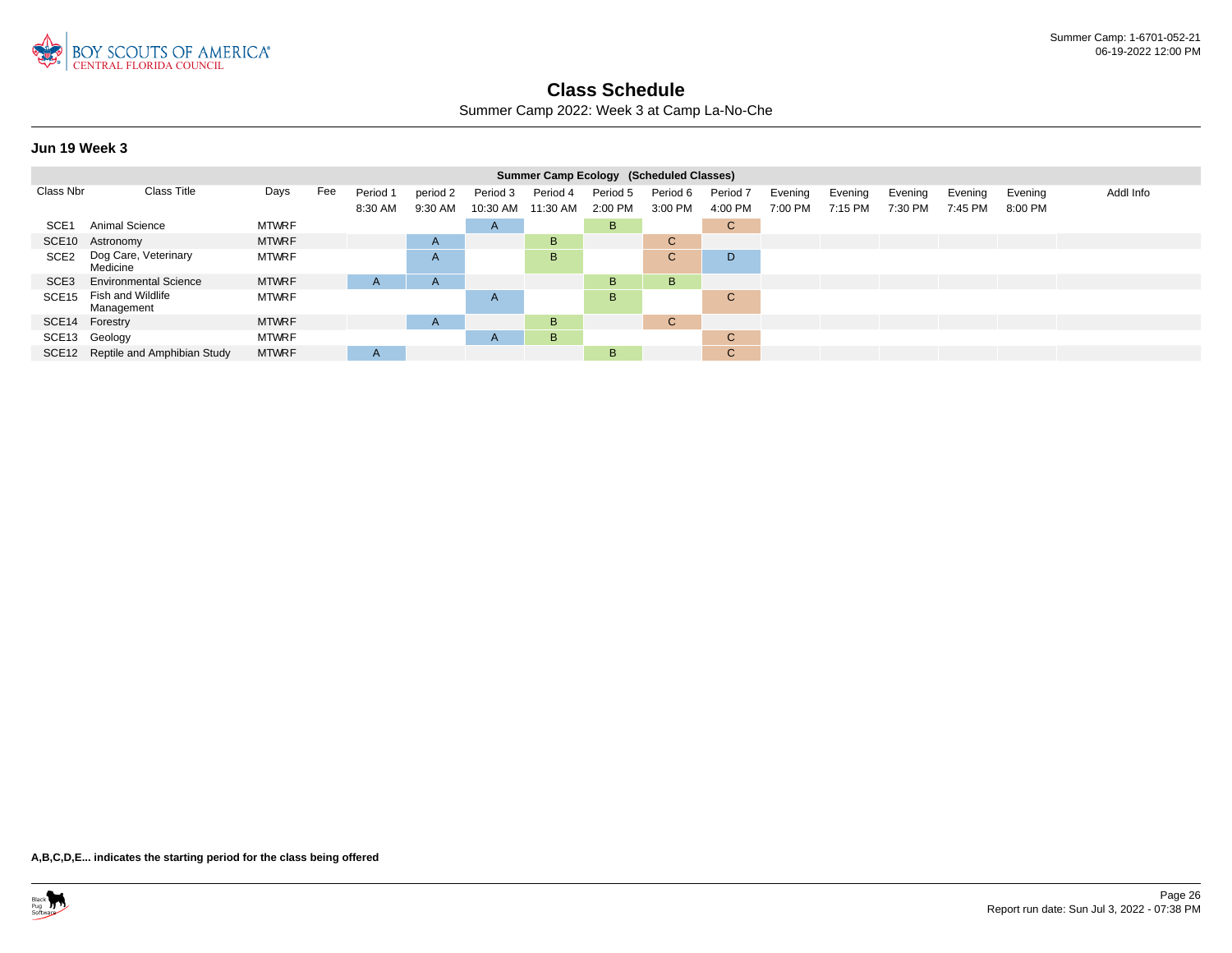

Summer Camp 2022: Week 3 at Camp La-No-Che

#### **Jun 19 Week 3**

|                   |                                   |              |     |          |              |                | Summer Camp Ecology (Scheduled Classes) |          |          |                     |         |         |         |         |         |           |
|-------------------|-----------------------------------|--------------|-----|----------|--------------|----------------|-----------------------------------------|----------|----------|---------------------|---------|---------|---------|---------|---------|-----------|
| Class Nbr         | <b>Class Title</b>                | Days         | Fee | Period 1 | period 2     | Period 3       | Period 4                                | Period 5 | Period 6 | Period <sub>7</sub> | Evening | Evening | Evening | Evening | Evening | Addl Info |
|                   |                                   |              |     | 8:30 AM  | 9:30 AM      | 10:30 AM       | 11:30 AM                                | 2:00 PM  | 3:00 PM  | 4:00 PM             | 7:00 PM | 7:15 PM | 7:30 PM | 7:45 PM | 8:00 PM |           |
| SCE <sub>1</sub>  | Animal Science                    | <b>MTWRF</b> |     |          |              | $\overline{A}$ |                                         | B.       |          | $\mathbf{C}$        |         |         |         |         |         |           |
|                   | SCE10 Astronomy                   | <b>MTWRF</b> |     |          | $\mathsf{A}$ |                | B.                                      |          | C.       |                     |         |         |         |         |         |           |
| SCE <sub>2</sub>  | Dog Care, Veterinary<br>Medicine  | <b>MTWRF</b> |     |          | A            |                | B                                       |          | C.       | D                   |         |         |         |         |         |           |
| SCE <sub>3</sub>  | <b>Environmental Science</b>      | <b>MTWRF</b> |     | A        | $\mathsf{A}$ |                |                                         | B.       | B.       |                     |         |         |         |         |         |           |
| SCE <sub>15</sub> | Fish and Wildlife<br>Management   | <b>MTWRF</b> |     |          |              | A              |                                         | B.       |          | C.                  |         |         |         |         |         |           |
|                   | SCE14 Forestry                    | <b>MTWRF</b> |     |          | $\mathsf{A}$ |                | B                                       |          | C.       |                     |         |         |         |         |         |           |
|                   | SCE13 Geology                     | <b>MTWRF</b> |     |          |              | $\overline{A}$ | B                                       |          |          | C.                  |         |         |         |         |         |           |
|                   | SCE12 Reptile and Amphibian Study | <b>MTWRF</b> |     | A        |              |                |                                         | B.       |          | $\mathbf{C}$        |         |         |         |         |         |           |

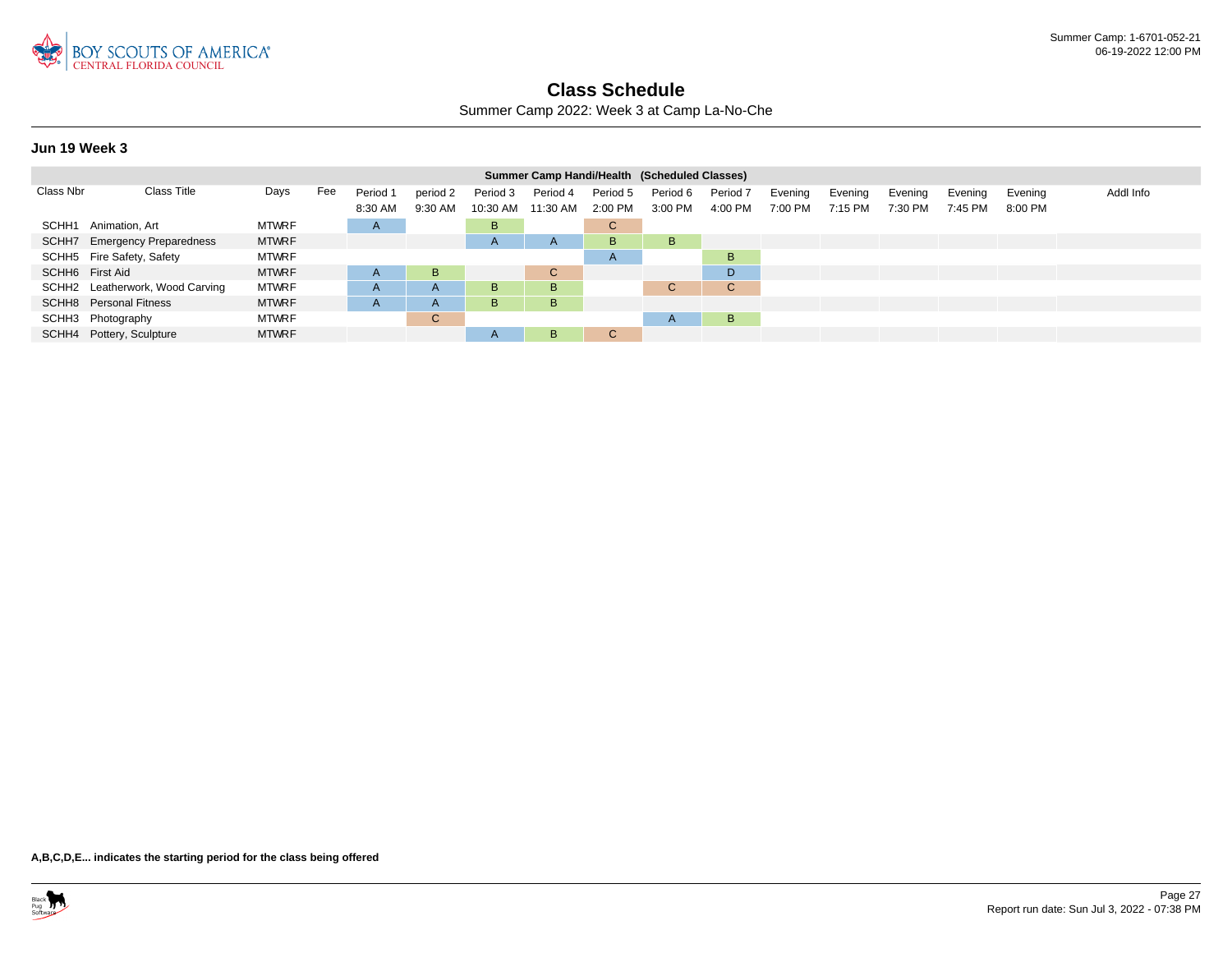

Summer Camp 2022: Week 3 at Camp La-No-Che

#### **Jun 19 Week 3**

|                 |                                 |              |     |              |              |                   | Summer Camp Handi/Health (Scheduled Classes) |              |              |                     |         |         |         |         |         |           |
|-----------------|---------------------------------|--------------|-----|--------------|--------------|-------------------|----------------------------------------------|--------------|--------------|---------------------|---------|---------|---------|---------|---------|-----------|
| Class Nbr       | Class Title                     | Days         | Fee | Period 1     | period 2     | Period 3          | Period 4                                     | Period 5     | Period 6     | Period <sub>7</sub> | Evening | Evening | Evening | Evening | Evening | Addl Info |
|                 |                                 |              |     | 8:30 AM      | 9:30 AM      | 10:30 AM 11:30 AM |                                              | 2:00 PM      | 3:00 PM      | 4:00 PM             | 7:00 PM | 7:15 PM | 7:30 PM | 7:45 PM | 8:00 PM |           |
|                 | SCHH1 Animation, Art            | <b>MTWRF</b> |     | $\mathsf{H}$ |              | B                 |                                              | $\mathsf{C}$ |              |                     |         |         |         |         |         |           |
|                 | SCHH7 Emergency Preparedness    | <b>MTWRF</b> |     |              |              | $\mathsf{A}$      | $\mathsf{A}$                                 | B.           | B            |                     |         |         |         |         |         |           |
|                 | SCHH5 Fire Safety, Safety       | <b>MTWRF</b> |     |              |              |                   |                                              | $\mathsf{A}$ |              | B                   |         |         |         |         |         |           |
| SCHH6 First Aid |                                 | <b>MTWRF</b> |     | $\mathsf{A}$ | B.           |                   | $\mathsf{C}$                                 |              |              | D                   |         |         |         |         |         |           |
|                 | SCHH2 Leatherwork, Wood Carving | <b>MTWRF</b> |     | $\mathsf{H}$ | $\mathsf{A}$ | B                 | B                                            |              | C.           | C.                  |         |         |         |         |         |           |
|                 | <b>SCHH8</b> Personal Fitness   | <b>MTWRF</b> |     | $\mathsf{H}$ | $\mathsf{A}$ | B                 | B                                            |              |              |                     |         |         |         |         |         |           |
|                 | SCHH3 Photography               | <b>MTWRF</b> |     |              | C.           |                   |                                              |              | $\mathsf{A}$ | B                   |         |         |         |         |         |           |
|                 | SCHH4 Pottery, Sculpture        | <b>MTWRF</b> |     |              |              | $\mathsf{A}$      | B                                            | $\sim$<br>◡  |              |                     |         |         |         |         |         |           |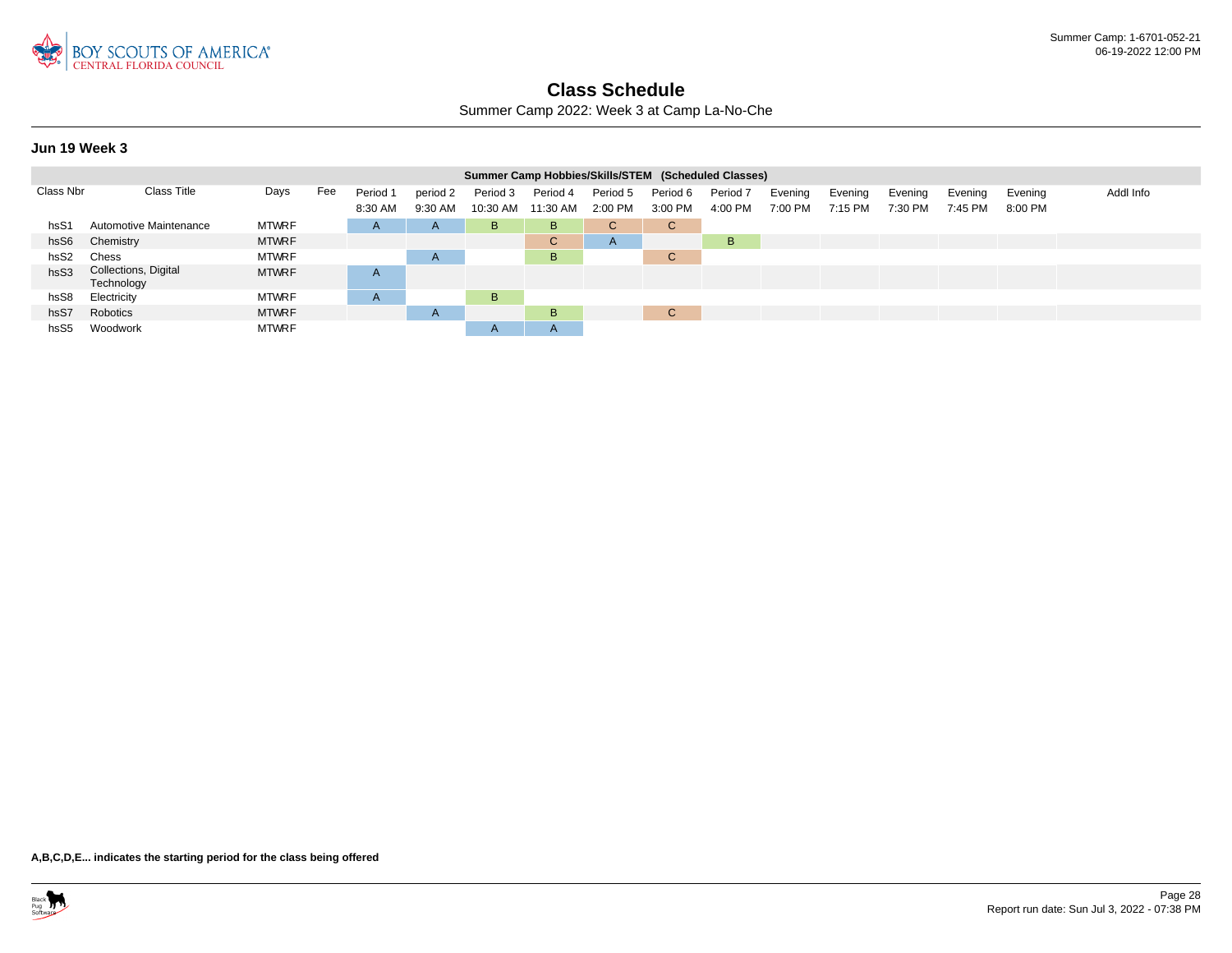

Summer Camp 2022: Week 3 at Camp La-No-Che

#### **Jun 19 Week 3**

|                  |                                    |              |     |              |                |              | Summer Camp Hobbies/Skills/STEM (Scheduled Classes) |          |                                |                     |         |         |         |         |         |           |
|------------------|------------------------------------|--------------|-----|--------------|----------------|--------------|-----------------------------------------------------|----------|--------------------------------|---------------------|---------|---------|---------|---------|---------|-----------|
| Class Nbr        | <b>Class Title</b>                 | Days         | Fee | Period 1     | period 2       | Period 3     | Period 4                                            | Period 5 | Period 6                       | Period <sub>7</sub> | Evening | Evening | Evening | Evening | Evening | Addl Info |
|                  |                                    |              |     | 8:30 AM      | 9:30 AM        | 10:30 AM     | 11:30 AM                                            | 2:00 PM  | 3:00 PM                        | 4:00 PM             | 7:00 PM | 7:15 PM | 7:30 PM | 7:45 PM | 8:00 PM |           |
| hsS1             | Automotive Maintenance             | <b>MTWRF</b> |     | $\mathsf{A}$ | $\mathsf{A}$   | B            | B                                                   | C.       | $\sim$<br>◡                    |                     |         |         |         |         |         |           |
| hsS6             | Chemistry                          | <b>MTWRF</b> |     |              |                |              | $\mathbf{C}$                                        | A        |                                | B                   |         |         |         |         |         |           |
| hsS <sub>2</sub> | Chess                              | <b>MTWRF</b> |     |              | A              |              | B                                                   |          | $\sim$<br>$\ddot{\phantom{0}}$ |                     |         |         |         |         |         |           |
| hsS3             | Collections, Digital<br>Technology | <b>MTWRF</b> |     | A            |                |              |                                                     |          |                                |                     |         |         |         |         |         |           |
| hsS8             | Electricity                        | <b>MTWRF</b> |     | A            |                | B.           |                                                     |          |                                |                     |         |         |         |         |         |           |
| hs <sub>S7</sub> | Robotics                           | <b>MTWRF</b> |     |              | $\overline{A}$ |              | B                                                   |          | $\sim$<br>U                    |                     |         |         |         |         |         |           |
| hsS <sub>5</sub> | Woodwork                           | <b>MTWRF</b> |     |              |                | $\mathsf{A}$ | A                                                   |          |                                |                     |         |         |         |         |         |           |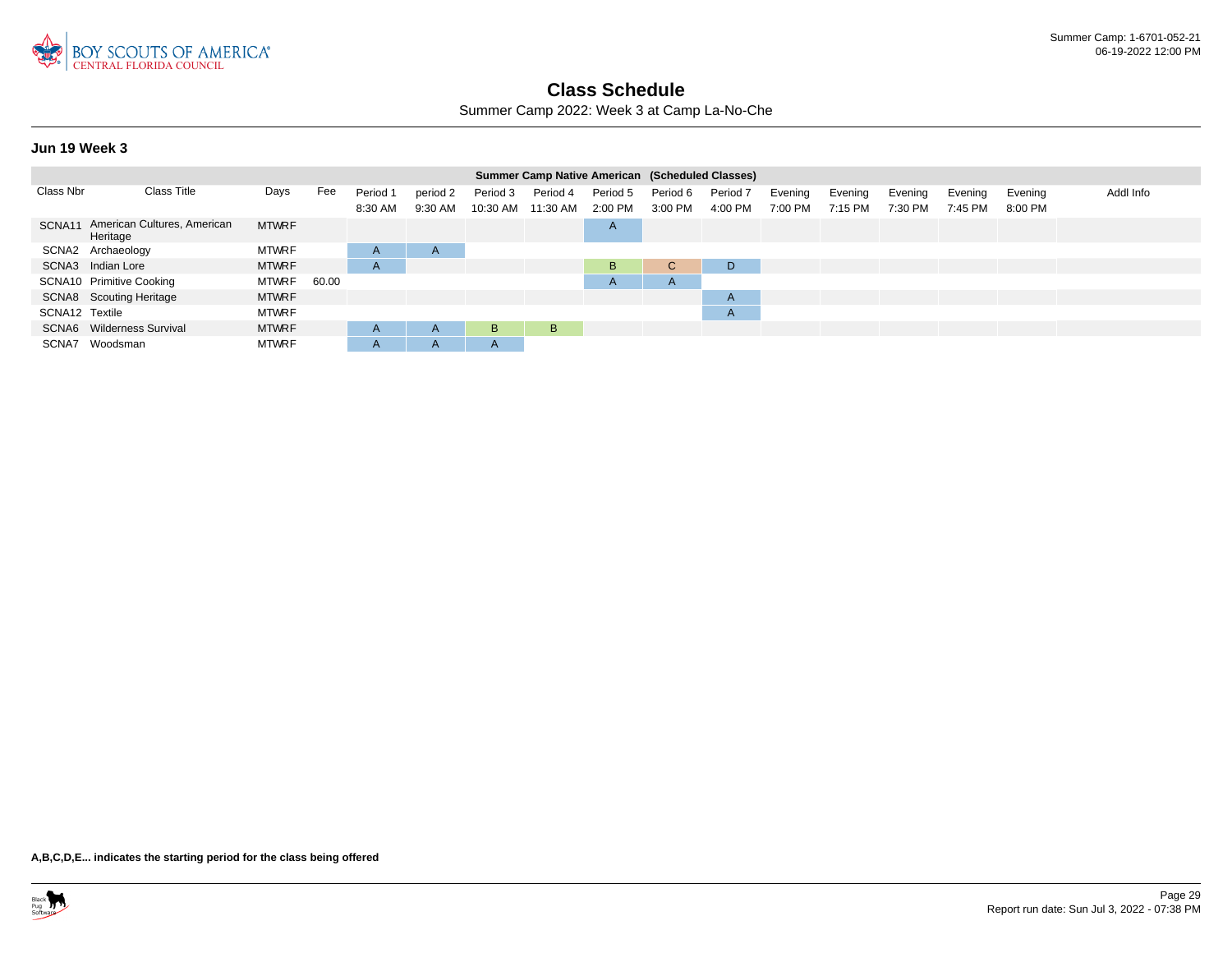

Summer Camp 2022: Week 3 at Camp La-No-Che

#### **Jun 19 Week 3**

|                |                                         |              |       |          |              |              | Summer Camp Native American (Scheduled Classes) |          |              |                     |         |         |         |         |         |           |
|----------------|-----------------------------------------|--------------|-------|----------|--------------|--------------|-------------------------------------------------|----------|--------------|---------------------|---------|---------|---------|---------|---------|-----------|
| Class Nbr      | <b>Class Title</b>                      | Days         | Fee   | Period 1 | period 2     | Period 3     | Period 4                                        | Period 5 | Period 6     | Period <sub>7</sub> | Evening | Evening | Evening | Evening | Evening | Addl Info |
|                |                                         |              |       | 8:30 AM  | 9:30 AM      | 10:30 AM     | 11:30 AM                                        | 2:00 PM  | 3:00 PM      | 4:00 PM             | 7:00 PM | 7:15 PM | 7:30 PM | 7:45 PM | 8:00 PM |           |
| SCNA11         | American Cultures, American<br>Heritage | <b>MTWRF</b> |       |          |              |              |                                                 | A        |              |                     |         |         |         |         |         |           |
|                | SCNA2 Archaeology                       | <b>MTWRF</b> |       | A        | $\mathsf{A}$ |              |                                                 |          |              |                     |         |         |         |         |         |           |
|                | SCNA3 Indian Lore                       | <b>MTWRF</b> |       | A        |              |              |                                                 | B.       | $\sim$<br>U  | D.                  |         |         |         |         |         |           |
|                | SCNA10 Primitive Cooking                | <b>MTWRF</b> | 60.00 |          |              |              |                                                 | A        | $\mathsf{H}$ |                     |         |         |         |         |         |           |
|                | SCNA8 Scouting Heritage                 | <b>MTWRF</b> |       |          |              |              |                                                 |          |              | $\mathsf{A}$        |         |         |         |         |         |           |
| SCNA12 Textile |                                         | <b>MTWRF</b> |       |          |              |              |                                                 |          |              | $\mathsf{A}$        |         |         |         |         |         |           |
|                | SCNA6 Wilderness Survival               | <b>MTWRF</b> |       | A        | $\mathsf{A}$ | B            | B                                               |          |              |                     |         |         |         |         |         |           |
| SCNA7          | Woodsman                                | <b>MTWRF</b> |       | A        | $\mathsf{A}$ | $\mathsf{A}$ |                                                 |          |              |                     |         |         |         |         |         |           |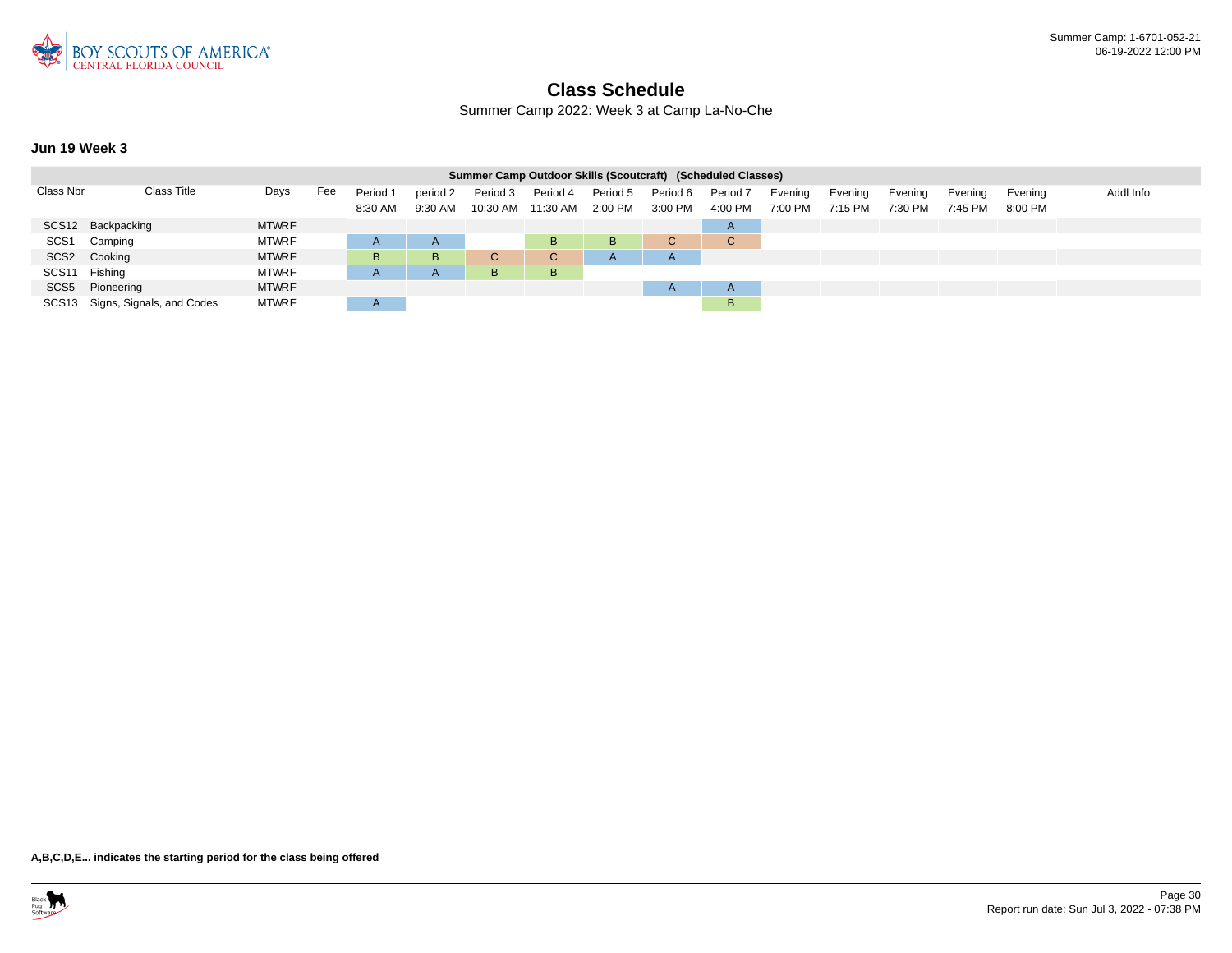

Summer Camp 2022: Week 3 at Camp La-No-Che

#### **Jun 19 Week 3**

|                   |                                 |              |     |                     |                     | Summer Camp Outdoor Skills (Scoutcraft) (Scheduled Classes) |                      |                     |                     |                     |                    |                    |                    |                    |                    |           |
|-------------------|---------------------------------|--------------|-----|---------------------|---------------------|-------------------------------------------------------------|----------------------|---------------------|---------------------|---------------------|--------------------|--------------------|--------------------|--------------------|--------------------|-----------|
| Class Nbr         | <b>Class Title</b>              | Days         | Fee | Period 1<br>8:30 AM | period 2<br>9:30 AM | Period 3<br>10:30 AM                                        | Period 4<br>11:30 AM | Period 5<br>2:00 PM | Period 6<br>3:00 PM | Period 7<br>4:00 PM | Evening<br>7:00 PM | Evening<br>7:15 PM | Evening<br>7:30 PM | Evening<br>7:45 PM | Evenina<br>8:00 PM | Addl Info |
|                   | SCS12 Backpacking               | <b>MTWRF</b> |     |                     |                     |                                                             |                      |                     |                     | $\overline{A}$      |                    |                    |                    |                    |                    |           |
| SCS <sub>1</sub>  | Camping                         | <b>MTWRF</b> |     |                     |                     |                                                             | B                    | B                   |                     | $\sim$<br>◡         |                    |                    |                    |                    |                    |           |
|                   | SCS2 Cooking                    | <b>MTWRF</b> |     | в                   | <b>B</b>            | C                                                           | C.                   | $\mathsf{A}$        | A                   |                     |                    |                    |                    |                    |                    |           |
| SCS <sub>11</sub> | Fishing                         | <b>MTWRF</b> |     |                     |                     | B                                                           | B.                   |                     |                     |                     |                    |                    |                    |                    |                    |           |
|                   | SCS5 Pioneering                 | <b>MTWRF</b> |     |                     |                     |                                                             |                      |                     | $\mathsf{H}$        | $\overline{A}$      |                    |                    |                    |                    |                    |           |
|                   | SCS13 Signs, Signals, and Codes | <b>MTWRF</b> |     | $\mathsf{A}$        |                     |                                                             |                      |                     |                     | B                   |                    |                    |                    |                    |                    |           |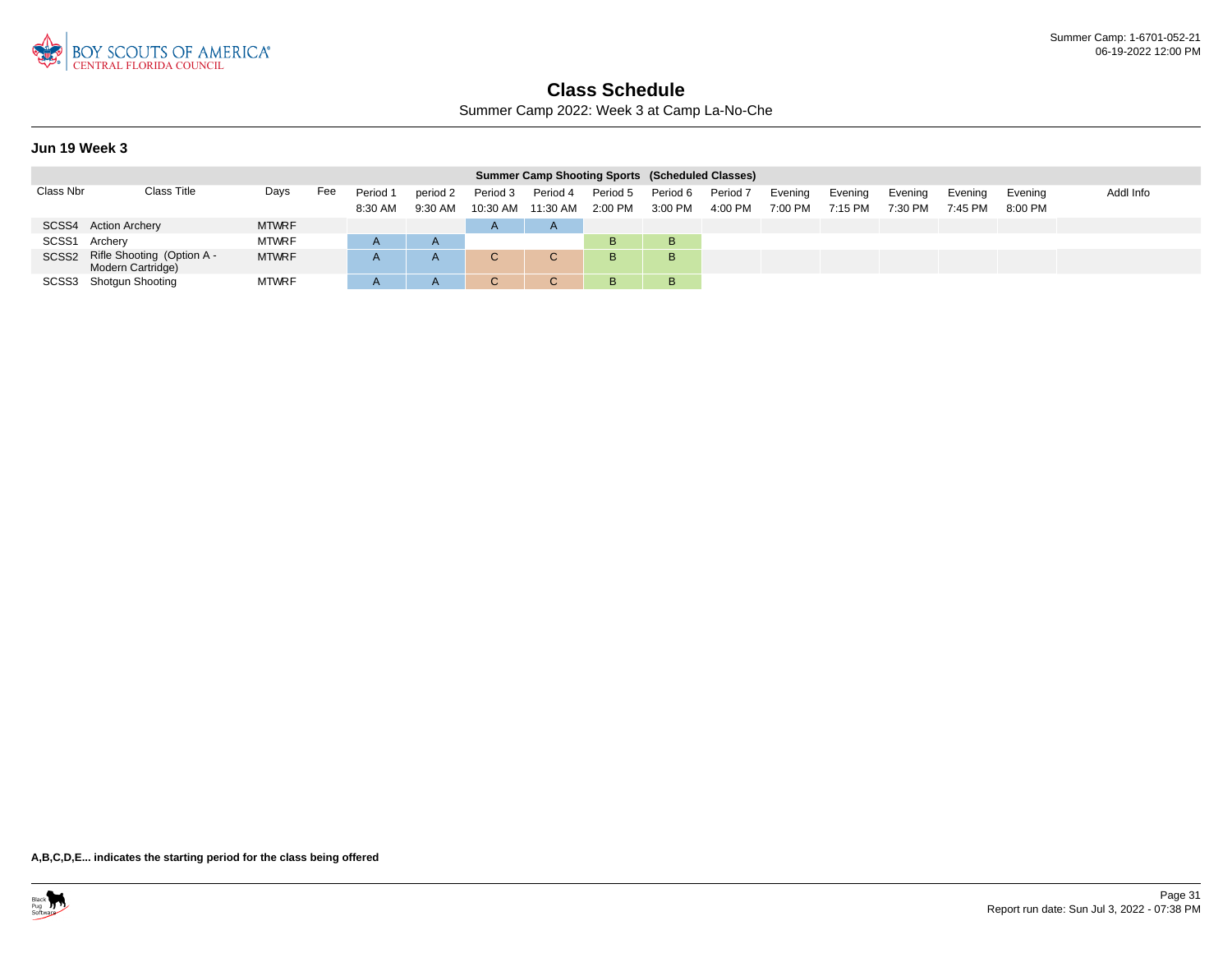

Summer Camp 2022: Week 3 at Camp La-No-Che

#### **Jun 19 Week 3**

|               |                                                       |              |     |                     |                     |                      | <b>Summer Camp Shooting Sports (Scheduled Classes)</b> |                       |                     |                     |                    |                    |                    |                    |                    |           |
|---------------|-------------------------------------------------------|--------------|-----|---------------------|---------------------|----------------------|--------------------------------------------------------|-----------------------|---------------------|---------------------|--------------------|--------------------|--------------------|--------------------|--------------------|-----------|
| Class Nbr     | Class Title                                           | Days         | Fee | Period 1<br>8:30 AM | period 2<br>9:30 AM | Period 3<br>10:30 AM | Period 4<br>11:30 AM                                   | Period 5<br>$2:00$ PM | Period 6<br>3:00 PM | Period 7<br>4:00 PM | Evening<br>7:00 PM | Evening<br>7:15 PM | Evening<br>7:30 PM | Evening<br>7:45 PM | Evening<br>8:00 PM | Addl Info |
|               | SCSS4 Action Archery                                  | <b>MTWRF</b> |     |                     |                     | $\overline{A}$       | $\mathsf{A}$                                           |                       |                     |                     |                    |                    |                    |                    |                    |           |
| SCSS1 Archery |                                                       | <b>MTWRF</b> |     |                     | $\mathsf{A}$        |                      |                                                        | B.                    | в                   |                     |                    |                    |                    |                    |                    |           |
|               | SCSS2 Rifle Shooting (Option A -<br>Modern Cartridge) | <b>MTWRF</b> |     |                     | A                   |                      | C.                                                     | B.                    | в                   |                     |                    |                    |                    |                    |                    |           |
|               | SCSS3 Shotgun Shooting                                | <b>MTWRF</b> |     |                     | A                   |                      |                                                        | B                     | В                   |                     |                    |                    |                    |                    |                    |           |

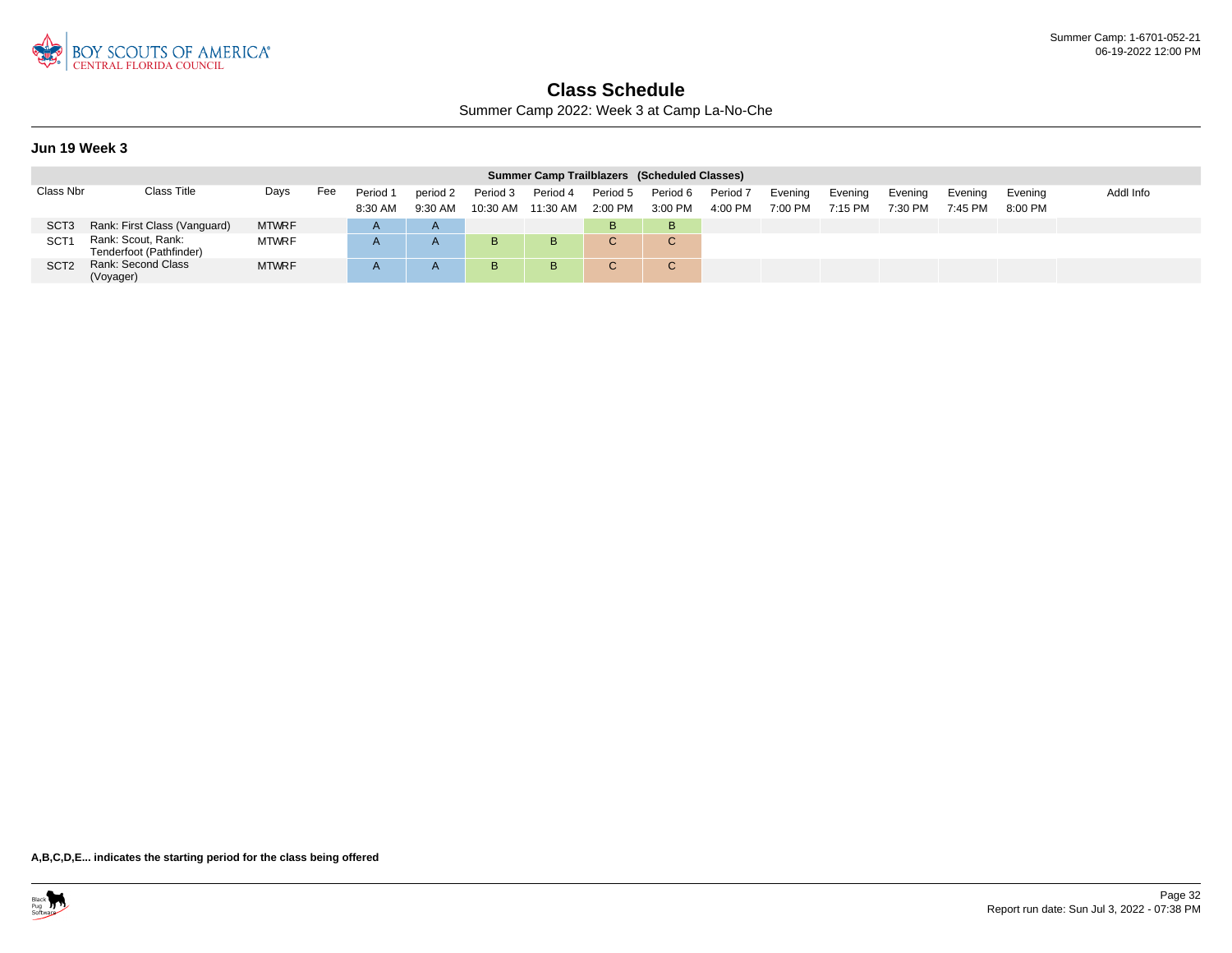

Summer Camp 2022: Week 3 at Camp La-No-Che

#### **Jun 19 Week 3**

|                  |                                               |              |     |          |              |          | Summer Camp Trailblazers (Scheduled Classes) |           |             |                     |         |         |         |         |           |           |
|------------------|-----------------------------------------------|--------------|-----|----------|--------------|----------|----------------------------------------------|-----------|-------------|---------------------|---------|---------|---------|---------|-----------|-----------|
| Class Nbr        | <b>Class Title</b>                            | Days         | Fee | Period 1 | period 2     | Period 3 | Period 4                                     | Period 5  | Period 6    | Period <sub>7</sub> | Evening | Evening | Evening | Evening | Evening   | Addl Info |
|                  |                                               |              |     | 8:30 AM  | $9:30$ AM    | 10:30 AM | 11:30 AM                                     | $2:00$ PM | 3:00 PM     | 4:00 PM             | 7:00 PM | 7:15 PM | 7:30 PM | 7:45 PM | $8:00$ PM |           |
| SCT <sub>3</sub> | Rank: First Class (Vanguard)                  | <b>MTWRF</b> |     |          | $\mathsf{A}$ |          |                                              | B.        | в           |                     |         |         |         |         |           |           |
| SCT              | Rank: Scout, Rank:<br>Tenderfoot (Pathfinder) | <b>MTWRF</b> |     |          |              | B        | B                                            |           | $\sim$<br>◡ |                     |         |         |         |         |           |           |
| SCT <sub>2</sub> | Rank: Second Class<br>(Voyager)               | <b>MTWRF</b> |     |          |              | B        | B                                            |           | C.          |                     |         |         |         |         |           |           |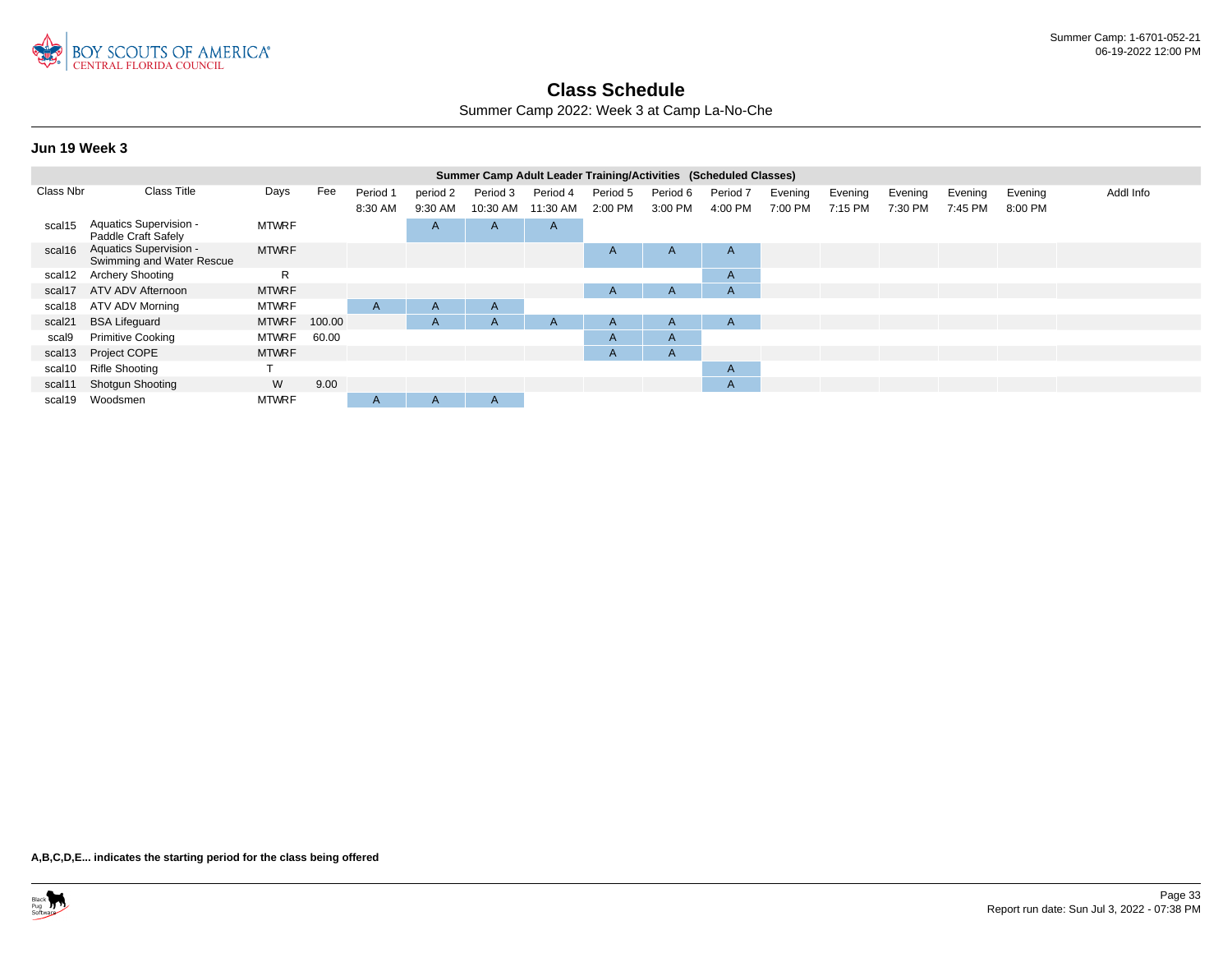

Summer Camp 2022: Week 3 at Camp La-No-Che

#### **Jun 19 Week 3**

|           |                                                            |              |        |          |              |          | Summer Camp Adult Leader Training/Activities (Scheduled Classes) |          |              |              |         |         |         |         |         |           |
|-----------|------------------------------------------------------------|--------------|--------|----------|--------------|----------|------------------------------------------------------------------|----------|--------------|--------------|---------|---------|---------|---------|---------|-----------|
| Class Nbr | <b>Class Title</b>                                         | Days         | Fee    | Period 1 | period 2     | Period 3 | Period 4                                                         | Period 5 | Period 6     | Period 7     | Evening | Evening | Evening | Evening | Evening | Addl Info |
|           |                                                            |              |        | 8:30 AM  | 9:30 AM      | 10:30 AM | 11:30 AM                                                         | 2:00 PM  | 3:00 PM      | 4:00 PM      | 7:00 PM | 7:15 PM | 7:30 PM | 7:45 PM | 8:00 PM |           |
| scal15    | Aquatics Supervision -<br>Paddle Craft Safely              | <b>MTWRF</b> |        |          | A            | A        | A                                                                |          |              |              |         |         |         |         |         |           |
| scal16    | <b>Aquatics Supervision -</b><br>Swimming and Water Rescue | <b>MTWRF</b> |        |          |              |          |                                                                  | A        | A            | $\mathsf{A}$ |         |         |         |         |         |           |
| scal12    | <b>Archery Shooting</b>                                    | R            |        |          |              |          |                                                                  |          |              | A            |         |         |         |         |         |           |
| scal17    | ATV ADV Afternoon                                          | <b>MTWRF</b> |        |          |              |          |                                                                  | A        | A            | A            |         |         |         |         |         |           |
| scal18    | ATV ADV Morning                                            | <b>MTWRF</b> |        | A        | $\mathsf{A}$ | A        |                                                                  |          |              |              |         |         |         |         |         |           |
| scal21    | <b>BSA Lifeguard</b>                                       | <b>MTWRF</b> | 100.00 |          | A            | A        | A                                                                | A        | $\mathsf{A}$ | A            |         |         |         |         |         |           |
| scal9     | <b>Primitive Cooking</b>                                   | <b>MTWRF</b> | 60.00  |          |              |          |                                                                  | A        | A            |              |         |         |         |         |         |           |
|           | scal13 Project COPE                                        | <b>MTWRF</b> |        |          |              |          |                                                                  | A        | $\mathsf{A}$ |              |         |         |         |         |         |           |
| scal10    | <b>Rifle Shooting</b>                                      |              |        |          |              |          |                                                                  |          |              | $\mathsf{A}$ |         |         |         |         |         |           |
| scal11    | <b>Shotgun Shooting</b>                                    | W            | 9.00   |          |              |          |                                                                  |          |              | A            |         |         |         |         |         |           |
| scal19    | Woodsmen                                                   | <b>MTWRF</b> |        | A        | A            | A        |                                                                  |          |              |              |         |         |         |         |         |           |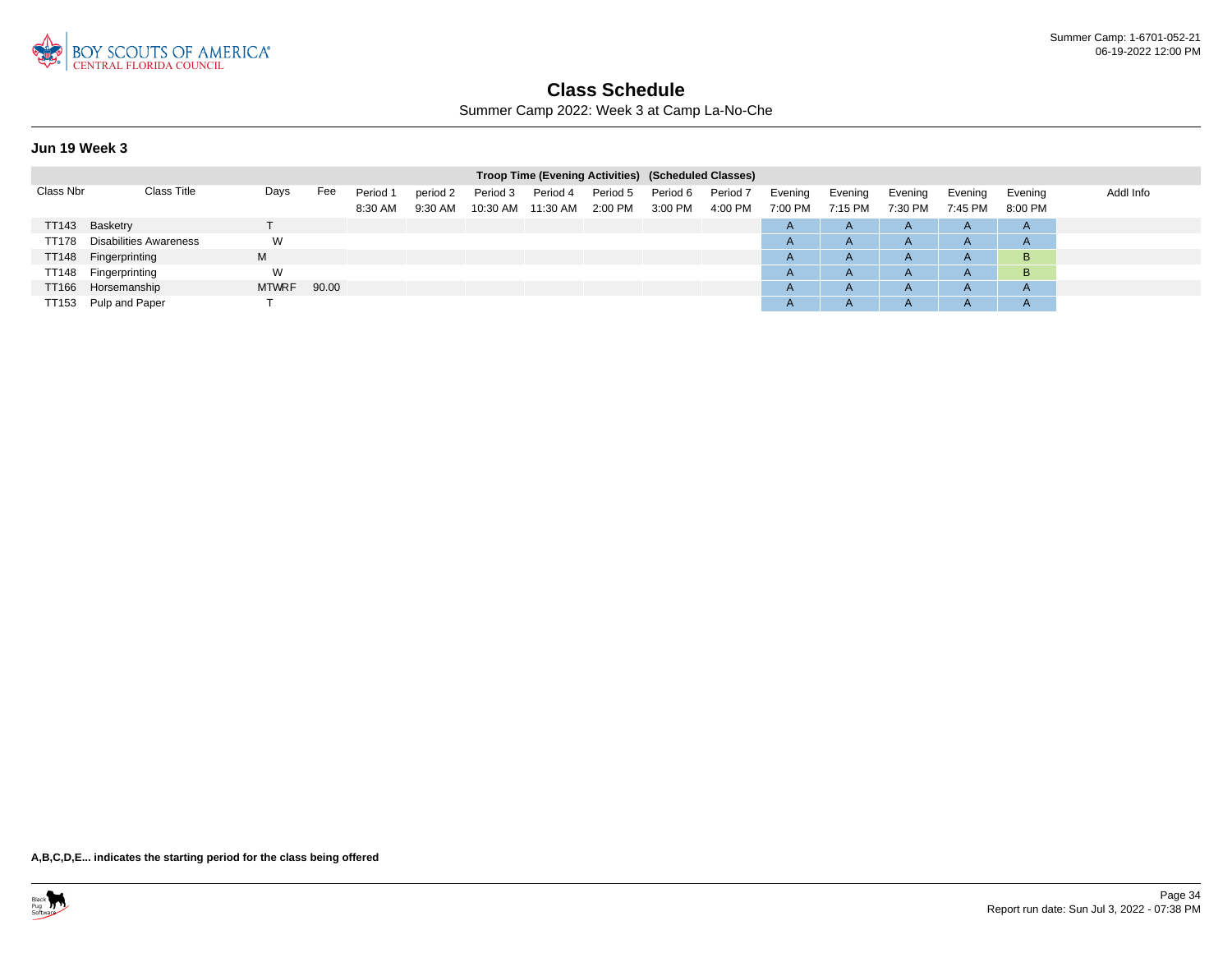

Summer Camp 2022: Week 3 at Camp La-No-Che

#### **Jun 19 Week 3**

|           |                               |              |       |                     |                     |                      | Troop Time (Evening Activities) (Scheduled Classes) |                     |                     |                                |                    |                    |                    |                    |                       |           |
|-----------|-------------------------------|--------------|-------|---------------------|---------------------|----------------------|-----------------------------------------------------|---------------------|---------------------|--------------------------------|--------------------|--------------------|--------------------|--------------------|-----------------------|-----------|
| Class Nbr | <b>Class Title</b>            | Days         | Fee   | Period 1<br>8:30 AM | period 2<br>9:30 AM | Period 3<br>10:30 AM | Period 4<br>11:30 AM                                | Period 5<br>2:00 PM | Period 6<br>3:00 PM | Period <sub>7</sub><br>4:00 PM | Evening<br>7:00 PM | Evening<br>7:15 PM | Evening<br>7:30 PM | Evening<br>7:45 PM | Evening<br>8:00 PM    | Addl Info |
|           | TT143 Basketry                |              |       |                     |                     |                      |                                                     |                     |                     |                                | $\mathsf{A}$       | $\mathsf{A}$       | $\mathsf{A}$       | $\mathsf{A}$       | $\overline{A}$        |           |
| TT178     | <b>Disabilities Awareness</b> | W            |       |                     |                     |                      |                                                     |                     |                     |                                | $\mathsf{A}$       | $\mathsf{A}$       | A                  | A                  | $\mathsf{A}$          |           |
|           | TT148 Fingerprinting          | M            |       |                     |                     |                      |                                                     |                     |                     |                                | $\overline{A}$     | $\mathsf{A}$       | A                  | $\mathsf{H}$       | B                     |           |
| TT148     | Fingerprinting                | W            |       |                     |                     |                      |                                                     |                     |                     |                                | $\overline{A}$     | $\mathsf{A}$       | A                  | $\sqrt{ }$         | B                     |           |
|           | TT166 Horsemanship            | <b>MTWRF</b> | 90.00 |                     |                     |                      |                                                     |                     |                     |                                | $\overline{A}$     | $\mathsf{A}$       | $\mathsf{A}$       | $\mathsf{H}$       | $\mathbf{\mathsf{A}}$ |           |
|           | TT153 Pulp and Paper          |              |       |                     |                     |                      |                                                     |                     |                     |                                | $\overline{A}$     | $\mathsf{A}$       | A                  |                    | $\mathsf{A}$          |           |

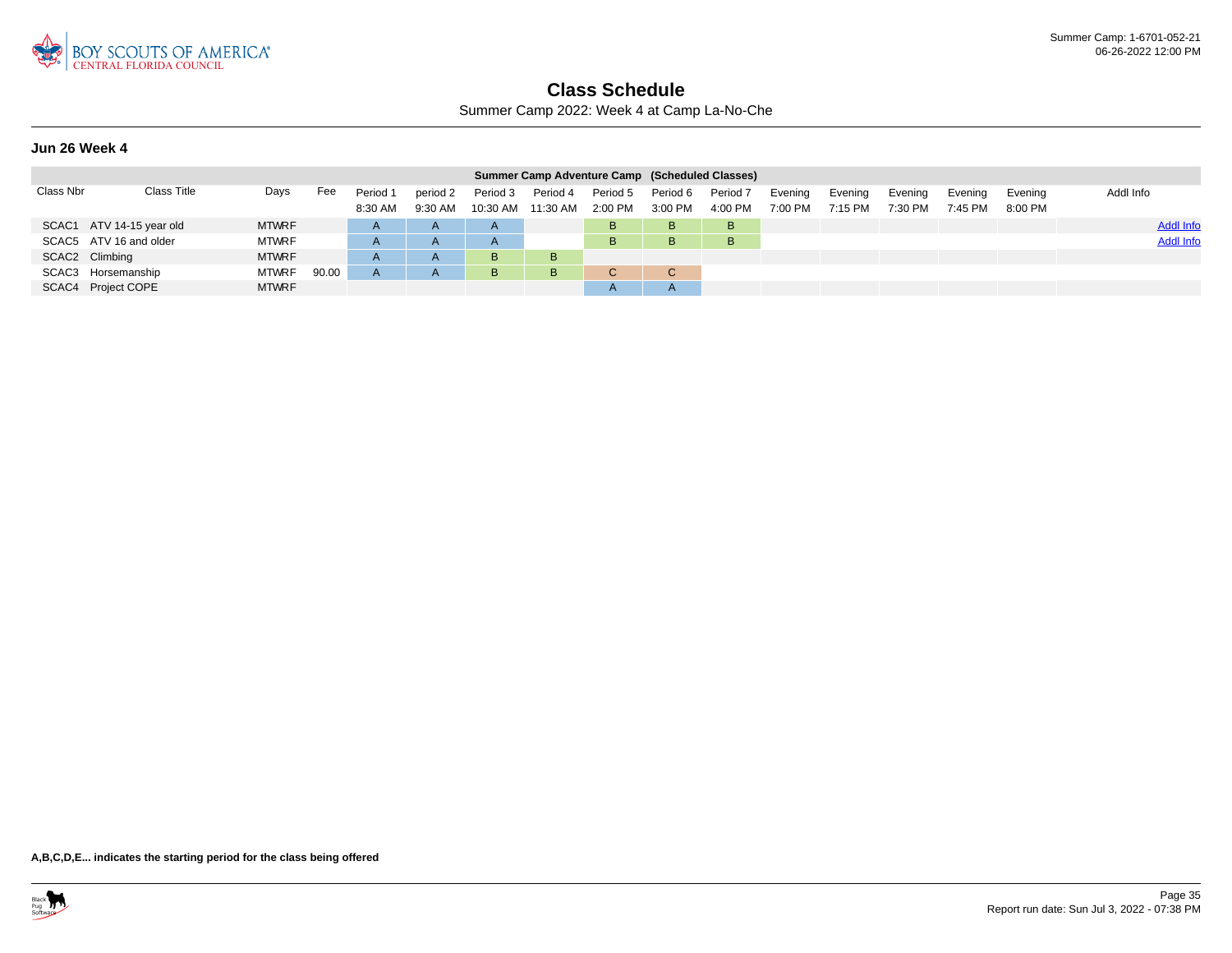

Summer Camp 2022: Week 4 at Camp La-No-Che

### **Jun 26 Week 4**

|           |                          |              |       |                     |                     |                      | Summer Camp Adventure Camp (Scheduled Classes) |                       |                     |                     |                    |                    |                    |                    |                    |                  |
|-----------|--------------------------|--------------|-------|---------------------|---------------------|----------------------|------------------------------------------------|-----------------------|---------------------|---------------------|--------------------|--------------------|--------------------|--------------------|--------------------|------------------|
| Class Nbr | Class Title              | Days         | Fee   | Period 1<br>8:30 AM | period 2<br>9:30 AM | Period 3<br>10:30 AM | Period 4<br>11:30 AM                           | Period 5<br>$2:00$ PM | Period 6<br>3:00 PM | Period 7<br>4:00 PM | Evening<br>7:00 PM | Evening<br>7:15 PM | Evening<br>7:30 PM | Evening<br>7:45 PM | Evening<br>8:00 PM | Addl Info        |
|           | SCAC1 ATV 14-15 year old | <b>MTWRF</b> |       | $\mathsf{A}$        | $\overline{A}$      | $\mathsf{A}$         |                                                | B.                    | <b>B</b>            | B                   |                    |                    |                    |                    |                    | <b>Addl Info</b> |
|           | SCAC5 ATV 16 and older   | <b>MTWRF</b> |       | $\mathsf{A}$        | $\overline{A}$      | $\mathsf{A}$         |                                                | в                     | B.                  | B                   |                    |                    |                    |                    |                    | <b>Addl Info</b> |
|           | SCAC2 Climbing           | <b>MTWRF</b> |       | $\mathsf{A}$        | $\mathsf{A}$        | B                    | B                                              |                       |                     |                     |                    |                    |                    |                    |                    |                  |
|           | SCAC3 Horsemanship       | <b>MTWRF</b> | 90.00 | A                   | $\mathsf{A}$        | B                    | B                                              |                       | C                   |                     |                    |                    |                    |                    |                    |                  |
|           | SCAC4 Project COPE       | <b>MTWRF</b> |       |                     |                     |                      |                                                |                       |                     |                     |                    |                    |                    |                    |                    |                  |

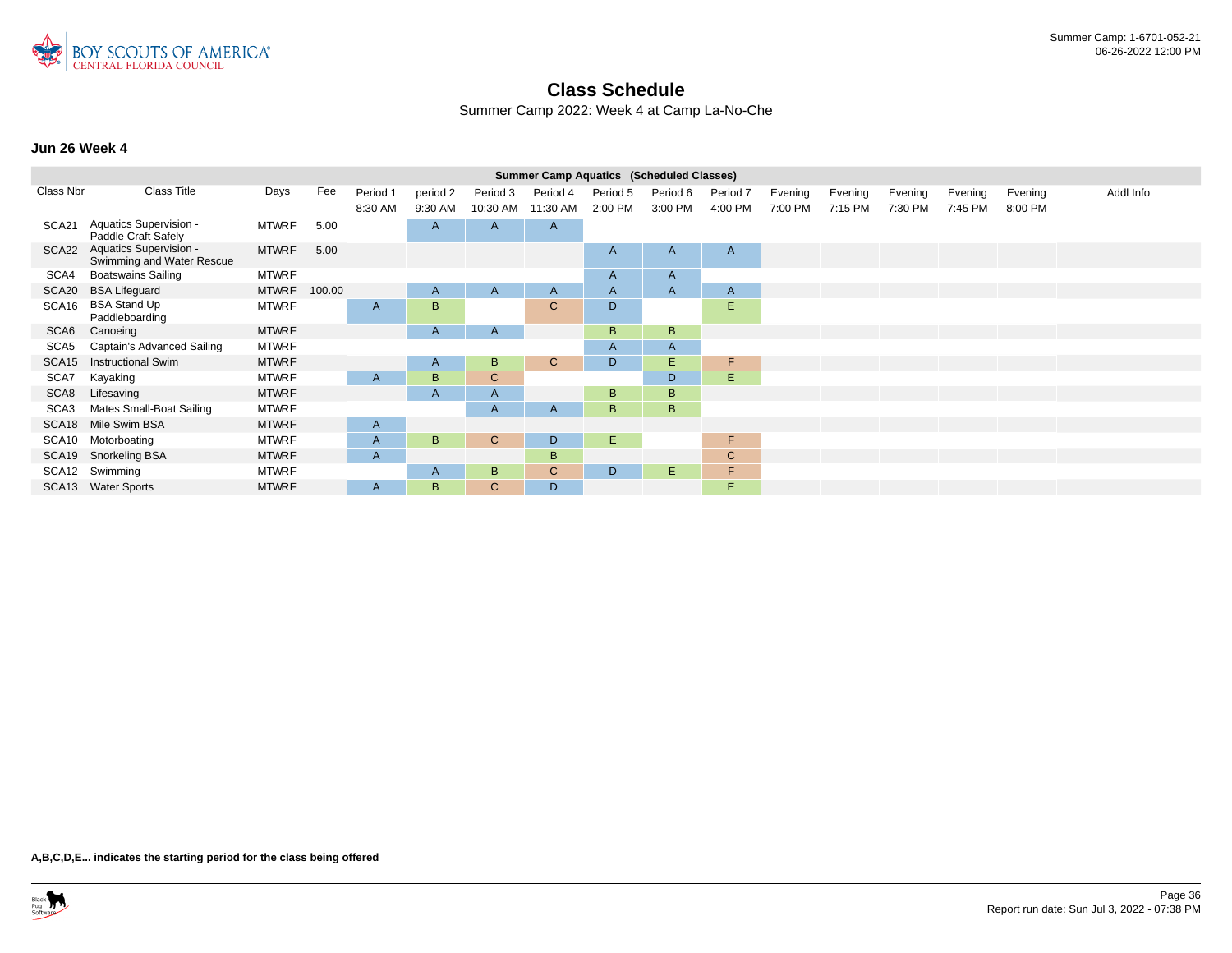

Summer Camp 2022: Week 4 at Camp La-No-Che

### **Jun 26 Week 4**

|                   | <b>Summer Camp Aquatics (Scheduled Classes)</b><br><b>Class Title</b><br>Fee<br>Days<br>Addl Info<br>Period 1<br>Evening<br>Evening<br>Evening<br>period 2<br>Period 3<br>Period 5<br>Period 6<br>Period 4<br>Period 7<br>Evening |              |        |         |                |              |              |         |         |                |                    |         |         |         |         |  |
|-------------------|-----------------------------------------------------------------------------------------------------------------------------------------------------------------------------------------------------------------------------------|--------------|--------|---------|----------------|--------------|--------------|---------|---------|----------------|--------------------|---------|---------|---------|---------|--|
| Class Nbr         |                                                                                                                                                                                                                                   |              |        | 8:30 AM | 9:30 AM        | 10:30 AM     | 11:30 AM     | 2:00 PM | 3:00 PM | 4:00 PM        | Evening<br>7:00 PM | 7:15 PM | 7:30 PM | 7:45 PM | 8:00 PM |  |
| SCA21             | Aquatics Supervision -<br>Paddle Craft Safely                                                                                                                                                                                     | <b>MTWRF</b> | 5.00   |         | $\overline{A}$ | A            | $\mathsf{A}$ |         |         |                |                    |         |         |         |         |  |
| SCA22             | Aquatics Supervision -<br>Swimming and Water Rescue                                                                                                                                                                               | <b>MTWRF</b> | 5.00   |         |                |              |              | A       | A       | $\overline{A}$ |                    |         |         |         |         |  |
| SCA4              | <b>Boatswains Sailing</b>                                                                                                                                                                                                         | <b>MTWRF</b> |        |         |                |              |              | A       | A       |                |                    |         |         |         |         |  |
| SCA20             | <b>BSA Lifeguard</b>                                                                                                                                                                                                              | <b>MTWRF</b> | 100.00 |         | $\mathsf{A}$   | A            | A            | A       | A       | A              |                    |         |         |         |         |  |
| SCA16             | <b>BSA Stand Up</b><br>Paddleboarding                                                                                                                                                                                             | <b>MTWRF</b> |        | A       | B              |              | $\mathsf{C}$ | D       |         | E              |                    |         |         |         |         |  |
| SCA <sub>6</sub>  | Canoeing                                                                                                                                                                                                                          | <b>MTWRF</b> |        |         | $\mathsf{A}$   | A            |              | B       | B.      |                |                    |         |         |         |         |  |
| SCA <sub>5</sub>  | Captain's Advanced Sailing                                                                                                                                                                                                        | <b>MTWRF</b> |        |         |                |              |              | A       | A       |                |                    |         |         |         |         |  |
| SCA <sub>15</sub> | <b>Instructional Swim</b>                                                                                                                                                                                                         | <b>MTWRF</b> |        |         | $\mathsf{A}$   | B            | $\mathbf{C}$ | D.      | E.      | F              |                    |         |         |         |         |  |
| SCA7              | Kayaking                                                                                                                                                                                                                          | <b>MTWRF</b> |        | A       | B              | C            |              |         | D       | Ε              |                    |         |         |         |         |  |
| SCA8              | Lifesaving                                                                                                                                                                                                                        | <b>MTWRF</b> |        |         | $\overline{A}$ | A            |              | B       | B       |                |                    |         |         |         |         |  |
| SCA3              | Mates Small-Boat Sailing                                                                                                                                                                                                          | <b>MTWRF</b> |        |         |                | A            | A            | B       | B.      |                |                    |         |         |         |         |  |
| SCA18             | Mile Swim BSA                                                                                                                                                                                                                     | <b>MTWRF</b> |        | A       |                |              |              |         |         |                |                    |         |         |         |         |  |
| SCA10             | Motorboating                                                                                                                                                                                                                      | MTWRF        |        | A       | B              | $\mathsf{C}$ | D            | Ε       |         | F.             |                    |         |         |         |         |  |
| SCA19             | Snorkeling BSA                                                                                                                                                                                                                    | <b>MTWRF</b> |        | A       |                |              | B            |         |         | $\mathbf C$    |                    |         |         |         |         |  |
|                   | SCA12 Swimming                                                                                                                                                                                                                    | <b>MTWRF</b> |        |         | $\mathsf{A}$   | B            | C            | D       | Е.      | F              |                    |         |         |         |         |  |
|                   | SCA13 Water Sports                                                                                                                                                                                                                | <b>MTWRF</b> |        | A       | B              | C.           | D            |         |         | E.             |                    |         |         |         |         |  |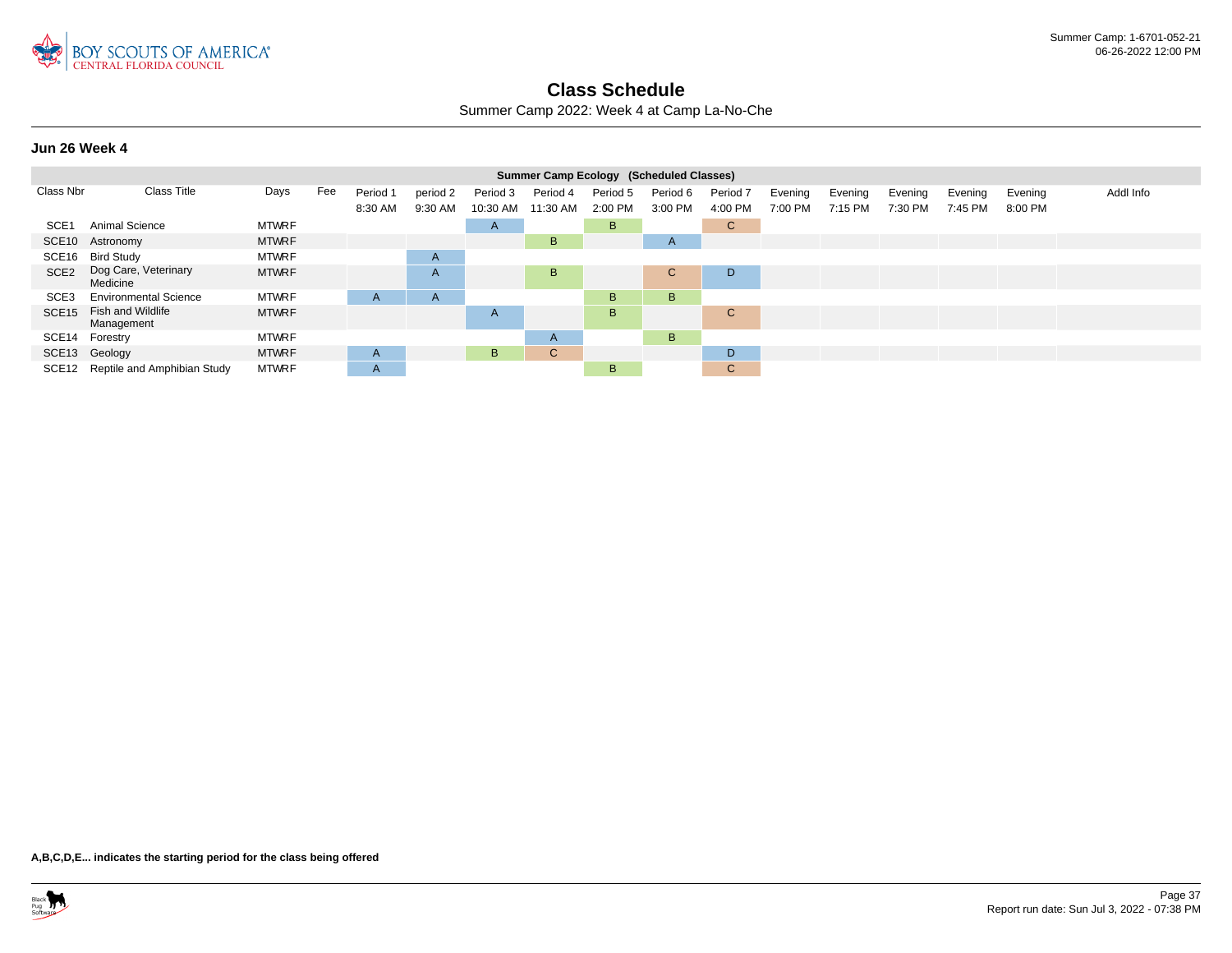

Summer Camp 2022: Week 4 at Camp La-No-Che

### **Jun 26 Week 4**

|                   |                                   |              |     |              |          |              |              |          | Summer Camp Ecology (Scheduled Classes) |              |         |         |         |         |         |           |
|-------------------|-----------------------------------|--------------|-----|--------------|----------|--------------|--------------|----------|-----------------------------------------|--------------|---------|---------|---------|---------|---------|-----------|
| Class Nbr         | <b>Class Title</b>                | Days         | Fee | Period 1     | period 2 | Period 3     | Period 4     | Period 5 | Period 6                                | Period 7     | Evening | Evening | Evening | Evening | Evening | Addl Info |
|                   |                                   |              |     | 8:30 AM      | 9:30 AM  | 10:30 AM     | 11:30 AM     | 2:00 PM  | 3:00 PM                                 | 4:00 PM      | 7:00 PM | 7:15 PM | 7:30 PM | 7:45 PM | 8:00 PM |           |
| SCE <sub>1</sub>  | Animal Science                    | <b>MTWRF</b> |     |              |          | $\mathsf{A}$ |              | B.       |                                         | $\mathsf{C}$ |         |         |         |         |         |           |
|                   | SCE10 Astronomy                   | <b>MTWRF</b> |     |              |          |              | B            |          | A                                       |              |         |         |         |         |         |           |
|                   | SCE16 Bird Study                  | <b>MTWRF</b> |     |              | A        |              |              |          |                                         |              |         |         |         |         |         |           |
| SCE <sub>2</sub>  | Dog Care, Veterinary<br>Medicine  | <b>MTWRF</b> |     |              | A        |              | B.           |          | C.                                      | D            |         |         |         |         |         |           |
| SCE <sub>3</sub>  | <b>Environmental Science</b>      | <b>MTWRF</b> |     | A            | A        |              |              | B        | B                                       |              |         |         |         |         |         |           |
| SCE <sub>15</sub> | Fish and Wildlife<br>Management   | <b>MTWRF</b> |     |              |          | $\mathsf{A}$ |              | B.       |                                         | $\mathsf{C}$ |         |         |         |         |         |           |
| SCE14             | Forestry                          | <b>MTWRF</b> |     |              |          |              | $\mathsf{A}$ |          | B.                                      |              |         |         |         |         |         |           |
|                   | SCE13 Geology                     | <b>MTWRF</b> |     | $\mathsf{A}$ |          | B            | $\mathsf{C}$ |          |                                         | D            |         |         |         |         |         |           |
|                   | SCE12 Reptile and Amphibian Study | <b>MTWRF</b> |     | A            |          |              |              | B.       |                                         | $\mathbf{C}$ |         |         |         |         |         |           |

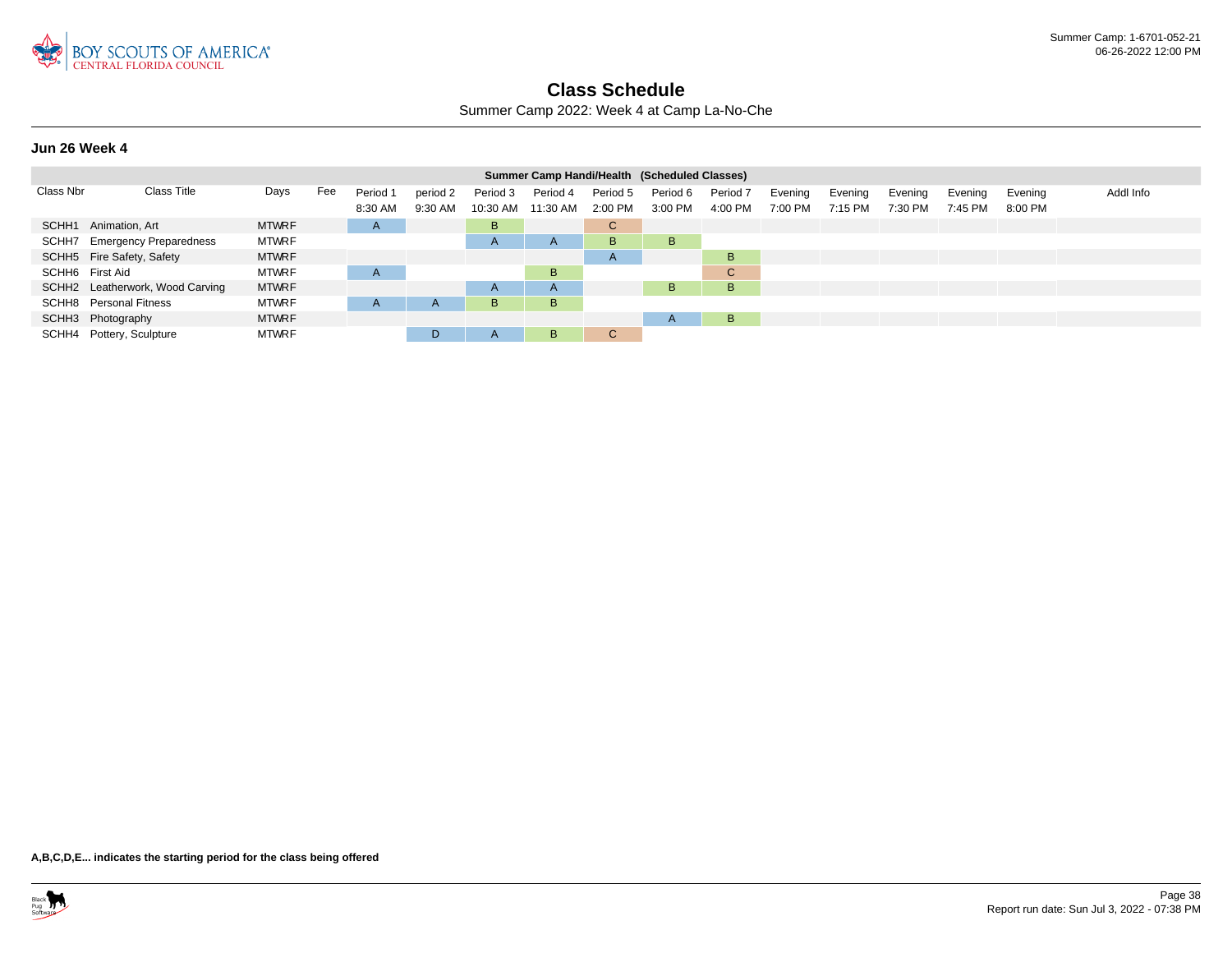

Summer Camp 2022: Week 4 at Camp La-No-Che

### **Jun 26 Week 4**

|                 |                                 |              |     |          |              |                | Summer Camp Handi/Health (Scheduled Classes) |              |                       |          |         |         |         |         |         |           |
|-----------------|---------------------------------|--------------|-----|----------|--------------|----------------|----------------------------------------------|--------------|-----------------------|----------|---------|---------|---------|---------|---------|-----------|
| Class Nbr       | Class Title                     | Days         | Fee | Period 1 | period 2     | Period 3       | Period 4                                     | Period 5     | Period 6              | Period 7 | Evening | Evening | Evening | Evening | Evening | Addl Info |
|                 |                                 |              |     | 8:30 AM  | 9:30 AM      | 10:30 AM       | 11:30 AM                                     | 2:00 PM      | 3:00 PM               | 4:00 PM  | 7:00 PM | 7:15 PM | 7:30 PM | 7:45 PM | 8:00 PM |           |
|                 | SCHH1 Animation, Art            | <b>MTWRF</b> |     | A        |              | B              |                                              | C.           |                       |          |         |         |         |         |         |           |
| SCHH7           | <b>Emergency Preparedness</b>   | <b>MTWRF</b> |     |          |              | $\mathsf{A}$   | A                                            | B.           | B.                    |          |         |         |         |         |         |           |
|                 | SCHH5 Fire Safety, Safety       | <b>MTWRF</b> |     |          |              |                |                                              | $\mathsf{A}$ |                       | B        |         |         |         |         |         |           |
| SCHH6 First Aid |                                 | <b>MTWRF</b> |     | A        |              |                | B                                            |              |                       | C.       |         |         |         |         |         |           |
|                 | SCHH2 Leatherwork, Wood Carving | <b>MTWRF</b> |     |          |              | $\overline{A}$ | $\mathsf{A}$                                 |              | B.                    | B        |         |         |         |         |         |           |
|                 | <b>SCHH8</b> Personal Fitness   | <b>MTWRF</b> |     | A        | $\mathsf{A}$ | В              | B                                            |              |                       |          |         |         |         |         |         |           |
|                 | SCHH3 Photography               | <b>MTWRF</b> |     |          |              |                |                                              |              | $\mathbf{\mathsf{H}}$ | B        |         |         |         |         |         |           |
|                 | SCHH4 Pottery, Sculpture        | <b>MTWRF</b> |     |          | D.           | A              | B                                            | $\mathbf{C}$ |                       |          |         |         |         |         |         |           |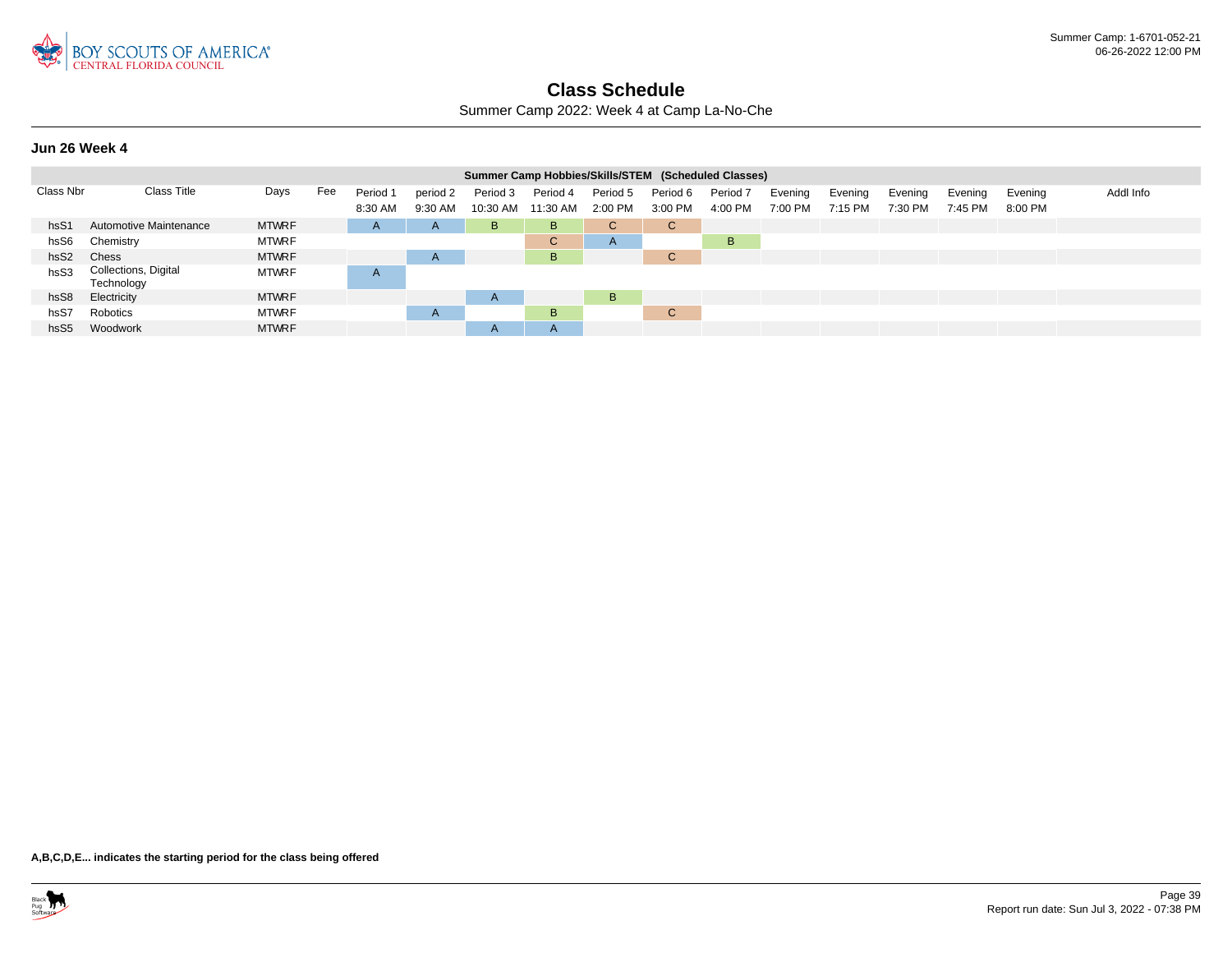

Summer Camp 2022: Week 4 at Camp La-No-Che

**Jun 26 Week 4**

|                  |                                    |              |     |              |              |              | Summer Camp Hobbies/Skills/STEM (Scheduled Classes) |              |             |                     |         |         |         |         |         |           |
|------------------|------------------------------------|--------------|-----|--------------|--------------|--------------|-----------------------------------------------------|--------------|-------------|---------------------|---------|---------|---------|---------|---------|-----------|
| Class Nbr        | <b>Class Title</b>                 | Days         | Fee | Period 1     | period 2     | Period 3     | Period 4                                            | Period 5     | Period 6    | Period <sub>7</sub> | Evening | Evening | Evening | Evening | Evening | Addl Info |
|                  |                                    |              |     | 8:30 AM      | 9:30 AM      | 10:30 AM     | 11:30 AM                                            | 2:00 PM      | 3:00 PM     | 4:00 PM             | 7:00 PM | 7:15 PM | 7:30 PM | 7:45 PM | 8:00 PM |           |
| hsS1             | Automotive Maintenance             | <b>MTWRF</b> |     | $\mathsf{A}$ | $\mathsf{A}$ | B            | B                                                   | $\mathbf{C}$ | C.          |                     |         |         |         |         |         |           |
| hsS6             | Chemistry                          | <b>MTWRF</b> |     |              |              |              | $\mathsf{C}$                                        | $\mathsf{A}$ |             | B                   |         |         |         |         |         |           |
| hsS <sub>2</sub> | Chess                              | <b>MTWRF</b> |     |              | $\mathsf{A}$ |              | B                                                   |              | $\sim$<br>U |                     |         |         |         |         |         |           |
| hsS3             | Collections, Digital<br>Technology | <b>MTWRF</b> |     | A            |              |              |                                                     |              |             |                     |         |         |         |         |         |           |
| hsS8             | Electricity                        | <b>MTWRF</b> |     |              |              | $\mathsf{A}$ |                                                     | B            |             |                     |         |         |         |         |         |           |
| hsS7             | Robotics                           | <b>MTWRF</b> |     |              | $\mathsf{A}$ |              | B                                                   |              | $\sim$<br>U |                     |         |         |         |         |         |           |
| hsS <sub>5</sub> | Woodwork                           | <b>MTWRF</b> |     |              |              | $\mathsf{A}$ | $\mathsf{A}$                                        |              |             |                     |         |         |         |         |         |           |

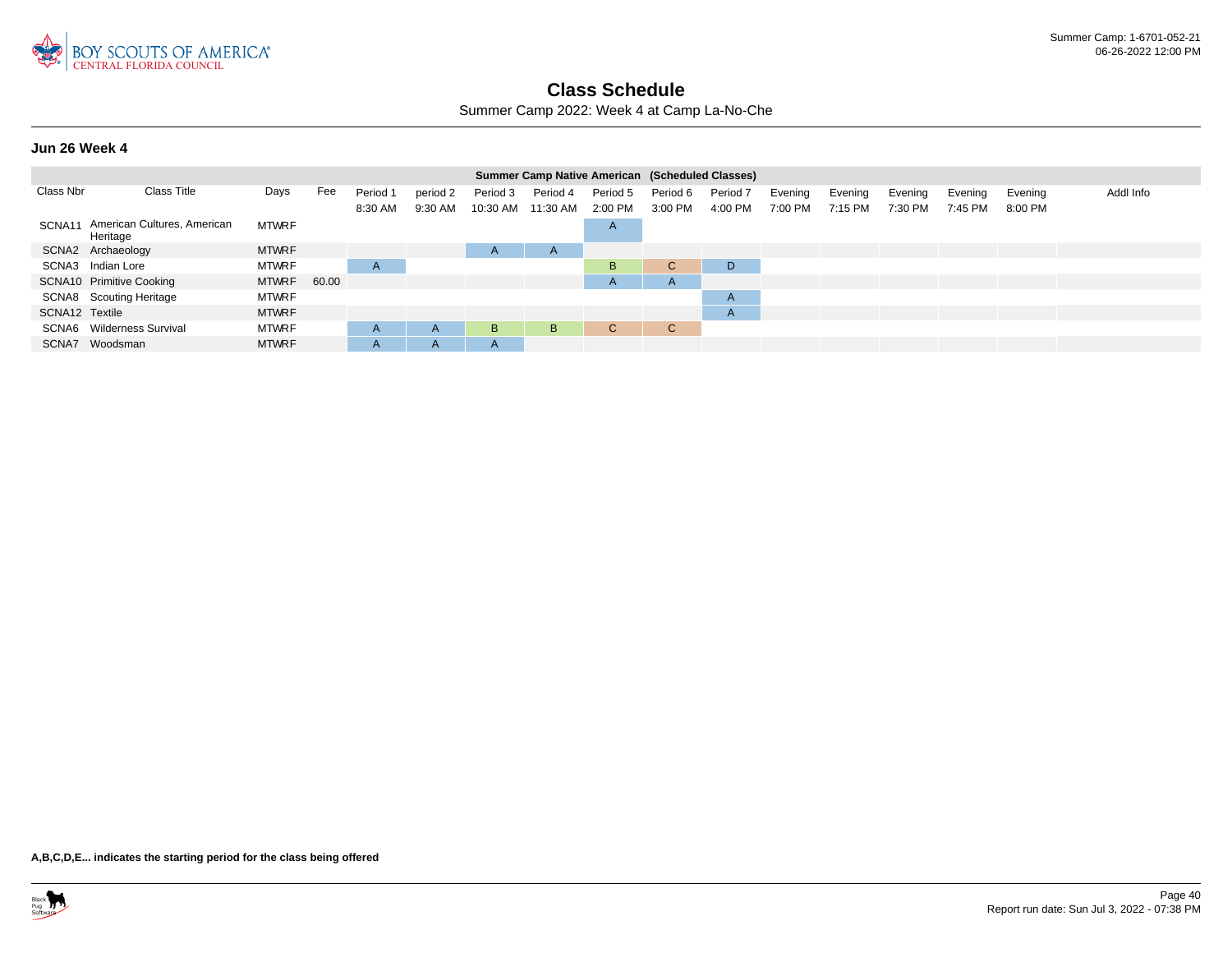

Summer Camp 2022: Week 4 at Camp La-No-Che

#### **Jun 26 Week 4**

|                |                                         |              |       |          |              |              | <b>Summer Camp Native American (Scheduled Classes)</b> |              |             |                     |         |           |         |         |         |           |
|----------------|-----------------------------------------|--------------|-------|----------|--------------|--------------|--------------------------------------------------------|--------------|-------------|---------------------|---------|-----------|---------|---------|---------|-----------|
| Class Nbr      | Class Title                             | Days         | Fee   | Period 1 | period 2     | Period 3     | Period 4                                               | Period 5     | Period 6    | Period <sub>7</sub> | Evening | Evening   | Evening | Evening | Evening | Addl Info |
|                |                                         |              |       | 8:30 AM  | 9:30 AM      | 10:30 AM     | 11:30 AM                                               | 2:00 PM      | 3:00 PM     | 4:00 PM             | 7:00 PM | $7:15$ PM | 7:30 PM | 7:45 PM | 8:00 PM |           |
| SCNA11         | American Cultures, American<br>Heritage | <b>MTWRF</b> |       |          |              |              |                                                        | A            |             |                     |         |           |         |         |         |           |
|                | SCNA2 Archaeology                       | <b>MTWRF</b> |       |          |              | $\mathsf{A}$ | $\mathsf{A}$                                           |              |             |                     |         |           |         |         |         |           |
|                | SCNA3 Indian Lore                       | <b>MTWRF</b> |       | A        |              |              |                                                        | B.           | $\sim$<br>U | D                   |         |           |         |         |         |           |
|                | SCNA10 Primitive Cooking                | <b>MTWRF</b> | 60.00 |          |              |              |                                                        | A            | n.          |                     |         |           |         |         |         |           |
|                | SCNA8 Scouting Heritage                 | <b>MTWRF</b> |       |          |              |              |                                                        |              |             | $\mathsf{A}$        |         |           |         |         |         |           |
| SCNA12 Textile |                                         | <b>MTWRF</b> |       |          |              |              |                                                        |              |             | $\mathsf{A}$        |         |           |         |         |         |           |
|                | SCNA6 Wilderness Survival               | <b>MTWRF</b> |       | A        | $\mathsf{A}$ | B            | B.                                                     | $\mathbf{C}$ | $\sim$<br>U |                     |         |           |         |         |         |           |
|                | SCNA7 Woodsman                          | <b>MTWRF</b> |       | A        | $\mathsf{A}$ | $\mathsf{A}$ |                                                        |              |             |                     |         |           |         |         |         |           |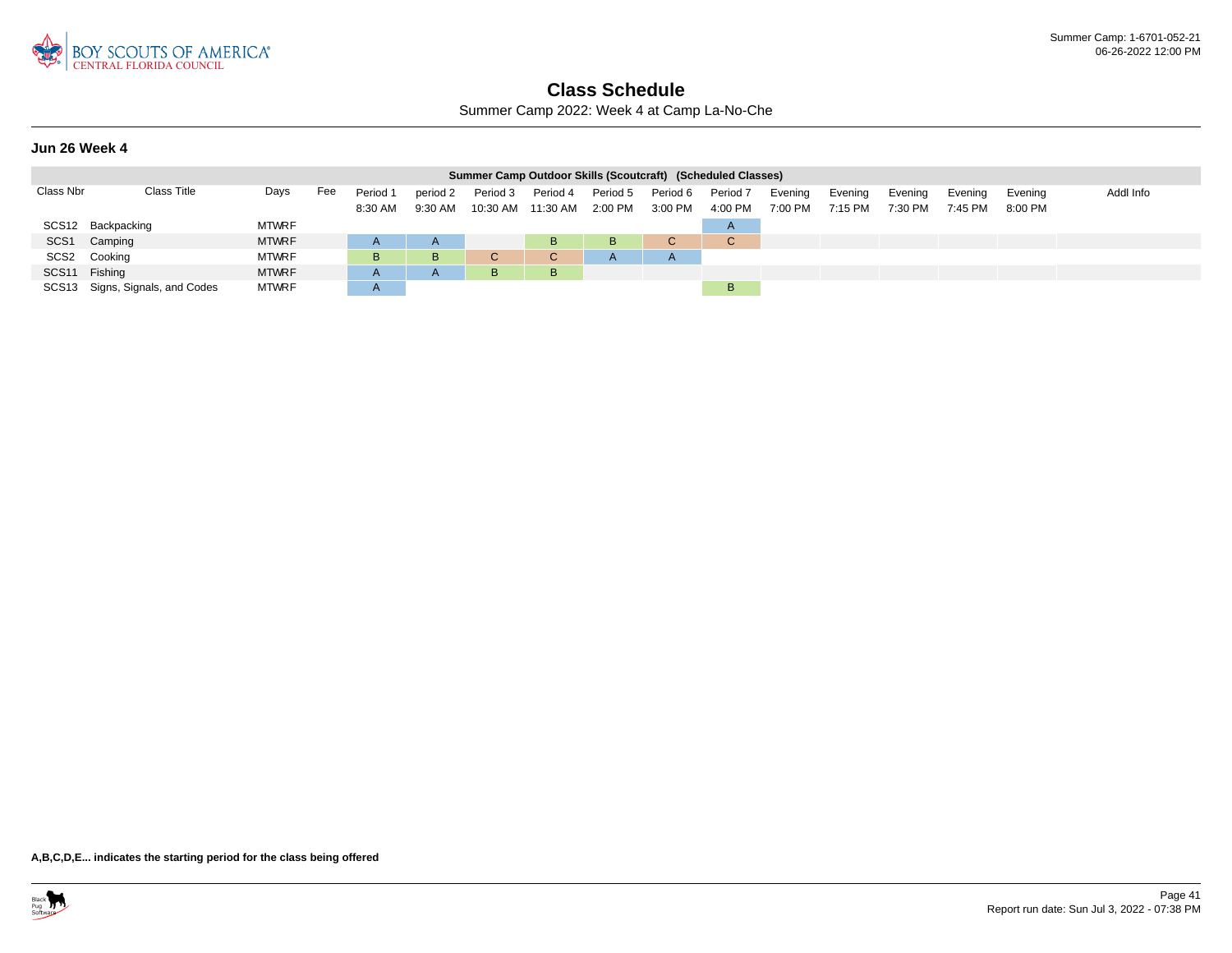

Summer Camp 2022: Week 4 at Camp La-No-Che

### **Jun 26 Week 4**

|                  |                                 |              |     |                     |                     |                                | Summer Camp Outdoor Skills (Scoutcraft) (Scheduled Classes) |                     |                     |                     |                    |                    |                    |                    |                    |           |
|------------------|---------------------------------|--------------|-----|---------------------|---------------------|--------------------------------|-------------------------------------------------------------|---------------------|---------------------|---------------------|--------------------|--------------------|--------------------|--------------------|--------------------|-----------|
| Class Nbr        | Class Title                     | Days         | Fee | Period 1<br>8:30 AM | period 2<br>9:30 AM | Period 3<br>10:30 AM  11:30 AM | Period 4                                                    | Period 5<br>2:00 PM | Period 6<br>3:00 PM | Period 7<br>4:00 PM | Evening<br>7:00 PM | Evening<br>7:15 PM | Evening<br>7:30 PM | Evening<br>7:45 PM | Evening<br>8:00 PM | Addl Info |
|                  | SCS12 Backpacking               | <b>MTWRF</b> |     |                     |                     |                                |                                                             |                     |                     | $\mathsf{H}$        |                    |                    |                    |                    |                    |           |
| SCS <sub>1</sub> | Camping                         | <b>MTWRF</b> |     |                     | $\mathsf{A}$        |                                | B                                                           | B                   | $\sim$<br>v.        | C.                  |                    |                    |                    |                    |                    |           |
|                  | SCS2 Cooking                    | <b>MTWRF</b> |     | в                   | B                   | ◡                              | C.                                                          |                     |                     |                     |                    |                    |                    |                    |                    |           |
| SCS11 Fishing    |                                 | <b>MTWRF</b> |     |                     | A.                  | B                              | B                                                           |                     |                     |                     |                    |                    |                    |                    |                    |           |
|                  | SCS13 Signs, Signals, and Codes | <b>MTWRF</b> |     | <u>л</u>            |                     |                                |                                                             |                     |                     | B                   |                    |                    |                    |                    |                    |           |

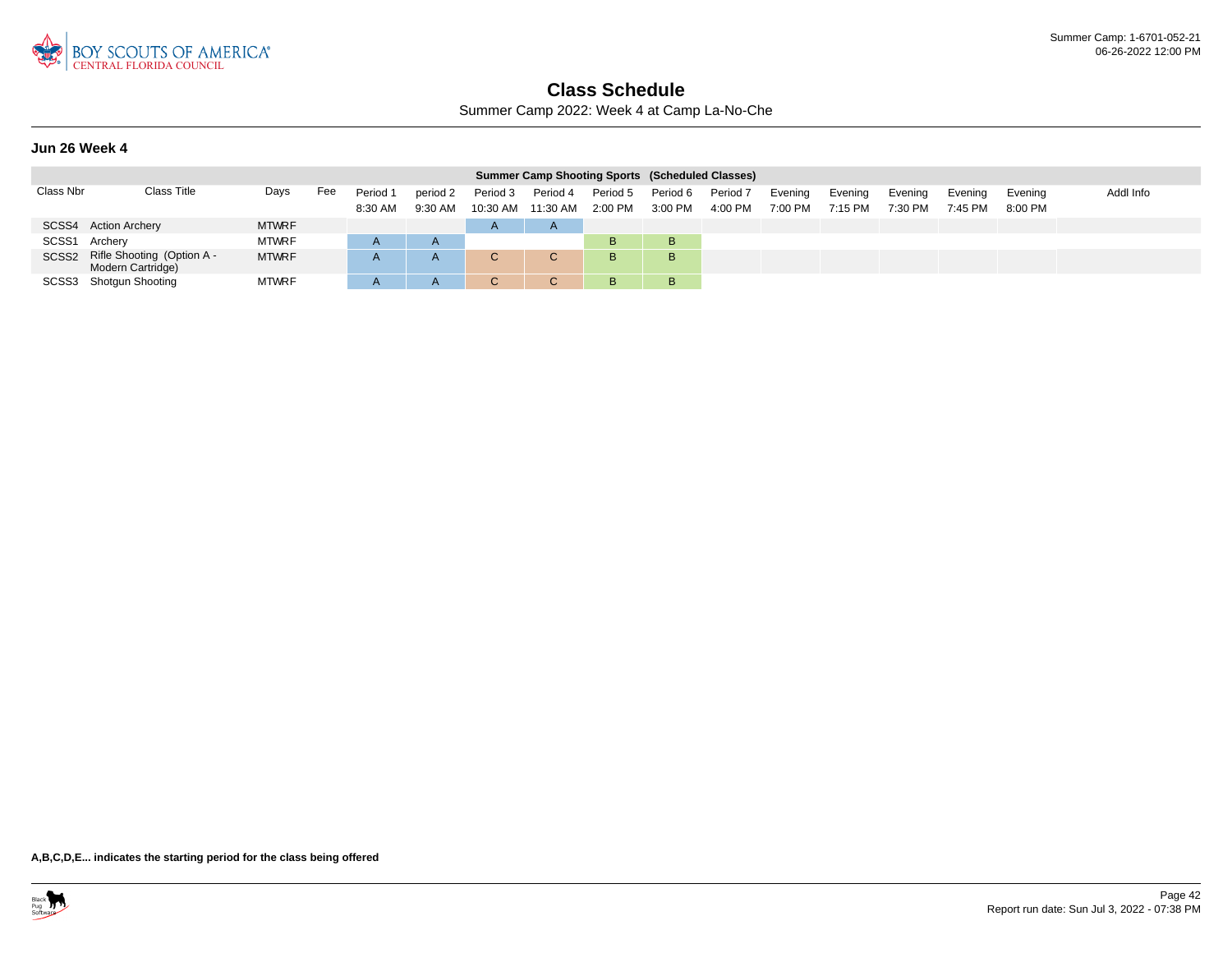

Summer Camp 2022: Week 4 at Camp La-No-Che

#### **Jun 26 Week 4**

|               |                                                       |              |     |                     |                     |                      | <b>Summer Camp Shooting Sports (Scheduled Classes)</b> |                       |                     |                     |                    |                    |                    |                    |                    |           |
|---------------|-------------------------------------------------------|--------------|-----|---------------------|---------------------|----------------------|--------------------------------------------------------|-----------------------|---------------------|---------------------|--------------------|--------------------|--------------------|--------------------|--------------------|-----------|
| Class Nbr     | Class Title                                           | Days         | Fee | Period 1<br>8:30 AM | period 2<br>9:30 AM | Period 3<br>10:30 AM | Period 4<br>11:30 AM                                   | Period 5<br>$2:00$ PM | Period 6<br>3:00 PM | Period 7<br>4:00 PM | Evening<br>7:00 PM | Evening<br>7:15 PM | Evening<br>7:30 PM | Evening<br>7:45 PM | Evening<br>8:00 PM | Addl Info |
|               | SCSS4 Action Archery                                  | <b>MTWRF</b> |     |                     |                     | $\overline{A}$       | $\mathsf{A}$                                           |                       |                     |                     |                    |                    |                    |                    |                    |           |
| SCSS1 Archery |                                                       | <b>MTWRF</b> |     |                     | $\mathsf{A}$        |                      |                                                        | B                     | в                   |                     |                    |                    |                    |                    |                    |           |
|               | SCSS2 Rifle Shooting (Option A -<br>Modern Cartridge) | <b>MTWRF</b> |     |                     | A                   |                      | C.                                                     | B.                    | в                   |                     |                    |                    |                    |                    |                    |           |
|               | SCSS3 Shotgun Shooting                                | <b>MTWRF</b> |     |                     | A                   |                      |                                                        | B                     | В                   |                     |                    |                    |                    |                    |                    |           |

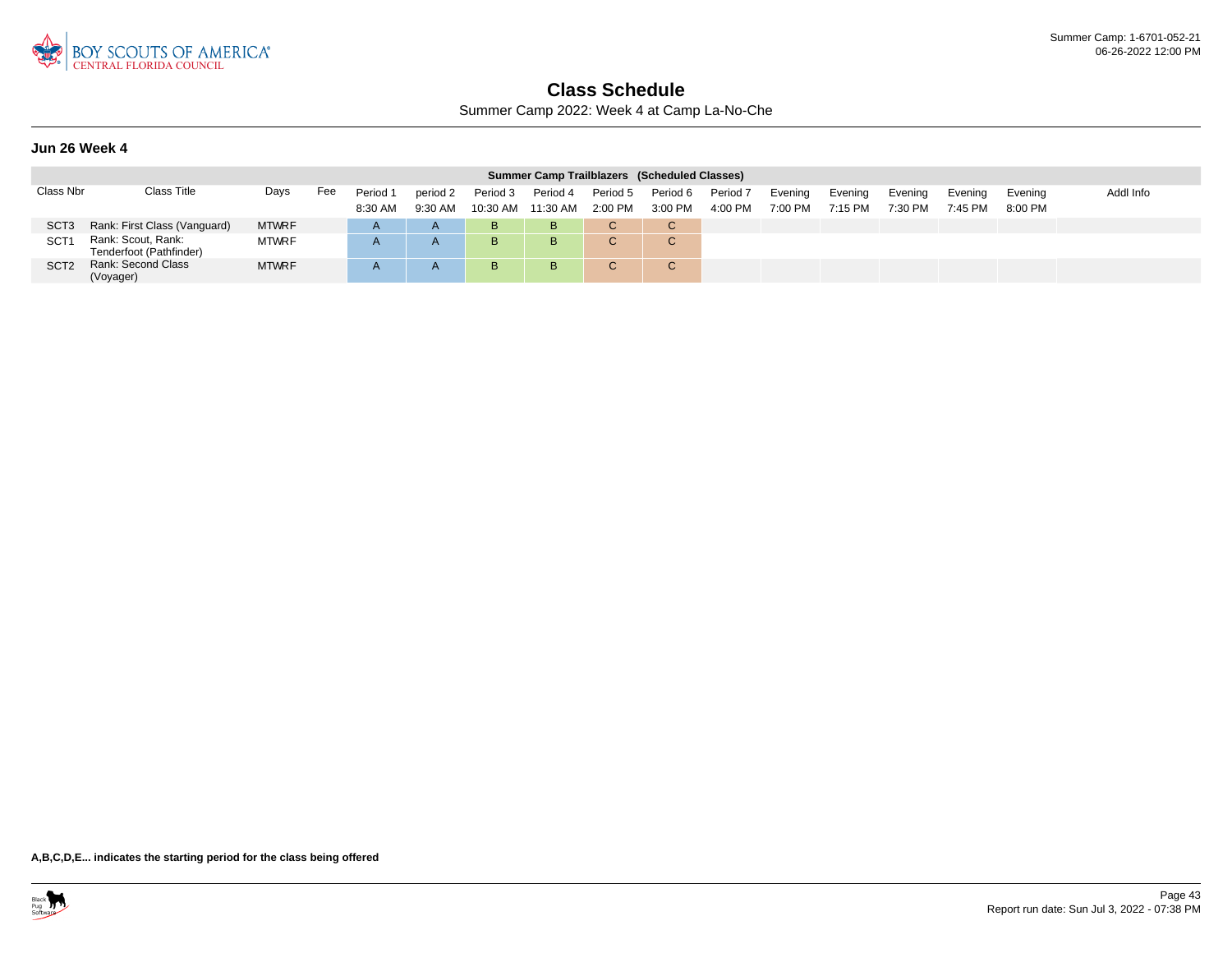

Summer Camp 2022: Week 4 at Camp La-No-Che

### **Jun 26 Week 4**

|                  |                                               |              |     |                     |                       |                      |                      |                       | Summer Camp Trailblazers (Scheduled Classes) |                                |                    |                    |                    |                      |                      |           |
|------------------|-----------------------------------------------|--------------|-----|---------------------|-----------------------|----------------------|----------------------|-----------------------|----------------------------------------------|--------------------------------|--------------------|--------------------|--------------------|----------------------|----------------------|-----------|
| Class Nbr        | <b>Class Title</b>                            | Days         | Fee | Period 1<br>8:30 AM | period 2<br>$9:30$ AM | Period 3<br>10:30 AM | Period 4<br>11:30 AM | Period 5<br>$2:00$ PM | Period 6<br>3:00 PM                          | Period <sub>7</sub><br>4:00 PM | Evening<br>7:00 PM | Evening<br>7:15 PM | Evening<br>7:30 PM | Evening<br>$7:45$ PM | Evenina<br>$8:00$ PM | Addl Info |
| SCT <sub>3</sub> | Rank: First Class (Vanguard)                  | <b>MTWRF</b> |     |                     | $\mathsf{A}$          | B                    | B.                   |                       | C.                                           |                                |                    |                    |                    |                      |                      |           |
| SCT              | Rank: Scout, Rank:<br>Tenderfoot (Pathfinder) | <b>MTWRF</b> |     |                     | <u>r</u>              | в                    | B                    |                       | $\sim$<br>◡                                  |                                |                    |                    |                    |                      |                      |           |
| SCT <sub>2</sub> | Rank: Second Class<br>(Voyager)               | <b>MTWRF</b> |     |                     |                       | в                    | B                    |                       | $\sim$<br>U                                  |                                |                    |                    |                    |                      |                      |           |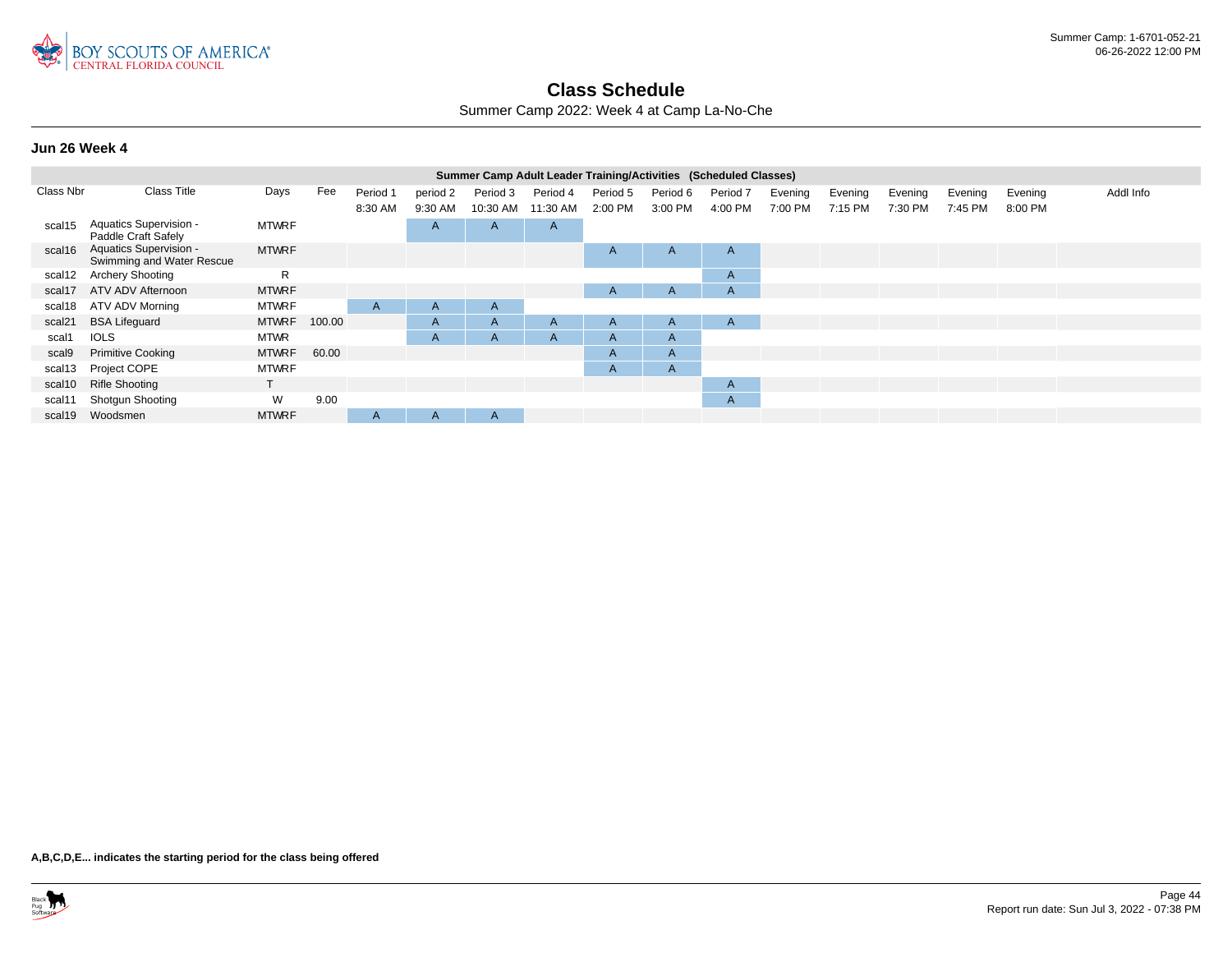

Summer Camp 2022: Week 4 at Camp La-No-Che

#### **Jun 26 Week 4**

|           |                                                            |              |        |              |                |              | Summer Camp Adult Leader Training/Activities (Scheduled Classes) |          |          |              |         |         |         |         |         |           |
|-----------|------------------------------------------------------------|--------------|--------|--------------|----------------|--------------|------------------------------------------------------------------|----------|----------|--------------|---------|---------|---------|---------|---------|-----------|
| Class Nbr | <b>Class Title</b>                                         | Days         | Fee    | Period 1     | period 2       | Period 3     | Period 4                                                         | Period 5 | Period 6 | Period 7     | Evening | Evening | Evening | Evening | Evening | Addl Info |
|           |                                                            |              |        | 8:30 AM      | 9:30 AM        | 10:30 AM     | 11:30 AM                                                         | 2:00 PM  | 3:00 PM  | 4:00 PM      | 7:00 PM | 7:15 PM | 7:30 PM | 7:45 PM | 8:00 PM |           |
| scal15    | Aquatics Supervision -<br>Paddle Craft Safely              | <b>MTWRF</b> |        |              | $\overline{A}$ | A            | $\overline{A}$                                                   |          |          |              |         |         |         |         |         |           |
| scal16    | <b>Aquatics Supervision -</b><br>Swimming and Water Rescue | <b>MTWRF</b> |        |              |                |              |                                                                  | A        | A        | $\mathsf{A}$ |         |         |         |         |         |           |
| scal12    | <b>Archery Shooting</b>                                    | R            |        |              |                |              |                                                                  |          |          | $\mathsf{A}$ |         |         |         |         |         |           |
| scal17    | ATV ADV Afternoon                                          | <b>MTWRF</b> |        |              |                |              |                                                                  | A        | A        | A            |         |         |         |         |         |           |
| scal18    | ATV ADV Morning                                            | <b>MTWRF</b> |        | A            | $\mathsf{A}$   | $\mathsf{A}$ |                                                                  |          |          |              |         |         |         |         |         |           |
| scal21    | <b>BSA Lifeguard</b>                                       | <b>MTWRF</b> | 100.00 |              | $\mathsf{A}$   | $\mathsf{A}$ | A                                                                | A        | A        | A            |         |         |         |         |         |           |
| scal1     | <b>IOLS</b>                                                | <b>MTWR</b>  |        |              | A              | A            | $\mathsf{A}$                                                     | A        | A        |              |         |         |         |         |         |           |
| scal9     | <b>Primitive Cooking</b>                                   | <b>MTWRF</b> | 60.00  |              |                |              |                                                                  | A        | A        |              |         |         |         |         |         |           |
| scal13    | Project COPE                                               | <b>MTWRF</b> |        |              |                |              |                                                                  | A        | A        |              |         |         |         |         |         |           |
| scal10    | <b>Rifle Shooting</b>                                      |              |        |              |                |              |                                                                  |          |          | $\mathsf{A}$ |         |         |         |         |         |           |
| scal11    | <b>Shotgun Shooting</b>                                    | W            | 9.00   |              |                |              |                                                                  |          |          | $\mathsf{A}$ |         |         |         |         |         |           |
| scal19    | Woodsmen                                                   | <b>MTWRF</b> |        | $\mathsf{A}$ | A              | A            |                                                                  |          |          |              |         |         |         |         |         |           |
|           |                                                            |              |        |              |                |              |                                                                  |          |          |              |         |         |         |         |         |           |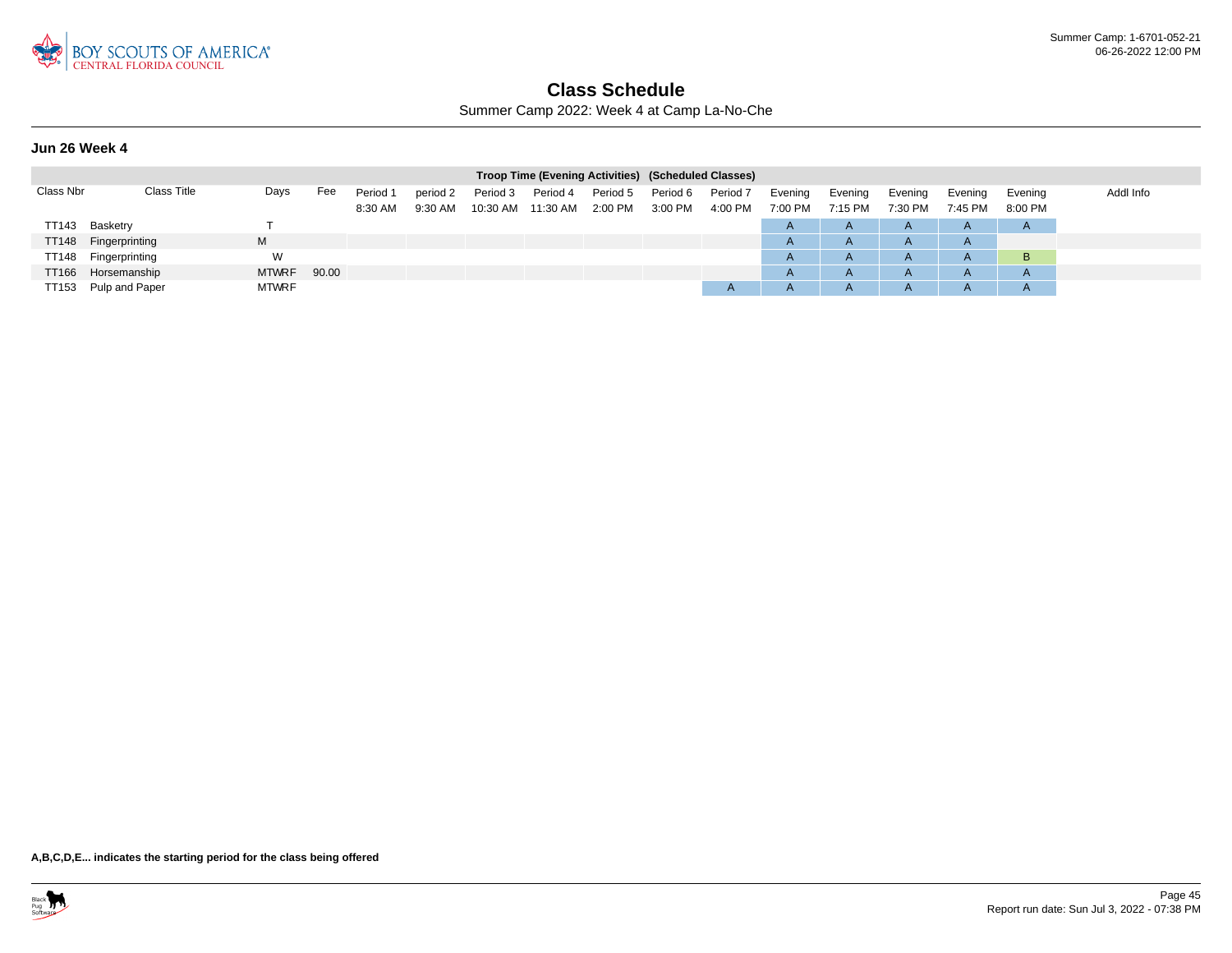

Summer Camp 2022: Week 4 at Camp La-No-Che

### **Jun 26 Week 4**

|           |                      |              |       |                     |                       |                      | Troop Time (Evening Activities) (Scheduled Classes) |                       |                     |                                |                    |                    |                    |                    |                    |           |
|-----------|----------------------|--------------|-------|---------------------|-----------------------|----------------------|-----------------------------------------------------|-----------------------|---------------------|--------------------------------|--------------------|--------------------|--------------------|--------------------|--------------------|-----------|
| Class Nbr | Class Title          | Days         | Fee   | Period 1<br>8:30 AM | period 2<br>$9:30$ AM | Period 3<br>10:30 AM | Period 4<br>11:30 AM                                | Period 5<br>$2:00$ PM | Period 6<br>3:00 PM | Period <sub>7</sub><br>4:00 PM | Evening<br>7:00 PM | Evening<br>7:15 PM | Evening<br>7:30 PM | Evening<br>7:45 PM | Evening<br>8:00 PM | Addl Info |
| TT143     | Basketry             |              |       |                     |                       |                      |                                                     |                       |                     |                                | $\overline{A}$     | $\mathsf{A}$       | $\mathsf{A}$       | <u>r</u>           | $\mathsf{A}$       |           |
| TT148     | Fingerprinting       | M            |       |                     |                       |                      |                                                     |                       |                     |                                | $\mathsf{A}$       | $\mathsf{A}$       | A                  |                    |                    |           |
|           | TT148 Fingerprinting | W            |       |                     |                       |                      |                                                     |                       |                     |                                | $\mathsf{A}$       | $\mathsf{A}$       | $\mathsf{A}$       |                    | B                  |           |
|           | TT166 Horsemanship   | <b>MTWRF</b> | 90.00 |                     |                       |                      |                                                     |                       |                     |                                | $\overline{A}$     | $\mathsf{A}$       | A                  |                    | $\mathsf{A}$       |           |
|           | TT153 Pulp and Paper | <b>MTWRF</b> |       |                     |                       |                      |                                                     |                       |                     | $\overline{A}$                 | $\overline{A}$     | $\mathsf{A}$       | $\mathsf{A}$       |                    | $\mathsf{A}$       |           |

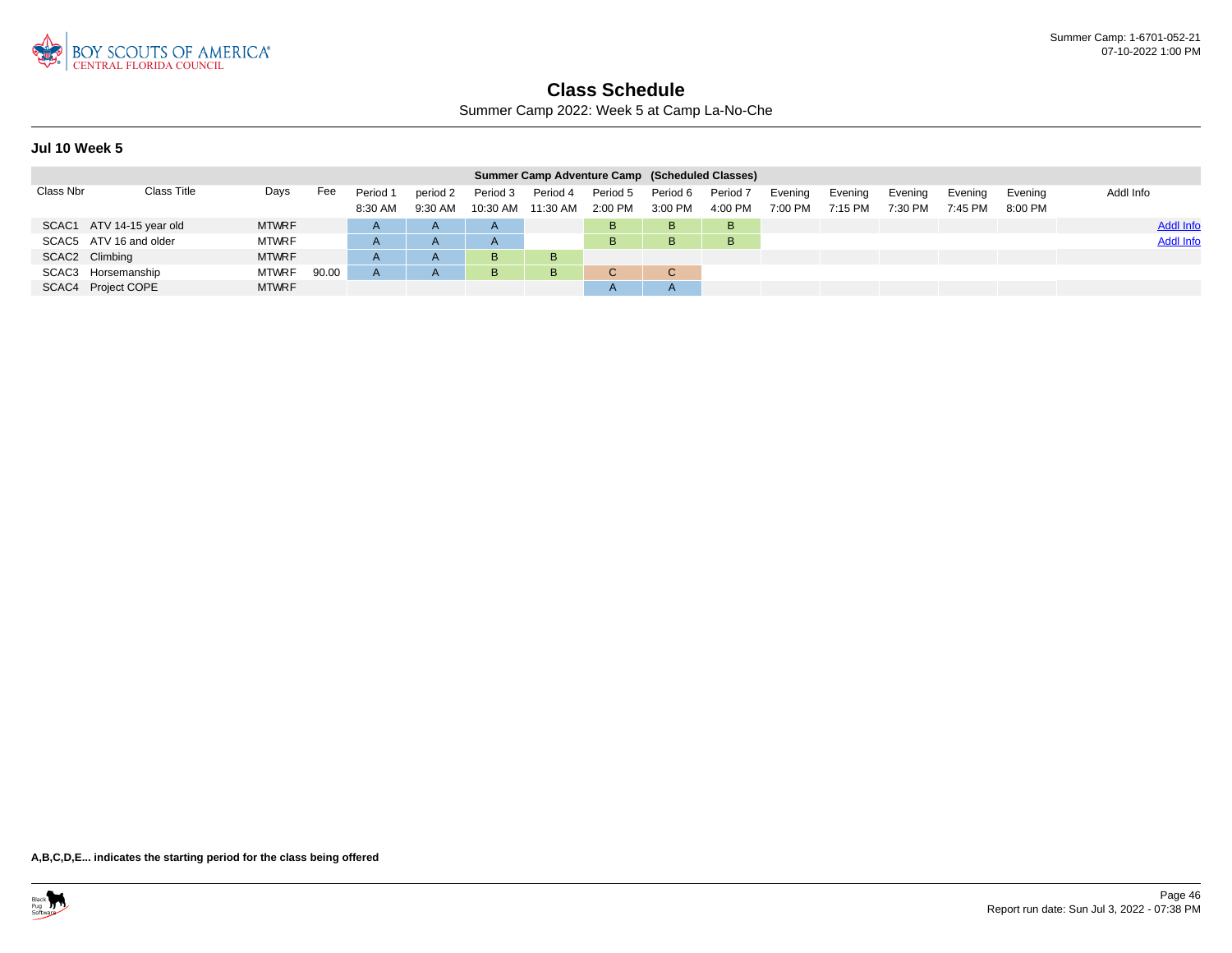

Summer Camp 2022: Week 5 at Camp La-No-Che

### **Jul 10 Week 5**

|           |                          |              |       |                     |                       |                      | Summer Camp Adventure Camp (Scheduled Classes) |                       |                     |                     |                    |                    |                    |                    |                    |                  |
|-----------|--------------------------|--------------|-------|---------------------|-----------------------|----------------------|------------------------------------------------|-----------------------|---------------------|---------------------|--------------------|--------------------|--------------------|--------------------|--------------------|------------------|
| Class Nbr | Class Title              | Days         | Fee   | Period 1<br>8:30 AM | period 2<br>$9:30$ AM | Period 3<br>10:30 AM | Period 4<br>11:30 AM                           | Period 5<br>$2:00$ PM | Period 6<br>3:00 PM | Period 7<br>4:00 PM | Evening<br>7:00 PM | Evening<br>7:15 PM | Evening<br>7:30 PM | Evening<br>7:45 PM | Evenina<br>8:00 PM | Addl Info        |
|           | SCAC1 ATV 14-15 year old | <b>MTWRF</b> |       | $\mathsf{A}$        | $\mathsf{A}$          | $\mathsf{A}$         |                                                | в                     | B                   | B                   |                    |                    |                    |                    |                    | <b>Addl Info</b> |
|           | SCAC5 ATV 16 and older   | <b>MTWRF</b> |       | A                   | $\mathsf{A}$          | $\mathsf{A}$         |                                                | B.                    | B                   | B                   |                    |                    |                    |                    |                    | <b>Addl Info</b> |
|           | SCAC2 Climbing           | <b>MTWRF</b> |       | $\mathsf{A}$        | $\mathsf{A}$          | B                    | B                                              |                       |                     |                     |                    |                    |                    |                    |                    |                  |
|           | SCAC3 Horsemanship       | <b>MTWRF</b> | 90.00 | A                   | $\mathsf{A}$          | B                    | B                                              |                       | C.                  |                     |                    |                    |                    |                    |                    |                  |
|           | SCAC4 Project COPE       | <b>MTWRF</b> |       |                     |                       |                      |                                                |                       |                     |                     |                    |                    |                    |                    |                    |                  |

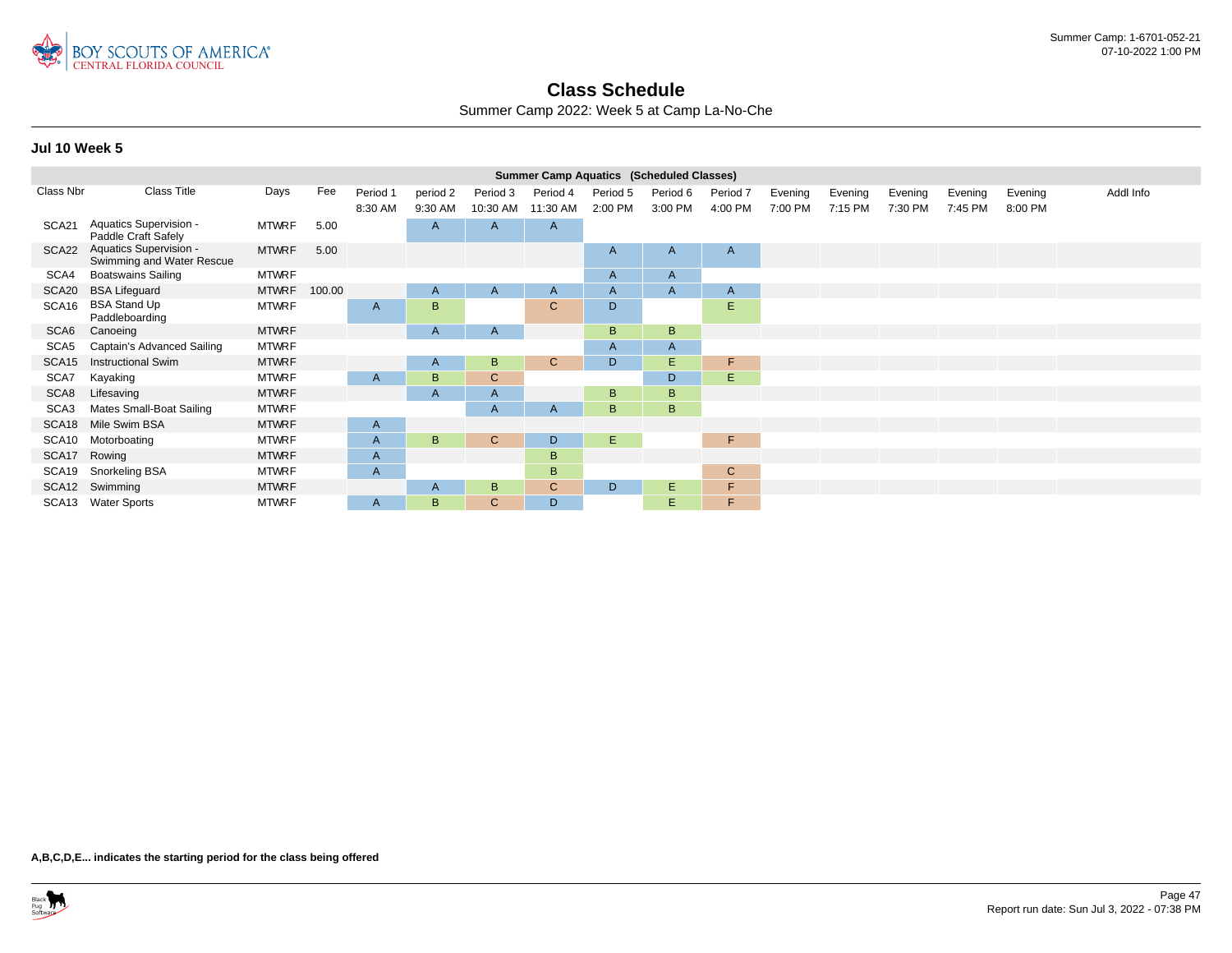

Summer Camp 2022: Week 5 at Camp La-No-Che

|                  |                                                     |              |        |          |                |              | <b>Summer Camp Aquatics (Scheduled Classes)</b> |          |              |              |         |         |         |         |         |           |
|------------------|-----------------------------------------------------|--------------|--------|----------|----------------|--------------|-------------------------------------------------|----------|--------------|--------------|---------|---------|---------|---------|---------|-----------|
| Class Nbr        | <b>Class Title</b>                                  | Days         | Fee    | Period 1 | period 2       | Period 3     | Period 4                                        | Period 5 | Period 6     | Period 7     | Evening | Evening | Evening | Evening | Evening | Addl Info |
|                  |                                                     |              |        | 8:30 AM  | 9:30 AM        | 10:30 AM     | 11:30 AM                                        | 2:00 PM  | 3:00 PM      | 4:00 PM      | 7:00 PM | 7:15 PM | 7:30 PM | 7:45 PM | 8:00 PM |           |
| SCA21            | Aquatics Supervision -<br>Paddle Craft Safely       | MTWRF        | 5.00   |          | $\overline{A}$ | A            | $\mathsf{A}$                                    |          |              |              |         |         |         |         |         |           |
| SCA22            | Aquatics Supervision -<br>Swimming and Water Rescue | <b>MTWRF</b> | 5.00   |          |                |              |                                                 | A        | A            | $\mathsf{A}$ |         |         |         |         |         |           |
| SCA4             | <b>Boatswains Sailing</b>                           | <b>MTWRF</b> |        |          |                |              |                                                 | A        | $\mathsf{A}$ |              |         |         |         |         |         |           |
| SCA20            | <b>BSA Lifeguard</b>                                | <b>MTWRF</b> | 100.00 |          | $\mathsf{A}$   | A            | $\mathsf{A}$                                    | A        | A            | $\mathsf{A}$ |         |         |         |         |         |           |
| SCA16            | <b>BSA Stand Up</b><br>Paddleboarding               | <b>MTWRF</b> |        | A        | B              |              | $\mathsf{C}$                                    | D        |              | E            |         |         |         |         |         |           |
| SCA <sub>6</sub> | Canoeing                                            | <b>MTWRF</b> |        |          | A              | $\mathsf{A}$ |                                                 | B        | B            |              |         |         |         |         |         |           |
| SCA5             | Captain's Advanced Sailing                          | <b>MTWRF</b> |        |          |                |              |                                                 | A        | $\mathsf{A}$ |              |         |         |         |         |         |           |
| SCA15            | <b>Instructional Swim</b>                           | <b>MTWRF</b> |        |          | $\mathsf{A}$   | B            | $\mathbf{C}$                                    | D        | E.           | F            |         |         |         |         |         |           |
| SCA7             | Kayaking                                            | <b>MTWRF</b> |        | A        | B              | C            |                                                 |          | D            | Ε            |         |         |         |         |         |           |
| SCA8             | Lifesaving                                          | <b>MTWRF</b> |        |          | $\overline{A}$ | A            |                                                 | B        | B            |              |         |         |         |         |         |           |
| SCA <sub>3</sub> | Mates Small-Boat Sailing                            | <b>MTWRF</b> |        |          |                | A            | A                                               | B        | B            |              |         |         |         |         |         |           |
| SCA18            | Mile Swim BSA                                       | <b>MTWRF</b> |        | A        |                |              |                                                 |          |              |              |         |         |         |         |         |           |
| SCA10            | Motorboating                                        | <b>MTWRF</b> |        | A        | B              | $\mathbf{C}$ | D                                               | E.       |              | F.           |         |         |         |         |         |           |
| SCA17            | Rowing                                              | <b>MTWRF</b> |        | A        |                |              | B                                               |          |              |              |         |         |         |         |         |           |
| SCA19            | Snorkeling BSA                                      | <b>MTWRF</b> |        | A        |                |              | B.                                              |          |              | $\mathsf{C}$ |         |         |         |         |         |           |
|                  | SCA12 Swimming                                      | <b>MTWRF</b> |        |          | A              | B            | $\mathsf{C}$                                    | D        | E.           | F            |         |         |         |         |         |           |
|                  | SCA13 Water Sports                                  | <b>MTWRF</b> |        | A        | B              | C            | D                                               |          | E.           | F.           |         |         |         |         |         |           |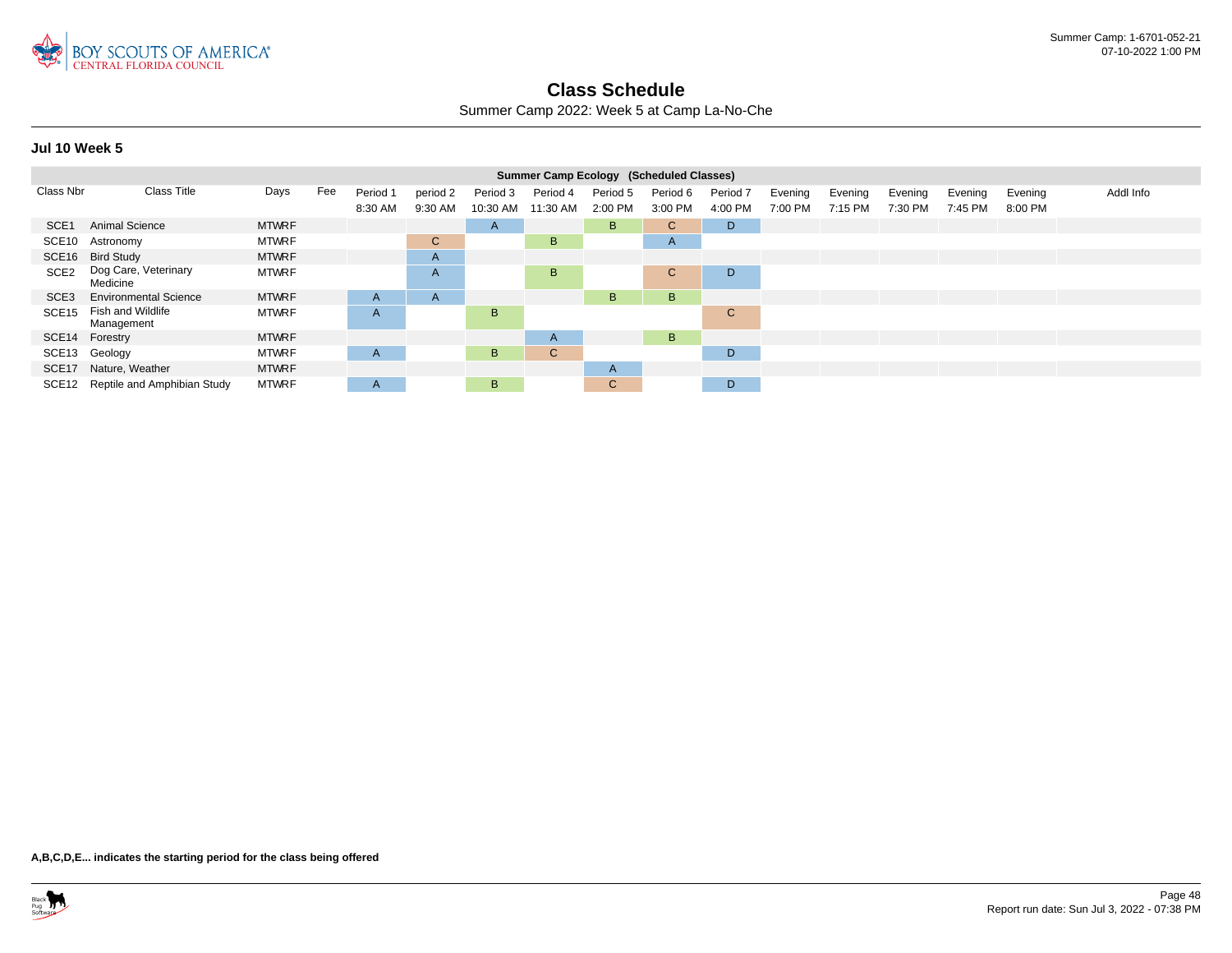

Summer Camp 2022: Week 5 at Camp La-No-Che

|                  |                                  |              |     |              |                |          | Summer Camp Ecology (Scheduled Classes) |              |              |          |         |         |         |         |         |           |
|------------------|----------------------------------|--------------|-----|--------------|----------------|----------|-----------------------------------------|--------------|--------------|----------|---------|---------|---------|---------|---------|-----------|
| Class Nbr        | <b>Class Title</b>               | Days         | Fee | Period 1     | period 2       | Period 3 | Period 4                                | Period 5     | Period 6     | Period 7 | Evening | Evening | Evening | Evening | Evening | Addl Info |
|                  |                                  |              |     | 8:30 AM      | 9:30 AM        | 10:30 AM | 11:30 AM                                | 2:00 PM      | 3:00 PM      | 4:00 PM  | 7:00 PM | 7:15 PM | 7:30 PM | 7:45 PM | 8:00 PM |           |
| SCE <sub>1</sub> | Animal Science                   | <b>MTWRF</b> |     |              |                | A        |                                         | B            | $\mathbf{C}$ | D        |         |         |         |         |         |           |
| SCE10            | Astronomy                        | <b>MTWRF</b> |     |              | $\mathbf{C}$   |          | B                                       |              | A            |          |         |         |         |         |         |           |
|                  | SCE16 Bird Study                 | <b>MTWRF</b> |     |              | A              |          |                                         |              |              |          |         |         |         |         |         |           |
| SCE <sub>2</sub> | Dog Care, Veterinary<br>Medicine | <b>MTWRF</b> |     |              | $\overline{A}$ |          | B.                                      |              | $\mathbf{C}$ | D        |         |         |         |         |         |           |
| SCE3             | <b>Environmental Science</b>     | <b>MTWRF</b> |     | $\mathsf{A}$ | $\overline{A}$ |          |                                         | B.           | B            |          |         |         |         |         |         |           |
| SCE15            | Fish and Wildlife<br>Management  | <b>MTWRF</b> |     | A            |                | B        |                                         |              |              | C        |         |         |         |         |         |           |
| SCE14 Forestry   |                                  | <b>MTWRF</b> |     |              |                |          | $\mathsf{A}$                            |              | B            |          |         |         |         |         |         |           |
|                  | SCE13 Geology                    | <b>MTWRF</b> |     | A            |                | B        | $\mathsf{C}$                            |              |              | D        |         |         |         |         |         |           |
| SCE17            | Nature, Weather                  | <b>MTWRF</b> |     |              |                |          |                                         | $\mathsf{A}$ |              |          |         |         |         |         |         |           |
| SCE12            | Reptile and Amphibian Study      | <b>MTWRF</b> |     | $\mathsf{A}$ |                | B        |                                         | $\mathbf{C}$ |              | D        |         |         |         |         |         |           |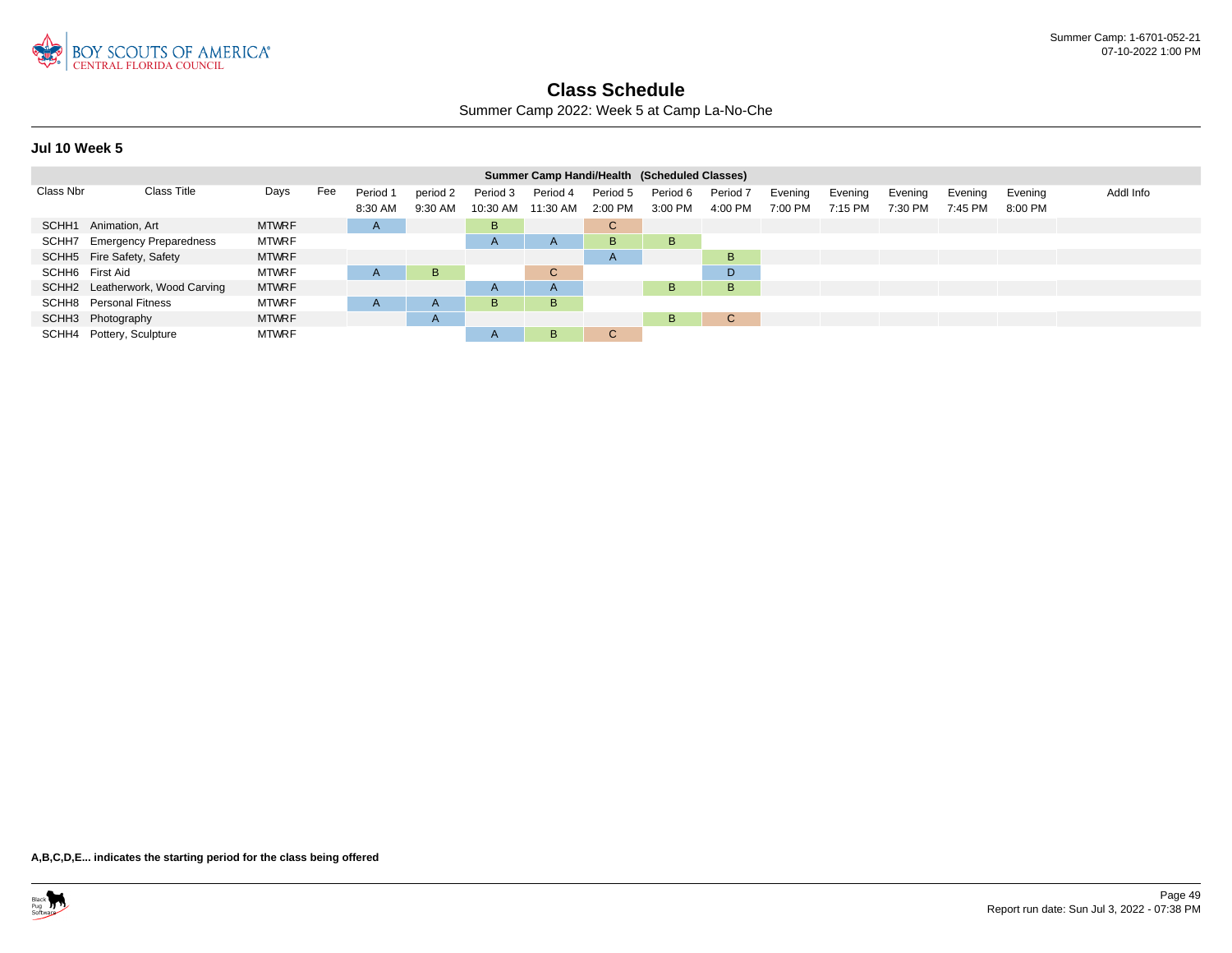

Summer Camp 2022: Week 5 at Camp La-No-Che

### **Jul 10 Week 5**

|                 | Summer Camp Handi/Health (Scheduled Classes) |              |     |              |              |                   |              |              |          |                     |         |         |         |         |         |           |
|-----------------|----------------------------------------------|--------------|-----|--------------|--------------|-------------------|--------------|--------------|----------|---------------------|---------|---------|---------|---------|---------|-----------|
| Class Nbr       | <b>Class Title</b>                           | Days         | Fee | Period 1     | period 2     | Period 3          | Period 4     | Period 5     | Period 6 | Period <sub>7</sub> | Evening | Evening | Evening | Evening | Evening | Addl Info |
|                 |                                              |              |     | 8:30 AM      | 9:30 AM      | 10:30 AM 11:30 AM |              | 2:00 PM      | 3:00 PM  | 4:00 PM             | 7:00 PM | 7:15 PM | 7:30 PM | 7:45 PM | 8:00 PM |           |
|                 | SCHH1 Animation, Art                         | <b>MTWRF</b> |     | $\mathsf{H}$ |              | B                 |              | $\mathbf{C}$ |          |                     |         |         |         |         |         |           |
|                 | SCHH7 Emergency Preparedness                 | <b>MTWRF</b> |     |              |              | $\mathsf{A}$      | $\mathsf{A}$ | B.           | B.       |                     |         |         |         |         |         |           |
|                 | SCHH5 Fire Safety, Safety                    | <b>MTWRF</b> |     |              |              |                   |              | $\mathsf{A}$ |          | B                   |         |         |         |         |         |           |
| SCHH6 First Aid |                                              | <b>MTWRF</b> |     | A            | B            |                   | $\mathsf{C}$ |              |          | D.                  |         |         |         |         |         |           |
|                 | SCHH2 Leatherwork, Wood Carving              | <b>MTWRF</b> |     |              |              | $\mathsf{A}$      | A            |              | B.       | B                   |         |         |         |         |         |           |
|                 | SCHH8 Personal Fitness                       | <b>MTWRF</b> |     | $\mathsf{H}$ | $\mathsf{A}$ | B                 | B            |              |          |                     |         |         |         |         |         |           |
|                 | SCHH3 Photography                            | <b>MTWRF</b> |     |              | $\mathsf{A}$ |                   |              |              | B.       | C.                  |         |         |         |         |         |           |
|                 | SCHH4 Pottery, Sculpture                     | <b>MTWRF</b> |     |              |              | $\mathsf{A}$      | B            | $\mathsf{C}$ |          |                     |         |         |         |         |         |           |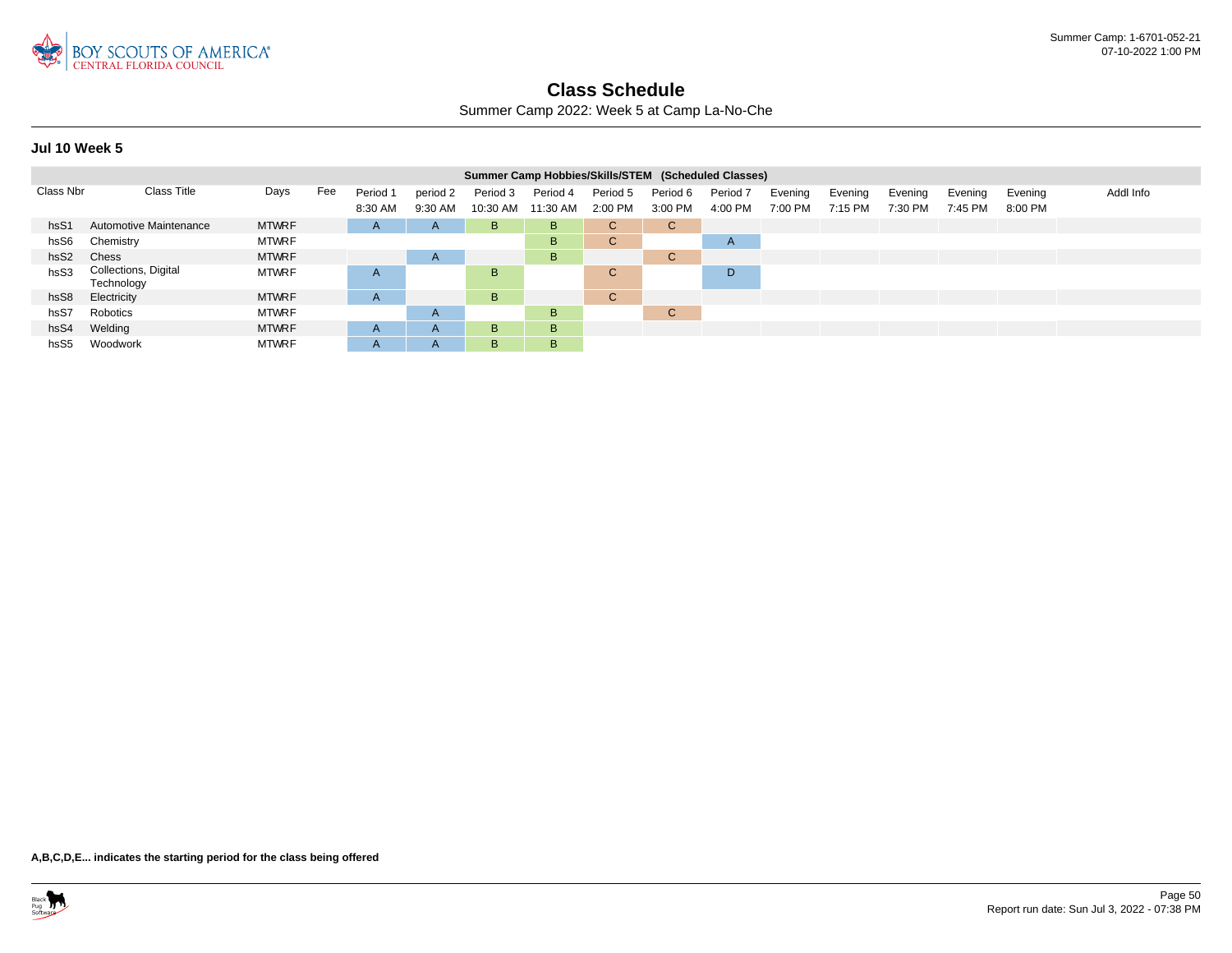

Summer Camp 2022: Week 5 at Camp La-No-Che

|                  | Summer Camp Hobbies/Skills/STEM (Scheduled Classes) |              |     |              |              |          |          |              |             |              |         |         |         |         |         |           |
|------------------|-----------------------------------------------------|--------------|-----|--------------|--------------|----------|----------|--------------|-------------|--------------|---------|---------|---------|---------|---------|-----------|
| Class Nbr        | <b>Class Title</b>                                  | Days         | Fee | Period 1     | period 2     | Period 3 | Period 4 | Period 5     | Period 6    | Period 7     | Evening | Evening | Evening | Evening | Evening | Addl Info |
|                  |                                                     |              |     | 8:30 AM      | 9:30 AM      | 10:30 AM | 11:30 AM | 2:00 PM      | 3:00 PM     | 4:00 PM      | 7:00 PM | 7:15 PM | 7:30 PM | 7:45 PM | 8:00 PM |           |
| hsS1             | <b>Automotive Maintenance</b>                       | <b>MTWRF</b> |     | $\mathsf{A}$ | $\mathsf{A}$ | B        | B        | C.           | C.          |              |         |         |         |         |         |           |
| hsS6             | Chemistry                                           | <b>MTWRF</b> |     |              |              |          | B        | C.           |             | $\mathsf{A}$ |         |         |         |         |         |           |
| hsS <sub>2</sub> | Chess                                               | <b>MTWRF</b> |     |              | $\mathsf{A}$ |          | B        |              | $\sim$<br>U |              |         |         |         |         |         |           |
| hsS3             | Collections, Digital<br>Technology                  | <b>MTWRF</b> |     | A            |              | B        |          | $\mathsf{C}$ |             | D            |         |         |         |         |         |           |
| hsS8             | Electricity                                         | <b>MTWRF</b> |     | A            |              | B        |          | $\mathsf{C}$ |             |              |         |         |         |         |         |           |
| hsS7             | Robotics                                            | <b>MTWRF</b> |     |              | $\mathsf{A}$ |          | B        |              | $\sim$<br>U |              |         |         |         |         |         |           |
| hsS4             | Welding                                             | <b>MTWRF</b> |     | $\mathsf{A}$ | $\mathsf{A}$ | B.       | B        |              |             |              |         |         |         |         |         |           |
| hsS <sub>5</sub> | Woodwork                                            | <b>MTWRF</b> |     |              | $\mathsf{A}$ | B        | B        |              |             |              |         |         |         |         |         |           |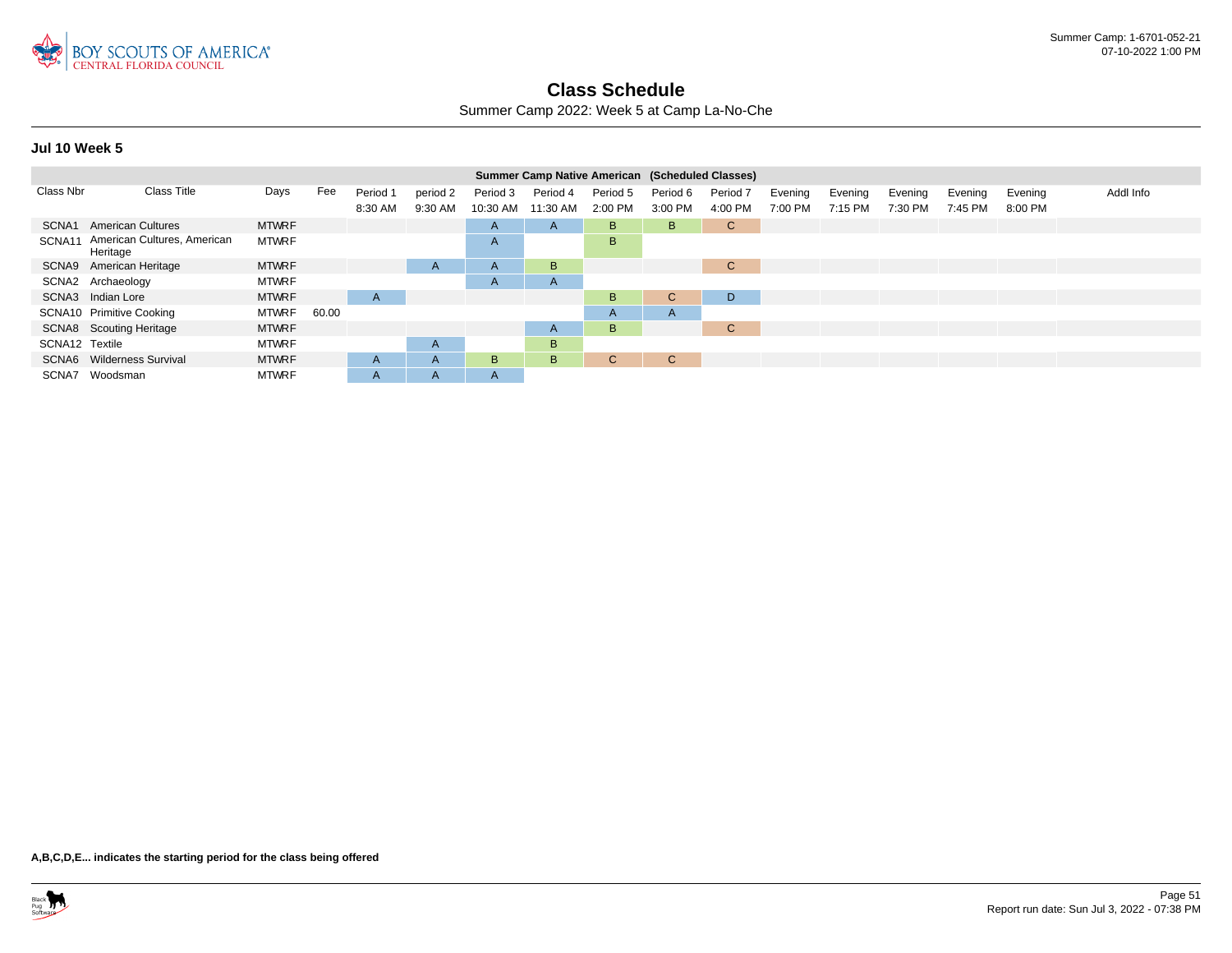

Summer Camp 2022: Week 5 at Camp La-No-Che

|                | <b>Summer Camp Native American (Scheduled Classes)</b> |              |       |              |              |          |              |              |          |              |         |         |         |         |         |           |
|----------------|--------------------------------------------------------|--------------|-------|--------------|--------------|----------|--------------|--------------|----------|--------------|---------|---------|---------|---------|---------|-----------|
| Class Nbr      | <b>Class Title</b>                                     | Days         | Fee   | Period 1     | period 2     | Period 3 | Period 4     | Period 5     | Period 6 | Period 7     | Evening | Evening | Evening | Evening | Evening | Addl Info |
|                |                                                        |              |       | 8:30 AM      | 9:30 AM      | 10:30 AM | 11:30 AM     | 2:00 PM      | 3:00 PM  | 4:00 PM      | 7:00 PM | 7:15 PM | 7:30 PM | 7:45 PM | 8:00 PM |           |
| SCNA1          | <b>American Cultures</b>                               | <b>MTWRF</b> |       |              |              | A        | $\mathsf{A}$ | B            | B.       | $\mathbf{C}$ |         |         |         |         |         |           |
| SCNA11         | American Cultures, American<br>Heritage                | <b>MTWRF</b> |       |              |              | A        |              | B.           |          |              |         |         |         |         |         |           |
|                | SCNA9 American Heritage                                | <b>MTWRF</b> |       |              | A            | A        | B            |              |          | $\mathsf{C}$ |         |         |         |         |         |           |
|                | SCNA2 Archaeology                                      | <b>MTWRF</b> |       |              |              | A        | A            |              |          |              |         |         |         |         |         |           |
|                | SCNA3 Indian Lore                                      | <b>MTWRF</b> |       | $\mathsf{A}$ |              |          |              | B.           | C.       | D            |         |         |         |         |         |           |
|                | SCNA10 Primitive Cooking                               | <b>MTWRF</b> | 60.00 |              |              |          |              | A            | A        |              |         |         |         |         |         |           |
|                | SCNA8 Scouting Heritage                                | <b>MTWRF</b> |       |              |              |          | A            | B.           |          | $\mathsf{C}$ |         |         |         |         |         |           |
| SCNA12 Textile |                                                        | <b>MTWRF</b> |       |              | A            |          | B            |              |          |              |         |         |         |         |         |           |
|                | SCNA6 Wilderness Survival                              | <b>MTWRF</b> |       | $\mathsf{A}$ | A            | B.       | B            | $\mathbf{C}$ | C.       |              |         |         |         |         |         |           |
| SCNA7          | Woodsman                                               | <b>MTWRF</b> |       | A            | $\mathsf{A}$ | A        |              |              |          |              |         |         |         |         |         |           |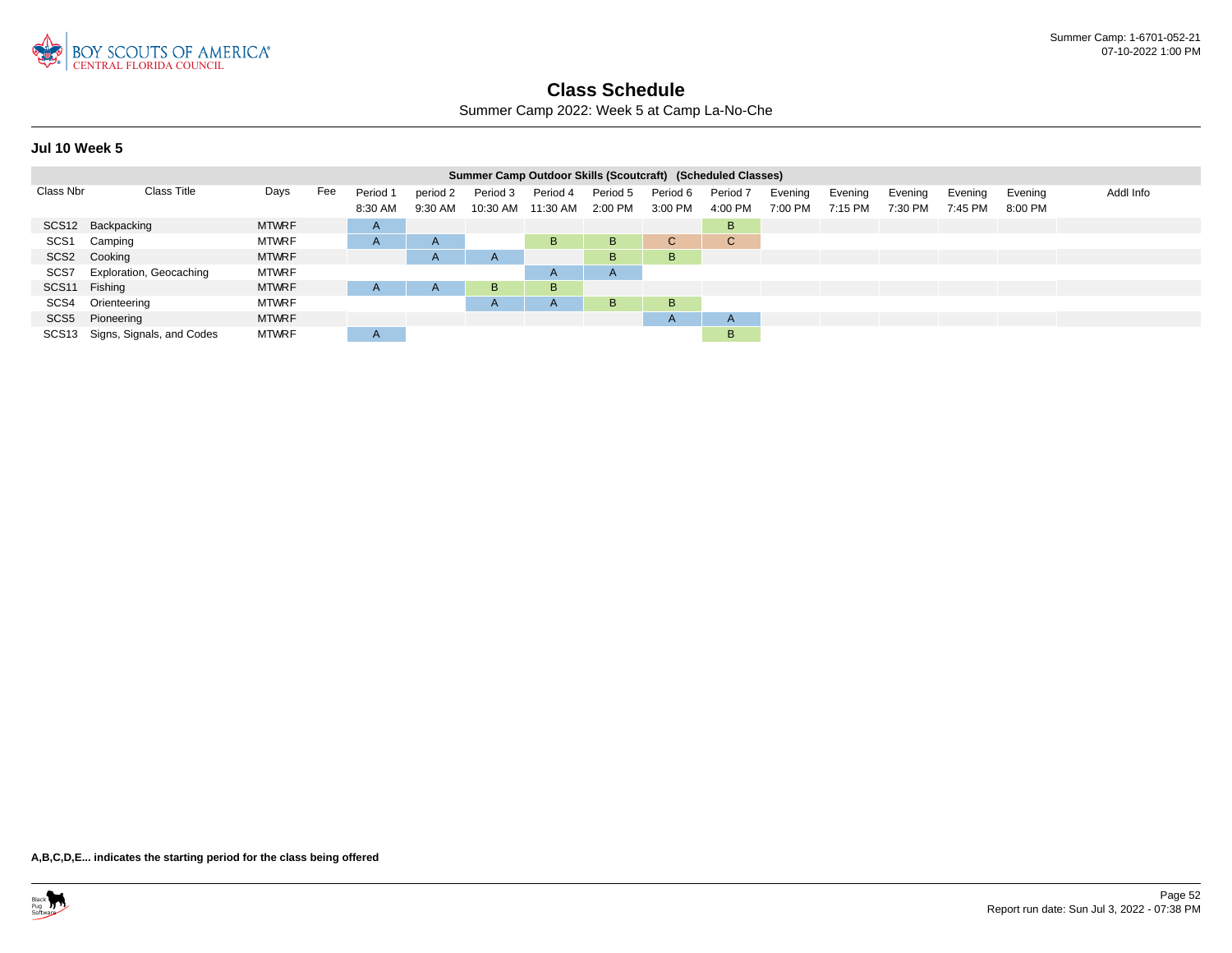

Summer Camp 2022: Week 5 at Camp La-No-Che

|                  | Summer Camp Outdoor Skills (Scoutcraft) (Scheduled Classes) |              |     |              |              |          |                    |          |              |              |         |         |         |         |         |           |
|------------------|-------------------------------------------------------------|--------------|-----|--------------|--------------|----------|--------------------|----------|--------------|--------------|---------|---------|---------|---------|---------|-----------|
| Class Nbr        | <b>Class Title</b>                                          | Days         | Fee | Period 1     | period 2     | Period 3 | Period 4           | Period 5 | Period 6     | Period 7     | Evening | Evening | Evening | Evening | Evening | Addl Info |
|                  |                                                             |              |     | 8:30 AM      | 9:30 AM      |          | 10:30 AM  11:30 AM | 2:00 PM  | 3:00 PM      | 4:00 PM      | 7:00 PM | 7:15 PM | 7:30 PM | 7:45 PM | 8:00 PM |           |
|                  | SCS12 Backpacking                                           | <b>MTWRF</b> |     | $\mathsf{A}$ |              |          |                    |          |              | B            |         |         |         |         |         |           |
| SCS <sub>1</sub> | Camping                                                     | <b>MTWRF</b> |     | $\mathsf{A}$ | $\mathsf{A}$ |          | B.                 | B        | C.           | $\mathsf{C}$ |         |         |         |         |         |           |
|                  | SCS2 Cooking                                                | <b>MTWRF</b> |     |              | $\mathsf{A}$ | A        |                    | B        | B            |              |         |         |         |         |         |           |
| SCS7             | <b>Exploration, Geocaching</b>                              | <b>MTWRF</b> |     |              |              |          | A                  | A        |              |              |         |         |         |         |         |           |
| SCS11 Fishing    |                                                             | <b>MTWRF</b> |     |              | $\mathsf{A}$ | B        | B                  |          |              |              |         |         |         |         |         |           |
| SCS4             | Orienteering                                                | <b>MTWRF</b> |     |              |              | A        | A                  | B        | B            |              |         |         |         |         |         |           |
|                  | SCS5 Pioneering                                             | <b>MTWRF</b> |     |              |              |          |                    |          | $\mathsf{A}$ | $\mathsf{A}$ |         |         |         |         |         |           |
|                  | SCS13 Signs, Signals, and Codes                             | <b>MTWRF</b> |     | $\mathsf{A}$ |              |          |                    |          |              | B            |         |         |         |         |         |           |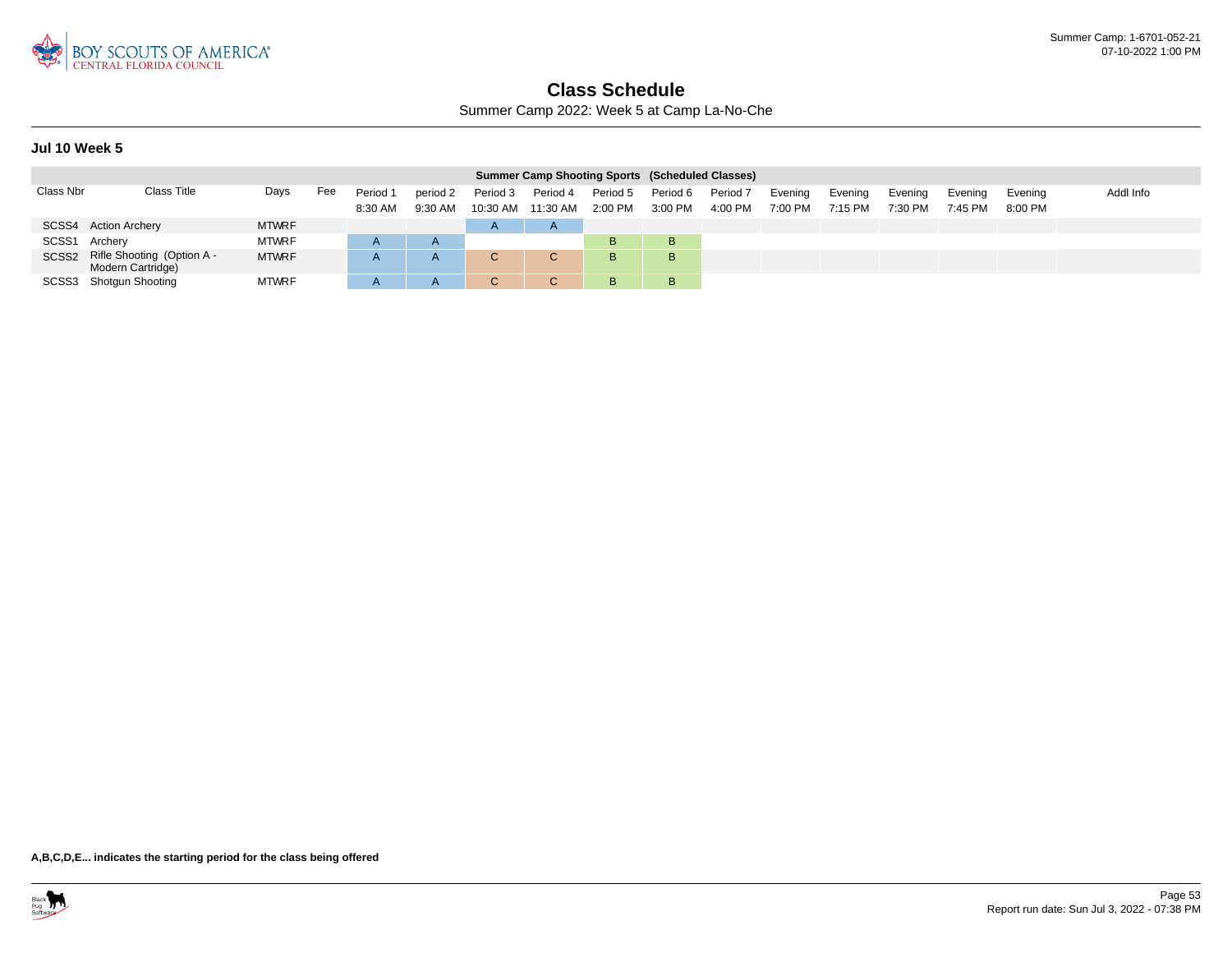

Summer Camp 2022: Week 5 at Camp La-No-Che

### **Jul 10 Week 5**

| <b>Summer Camp Shooting Sports (Scheduled Classes)</b> |                                                       |              |     |                     |                     |                                |              |                       |                     |                     |                    |                    |                    |                    |                    |           |
|--------------------------------------------------------|-------------------------------------------------------|--------------|-----|---------------------|---------------------|--------------------------------|--------------|-----------------------|---------------------|---------------------|--------------------|--------------------|--------------------|--------------------|--------------------|-----------|
| Class Nbr                                              | Class Title                                           | Days         | Fee | Period 1<br>8:30 AM | period 2<br>9:30 AM | Period 3<br>10:30 AM  11:30 AM | Period 4     | Period 5<br>$2:00$ PM | Period 6<br>3:00 PM | Period 7<br>4:00 PM | Evening<br>7:00 PM | Evening<br>7:15 PM | Evening<br>7:30 PM | Evening<br>7:45 PM | Evening<br>8:00 PM | Addl Info |
|                                                        | SCSS4 Action Archery                                  | <b>MTWRF</b> |     |                     |                     | $\mathsf{A}$                   | $\mathsf{A}$ |                       |                     |                     |                    |                    |                    |                    |                    |           |
| SCSS <sub>1</sub>                                      | Archery                                               | <b>MTWRF</b> |     |                     |                     |                                |              | B                     | в                   |                     |                    |                    |                    |                    |                    |           |
|                                                        | SCSS2 Rifle Shooting (Option A -<br>Modern Cartridge) | <b>MTWRF</b> |     |                     | A                   | v                              | C.           | B                     | в                   |                     |                    |                    |                    |                    |                    |           |
|                                                        | SCSS3 Shotgun Shooting                                | <b>MTWRF</b> |     |                     | A                   | v                              |              | B                     | в                   |                     |                    |                    |                    |                    |                    |           |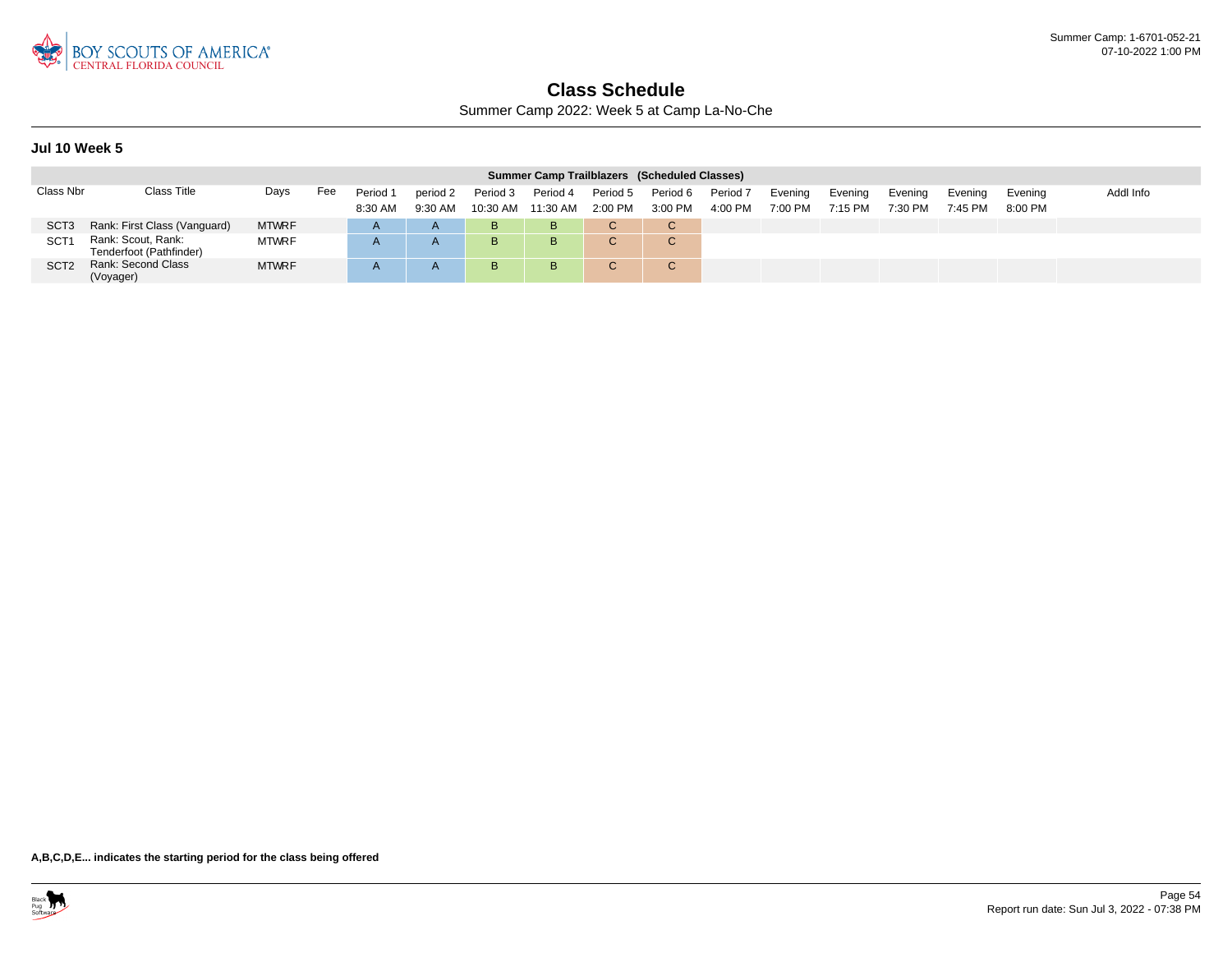

Summer Camp 2022: Week 5 at Camp La-No-Che

### **Jul 10 Week 5**

| Summer Camp Trailblazers (Scheduled Classes) |                                               |              |     |                     |                       |                      |                      |                       |                        |                                |                    |                    |                    |                    |                      |           |
|----------------------------------------------|-----------------------------------------------|--------------|-----|---------------------|-----------------------|----------------------|----------------------|-----------------------|------------------------|--------------------------------|--------------------|--------------------|--------------------|--------------------|----------------------|-----------|
| Class Nbr                                    | Class Title                                   | Days         | Fee | Period 1<br>8:30 AM | period 2<br>$9:30$ AM | Period 3<br>10:30 AM | Period 4<br>11:30 AM | Period 5<br>$2:00$ PM | Period 6<br>3:00 PM    | Period <sub>7</sub><br>4:00 PM | Evening<br>7:00 PM | Evening<br>7:15 PM | Evening<br>7:30 PM | Evening<br>7:45 PM | Evening<br>$8:00$ PM | Addl Info |
| SCT <sub>3</sub>                             | Rank: First Class (Vanguard)                  | <b>MTWRF</b> |     |                     | A                     | B                    | в                    |                       | C.                     |                                |                    |                    |                    |                    |                      |           |
| SCT <sub>1</sub>                             | Rank: Scout, Rank:<br>Tenderfoot (Pathfinder) | <b>MTWRF</b> |     |                     | A                     | B                    | в                    |                       | $\sim$<br>$\mathbf{U}$ |                                |                    |                    |                    |                    |                      |           |
| SCT <sub>2</sub>                             | Rank: Second Class<br>(Voyager)               | <b>MTWRF</b> |     |                     |                       | B                    | B.                   |                       | $\sim$<br>◡            |                                |                    |                    |                    |                    |                      |           |

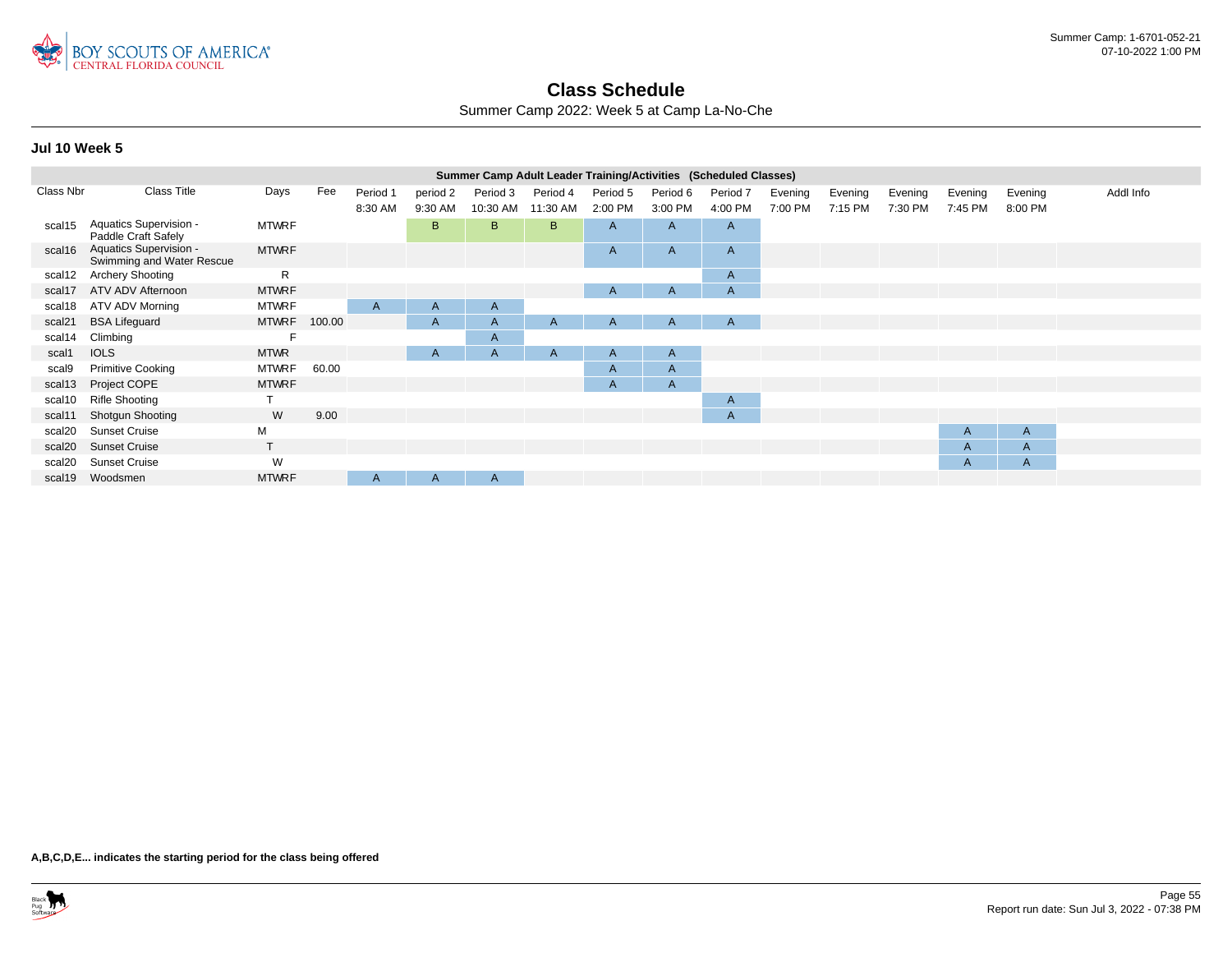

Summer Camp 2022: Week 5 at Camp La-No-Che

|           | Summer Camp Adult Leader Training/Activities (Scheduled Classes)<br>Class Title |              |        |              |              |              |              |          |              |              |         |         |         |              |         |           |
|-----------|---------------------------------------------------------------------------------|--------------|--------|--------------|--------------|--------------|--------------|----------|--------------|--------------|---------|---------|---------|--------------|---------|-----------|
| Class Nbr |                                                                                 | Days         | Fee    | Period 1     | period 2     | Period 3     | Period 4     | Period 5 | Period 6     | Period 7     | Evening | Evening | Evening | Evening      | Evening | Addl Info |
|           |                                                                                 |              |        | 8:30 AM      | 9:30 AM      | 10:30 AM     | 11:30 AM     | 2:00 PM  | 3:00 PM      | 4:00 PM      | 7:00 PM | 7:15 PM | 7:30 PM | 7:45 PM      | 8:00 PM |           |
| scal15    | Aquatics Supervision -<br>Paddle Craft Safely                                   | <b>MTWRF</b> |        |              | B            | B            | B.           | A        | A            | $\mathsf{A}$ |         |         |         |              |         |           |
| scal16    | Aquatics Supervision -<br>Swimming and Water Rescue                             | <b>MTWRF</b> |        |              |              |              |              | A        | $\mathsf{A}$ | $\mathsf{A}$ |         |         |         |              |         |           |
| scal12    | <b>Archery Shooting</b>                                                         | R            |        |              |              |              |              |          |              | $\mathsf{A}$ |         |         |         |              |         |           |
| scal17    | ATV ADV Afternoon                                                               | <b>MTWRF</b> |        |              |              |              |              | A        | A            | $\mathsf{A}$ |         |         |         |              |         |           |
| scal18    | ATV ADV Morning                                                                 | <b>MTWRF</b> |        | A            | $\mathsf{A}$ | $\mathsf{A}$ |              |          |              |              |         |         |         |              |         |           |
| scal21    | <b>BSA Lifeguard</b>                                                            | <b>MTWRF</b> | 100.00 |              | $\mathsf{A}$ | $\mathsf{A}$ | $\mathsf{A}$ | A        | A            | $\mathsf{A}$ |         |         |         |              |         |           |
| scal14    | Climbing                                                                        |              |        |              |              | A            |              |          |              |              |         |         |         |              |         |           |
| scal1     | <b>IOLS</b>                                                                     | <b>MTWR</b>  |        |              | A            | A            | $\mathsf{A}$ | A        | A            |              |         |         |         |              |         |           |
| scal9     | <b>Primitive Cooking</b>                                                        | <b>MTWRF</b> | 60.00  |              |              |              |              | A        | $\mathsf{A}$ |              |         |         |         |              |         |           |
| scal13    | Project COPE                                                                    | <b>MTWRF</b> |        |              |              |              |              | A        | $\mathsf{A}$ |              |         |         |         |              |         |           |
| scal10    | <b>Rifle Shooting</b>                                                           |              |        |              |              |              |              |          |              | $\mathsf{A}$ |         |         |         |              |         |           |
| scal11    | Shotgun Shooting                                                                | W            | 9.00   |              |              |              |              |          |              | $\mathsf{A}$ |         |         |         |              |         |           |
| scal20    | <b>Sunset Cruise</b>                                                            | M            |        |              |              |              |              |          |              |              |         |         |         | A            | A       |           |
| scal20    | <b>Sunset Cruise</b>                                                            |              |        |              |              |              |              |          |              |              |         |         |         | A            | A       |           |
| scal20    | <b>Sunset Cruise</b>                                                            | W            |        |              |              |              |              |          |              |              |         |         |         | $\mathsf{A}$ | A       |           |
| scal19    | Woodsmen                                                                        | <b>MTWRF</b> |        | $\mathsf{A}$ | A            | A            |              |          |              |              |         |         |         |              |         |           |
|           |                                                                                 |              |        |              |              |              |              |          |              |              |         |         |         |              |         |           |